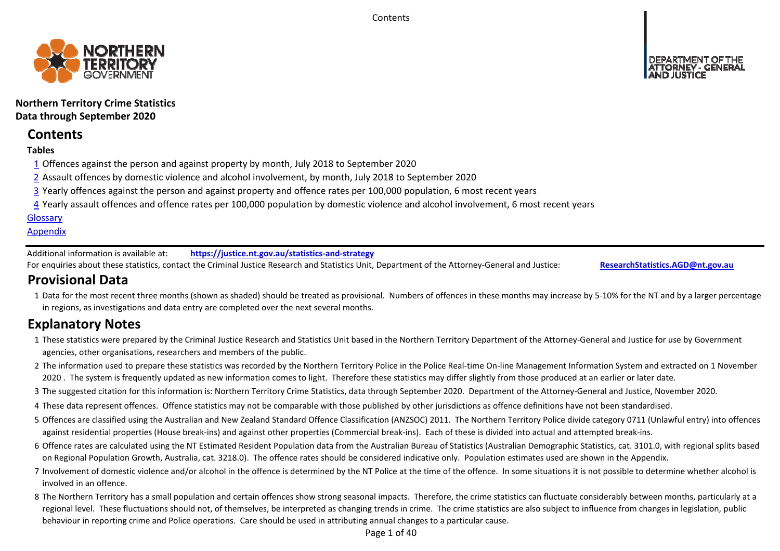**Contents** 



**Northern Territory Crime Statistics Data through September 2020**

# **Contents**

# **Tables**

- 1 Offences against the person and against property by month, July 2018 to September 2020
- 2 Assault offences by domestic violence and alcohol involvement, by month, July 2018 to September 2020
- 3 Yearly offences against the person and against property and offence rates per 100,000 population, 6 most recent years
- 4 Yearly assault offences and offence rates per 100,000 population by domestic violence and alcohol involvement, 6 most recent years

# **Glossary**

# **Appendix**

Additional information is available at:**https://justice.nt.gov.au/statistics‐and‐strategy**

For enquiries about these statistics, contact the Criminal Justice Research and Statistics Unit, Department of the Attorney‐General and Justice: **ResearchStatistics.AGD@nt.gov.au**

# **Provisional Data**

1 Data for the most recent three months (shown as shaded) should be treated as provisional. Numbers of offences in these months may increase by 5‐10% for the NT and by a larger percentage in regions, as investigations and data entry are completed over the next several months.

# **Explanatory Notes**

- 1These statistics were prepared by the Criminal Justice Research and Statistics Unit based in the Northern Territory Department of the Attorney‐General and Justice for use by Government agencies, other organisations, researchers and members of the public.
- 2 The information used to prepare these statistics was recorded by the Northern Territory Police in the Police Real‐time On‐line Management Information System and extracted on 1 November 2020. The system is frequently updated as new information comes to light. Therefore these statistics may differ slightly from those produced at an earlier or later date.
- 3 The suggested citation for this information is: Northern Territory Crime Statistics, data through September 2020. Department of the Attorney‐General and Justice, November 2020.
- 4These data represent offences. Offence statistics may not be comparable with those published by other jurisdictions as offence definitions have not been standardised.
- 5 Offences are classified using the Australian and New Zealand Standard Offence Classification (ANZSOC) 2011. The Northern Territory Police divide category 0711 (Unlawful entry) into offences against residential properties (House break‐ins) and against other properties (Commercial break‐ins). Each of these is divided into actual and attempted break‐ins.
- 6 Offence rates are calculated using the NT Estimated Resident Population data from the Australian Bureau of Statistics (Australian Demographic Statistics, cat. 3101.0, with regional splits based on Regional Population Growth, Australia, cat. 3218.0). The offence rates should be considered indicative only. Population estimates used are shown in the Appendix.
- 7 Involvement of domestic violence and/or alcohol in the offence is determined by the NT Police at the time of the offence. In some situations it is not possible to determine whether alcohol is involved in an offence.
- 8 The Northern Territory has a small population and certain offences show strong seasonal impacts. Therefore, the crime statistics can fluctuate considerably between months, particularly at a regional level. These fluctuations should not, of themselves, be interpreted as changing trends in crime. The crime statistics are also subject to influence from changes in legislation, public behaviour in reporting crime and Police operations. Care should be used in attributing annual changes to a particular cause.

Page 1 of 40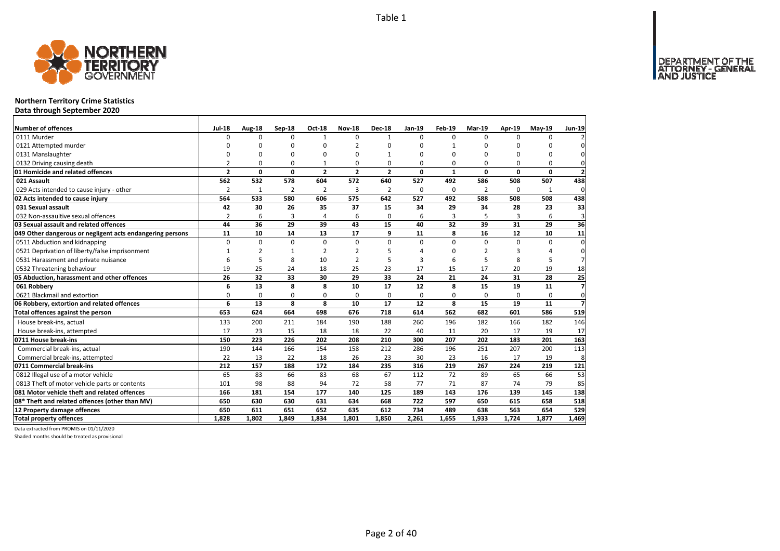

# **Northern Territory Crime Statistics**

**Data through September 2020**

| Number of offences                                        | <b>Jul-18</b>  | Aug-18       | Sep-18         | Oct-18         | <b>Nov-18</b>  | <b>Dec-18</b>  | Jan-19   | Feb-19       | <b>Mar-19</b> | Apr-19   | $May-19$     | <b>Jun-19</b>  |
|-----------------------------------------------------------|----------------|--------------|----------------|----------------|----------------|----------------|----------|--------------|---------------|----------|--------------|----------------|
| 0111 Murder                                               | 0              | $\Omega$     | $\Omega$       | 1              | $\Omega$       | $\mathbf{1}$   | $\Omega$ | $\Omega$     | $\Omega$      | $\Omega$ | 0            |                |
| 0121 Attempted murder                                     | O              | ŋ            | O              | $\Omega$       |                | O              | n        | 1            | O             | ŋ        | <sup>0</sup> | $\Omega$       |
| 0131 Manslaughter                                         | O              | $\Omega$     | $\Omega$       | $\Omega$       | ŋ              |                | O        | $\Omega$     | C             | ŋ        | <sup>0</sup> | $\Omega$       |
| 0132 Driving causing death                                | $\overline{2}$ | 0            | 0              | $\mathbf{1}$   | $\Omega$       | 0              | $\Omega$ | $\Omega$     | $\Omega$      | $\Omega$ | 0            | 0              |
| 01 Homicide and related offences                          | $\overline{2}$ | 0            | $\mathbf 0$    | $\overline{2}$ | $\overline{2}$ | $\overline{2}$ | 0        | $\mathbf{1}$ | $\Omega$      | $\Omega$ | $\Omega$     | $\overline{2}$ |
| 021 Assault                                               | 562            | 532          | 578            | 604            | 572            | 640            | 527      | 492          | 586           | 508      | 507          | 438            |
| 029 Acts intended to cause injury - other                 | $\overline{2}$ | $\mathbf{1}$ | $\overline{2}$ | $\overline{2}$ | 3              | $\overline{2}$ | 0        | $\Omega$     | 2             | $\Omega$ | $\mathbf{1}$ | 0              |
| 02 Acts intended to cause injury                          | 564            | 533          | 580            | 606            | 575            | 642            | 527      | 492          | 588           | 508      | 508          | 438            |
| 031 Sexual assault                                        | 42             | 30           | 26             | 35             | 37             | 15             | 34       | 29           | 34            | 28       | 23           | 33             |
| 032 Non-assaultive sexual offences                        | $\overline{2}$ | 6            | $\overline{3}$ | $\overline{4}$ | 6              | 0              | 6        | 3            | 5             | 3        | 6            | 3              |
| 03 Sexual assault and related offences                    | 44             | 36           | 29             | 39             | 43             | 15             | 40       | 32           | 39            | 31       | 29           | 36             |
| 049 Other dangerous or negligent acts endangering persons | 11             | 10           | 14             | 13             | 17             | 9              | 11       | 8            | 16            | 12       | 10           | 11             |
| 0511 Abduction and kidnapping                             | 0              | $\mathbf 0$  | $\mathbf 0$    | $\Omega$       | $\Omega$       | $\Omega$       | $\Omega$ | $\Omega$     | $\Omega$      | $\Omega$ | 0            | $\Omega$       |
| 0521 Deprivation of liberty/false imprisonment            | 1              | 2            | 1              | 2              | 2              | 5              |          | ŋ            | $\mathcal{P}$ | З        | Δ            | 0              |
| 0531 Harassment and private nuisance                      | 6              | 5            | 8              | 10             | $\overline{2}$ | 5              | З        | 6            | 5             | 8        | 5            |                |
| 0532 Threatening behaviour                                | 19             | 25           | 24             | 18             | 25             | 23             | 17       | 15           | 17            | 20       | 19           | 18             |
| 05 Abduction, harassment and other offences               | 26             | 32           | 33             | 30             | 29             | 33             | 24       | 21           | 24            | 31       | 28           | 25             |
| 061 Robbery                                               | 6              | 13           | 8              | 8              | 10             | 17             | 12       | 8            | 15            | 19       | 11           | $\overline{z}$ |
| 0621 Blackmail and extortion                              | O              | 0            | 0              | 0              | $\Omega$       | 0              | 0        | 0            | $\Omega$      | $\Omega$ | 0            | $\mathbf 0$    |
| 06 Robbery, extortion and related offences                | 6              | 13           | 8              | 8              | 10             | 17             | 12       | 8            | 15            | 19       | 11           | $\overline{z}$ |
| Total offences against the person                         | 653            | 624          | 664            | 698            | 676            | 718            | 614      | 562          | 682           | 601      | 586          | 519            |
| House break-ins, actual                                   | 133            | 200          | 211            | 184            | 190            | 188            | 260      | 196          | 182           | 166      | 182          | 146            |
| House break-ins, attempted                                | 17             | 23           | 15             | 18             | 18             | 22             | 40       | 11           | 20            | 17       | 19           | 17             |
| 0711 House break-ins                                      | 150            | 223          | 226            | 202            | 208            | 210            | 300      | 207          | 202           | 183      | 201          | 163            |
| Commercial break-ins, actual                              | 190            | 144          | 166            | 154            | 158            | 212            | 286      | 196          | 251           | 207      | 200          | 113            |
| Commercial break-ins, attempted                           | 22             | 13           | 22             | 18             | 26             | 23             | 30       | 23           | 16            | 17       | 19           | 8              |
| 0711 Commercial break-ins                                 | 212            | 157          | 188            | 172            | 184            | 235            | 316      | 219          | 267           | 224      | 219          | 121            |
| 0812 Illegal use of a motor vehicle                       | 65             | 83           | 66             | 83             | 68             | 67             | 112      | 72           | 89            | 65       | 66           | 53             |
| 0813 Theft of motor vehicle parts or contents             | 101            | 98           | 88             | 94             | 72             | 58             | 77       | 71           | 87            | 74       | 79           | 85             |
| 081 Motor vehicle theft and related offences              | 166            | 181          | 154            | 177            | 140            | 125            | 189      | 143          | 176           | 139      | 145          | 138            |
| 08* Theft and related offences (other than MV)            | 650            | 630          | 630            | 631            | 634            | 668            | 722      | 597          | 650           | 615      | 658          | 518            |
| 12 Property damage offences                               | 650            | 611          | 651            | 652            | 635            | 612            | 734      | 489          | 638           | 563      | 654          | 529            |
| <b>Total property offences</b>                            | 1,828          | 1,802        | 1.849          | 1.834          | 1,801          | 1,850          | 2,261    | 1,655        | 1,933         | 1,724    | 1,877        | 1,469          |

Data extracted from PROMIS on 01/11/2020

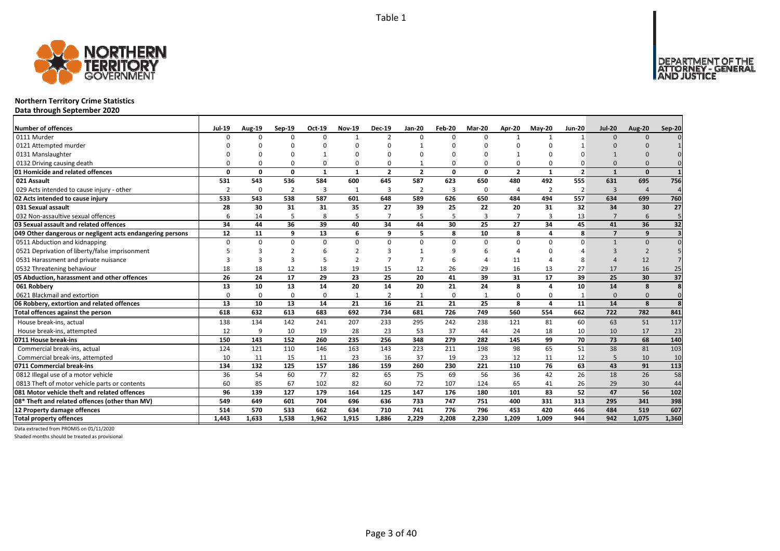

# **Northern Territory Crime Statistics**

**Data through September 2020**

| <b>Number of offences</b>                                 | <b>Jul-19</b>  | Aug-19       | $Sep-19$       | Oct-19         | <b>Nov-19</b> | <b>Dec-19</b>  | Jan-20         | Feb-20   | <b>Mar-20</b>  | Apr-20         | <b>May-20</b>           | <b>Jun-20</b>           | <b>Jul-20</b>  | <b>Aug-20</b>  | Sep-20 |
|-----------------------------------------------------------|----------------|--------------|----------------|----------------|---------------|----------------|----------------|----------|----------------|----------------|-------------------------|-------------------------|----------------|----------------|--------|
| 0111 Murder                                               | $\Omega$       | <sup>0</sup> | $\Omega$       | $\Omega$       | $\mathbf{1}$  | $\overline{2}$ | $\Omega$       | $\Omega$ | $\Omega$       | $\mathbf{1}$   |                         |                         | $\Omega$       | $\Omega$       |        |
| 0121 Attempted murder                                     |                |              |                |                | n             |                |                |          |                |                |                         |                         |                |                |        |
| 0131 Manslaughter                                         |                |              |                |                | ŋ             |                |                |          |                |                |                         |                         |                |                |        |
| 0132 Driving causing death                                |                |              | n              | 0              | $\Omega$      | 0              |                | $\Omega$ | 0              | $\Omega$       |                         |                         |                |                |        |
| 01 Homicide and related offences                          | $\Omega$       | 0            | $\Omega$       | $\mathbf{1}$   | $\mathbf{1}$  | $\overline{2}$ | $\overline{2}$ | $\Omega$ | $\Omega$       | $\overline{2}$ | $\mathbf{1}$            | $\overline{\mathbf{z}}$ | $\mathbf{1}$   | $\Omega$       |        |
| 021 Assault                                               | 531            | 543          | 536            | 584            | 600           | 645            | 587            | 623      | 650            | 480            | 492                     | 555                     | 631            | 695            | 756    |
| 029 Acts intended to cause injury - other                 | $\overline{2}$ | 0            | $\overline{2}$ | $\overline{3}$ | 1             | 3              | $\overline{2}$ | 3        | $\mathbf 0$    | 4              | $\overline{2}$          | $\overline{2}$          | 3              | $\overline{4}$ |        |
| 02 Acts intended to cause injury                          | 533            | 543          | 538            | 587            | 601           | 648            | 589            | 626      | 650            | 484            | 494                     | 557                     | 634            | 699            | 760    |
| 031 Sexual assault                                        | 28             | 30           | 31             | 31             | 35            | 27             | 39             | 25       | 22             | 20             | 31                      | 32                      | 34             | 30             | 27     |
| 032 Non-assaultive sexual offences                        | 6              | 14           | 5              | 8              | 5             |                | 5              | 5        | $\overline{3}$ | $\overline{7}$ | $\mathbf{3}$            | 13                      | $\overline{7}$ | 6              | 5      |
| 03 Sexual assault and related offences                    | 34             | 44           | 36             | 39             | 40            | 34             | 44             | 30       | 25             | 27             | 34                      | 45                      | 41             | 36             | 32     |
| 049 Other dangerous or negligent acts endangering persons | 12             | 11           | 9              | 13             | 6             | q              | 5              | 8        | 10             | 8              | Δ                       | 8                       | $\overline{7}$ | 9              |        |
| 0511 Abduction and kidnapping                             | $\Omega$       | 0            | $\Omega$       | $\Omega$       | $\Omega$      | $\Omega$       | $\Omega$       | $\Omega$ | $\Omega$       | $\Omega$       | U                       |                         |                | $\Omega$       |        |
| 0521 Deprivation of liberty/false imprisonment            |                |              |                | 6              | $\mathcal{P}$ |                |                |          | 6              |                |                         |                         |                | $\mathcal{P}$  |        |
| 0531 Harassment and private nuisance                      |                |              |                |                | ำ             |                |                |          |                | 11             |                         |                         |                | 12             |        |
| 0532 Threatening behaviour                                | 18             | 18           | 12             | 18             | 19            | 15             | 12             | 26       | 29             | 16             | 13                      | 27                      | 17             | 16             | 25     |
| 05 Abduction, harassment and other offences               | 26             | 24           | 17             | 29             | 23            | 25             | 20             | 41       | 39             | 31             | 17                      | 39                      | 25             | 30             | 37     |
| 061 Robbery                                               | 13             | 10           | 13             | 14             | 20            | 14             | 20             | 21       | 24             | 8              |                         | 10                      | 14             | 8              | 8      |
| 0621 Blackmail and extortion                              | $\Omega$       | O            | $\Omega$       | 0              | 1             |                |                | $\Omega$ |                | 0              |                         |                         | $\Omega$       | $\Omega$       |        |
| 06 Robbery, extortion and related offences                | 13             | 10           | 13             | 14             | 21            | 16             | 21             | 21       | 25             | 8              | $\overline{\mathbf{a}}$ | 11                      | 14             | 8              | 8      |
| Total offences against the person                         | 618            | 632          | 613            | 683            | 692           | 734            | 681            | 726      | 749            | 560            | 554                     | 662                     | 722            | 782            | 841    |
| House break-ins, actual                                   | 138            | 134          | 142            | 241            | 207           | 233            | 295            | 242      | 238            | 121            | 81                      | 60                      | 63             | 51             | 117    |
| House break-ins, attempted                                | 12             | 9            | 10             | 19             | 28            | 23             | 53             | 37       | 44             | 24             | 18                      | 10                      | 10             | 17             | 23     |
| 0711 House break-ins                                      | 150            | 143          | 152            | 260            | 235           | 256            | 348            | 279      | 282            | 145            | 99                      | 70                      | 73             | 68             | 140    |
| Commercial break-ins, actual                              | 124            | 121          | 110            | 146            | 163           | 143            | 223            | 211      | 198            | 98             | 65                      | 51                      | 38             | 81             | 103    |
| Commercial break-ins, attempted                           | 10             | 11           | 15             | 11             | 23            | 16             | 37             | 19       | 23             | 12             | 11                      | 12                      | 5              | 10             | 10     |
| 0711 Commercial break-ins                                 | 134            | 132          | 125            | 157            | 186           | 159            | 260            | 230      | 221            | 110            | 76                      | 63                      | 43             | 91             | 113    |
| 0812 Illegal use of a motor vehicle                       | 36             | 54           | 60             | 77             | 82            | 65             | 75             | 69       | 56             | 36             | 42                      | 26                      | 18             | 26             | 58     |
| 0813 Theft of motor vehicle parts or contents             | 60             | 85           | 67             | 102            | 82            | 60             | 72             | 107      | 124            | 65             | 41                      | 26                      | 29             | 30             | 44     |
| 081 Motor vehicle theft and related offences              | 96             | 139          | 127            | 179            | 164           | 125            | 147            | 176      | 180            | 101            | 83                      | 52                      | 47             | 56             | 102    |
| 08* Theft and related offences (other than MV)            | 549            | 649          | 601            | 704            | 696           | 636            | 733            | 747      | 751            | 400            | 331                     | 313                     | 295            | 341            | 398    |
| 12 Property damage offences                               | 514            | 570          | 533            | 662            | 634           | 710            | 741            | 776      | 796            | 453            | 420                     | 446                     | 484            | 519            | 607    |
| <b>Total property offences</b>                            | 1.443          | 1.633        | 1.538          | 1.962          | 1.915         | 1.886          | 2.229          | 2.208    | 2.230          | 1.209          | 1.009                   | 944                     | 942            | 1,075          | 1,360  |

Data extracted from PROMIS on 01/11/2020

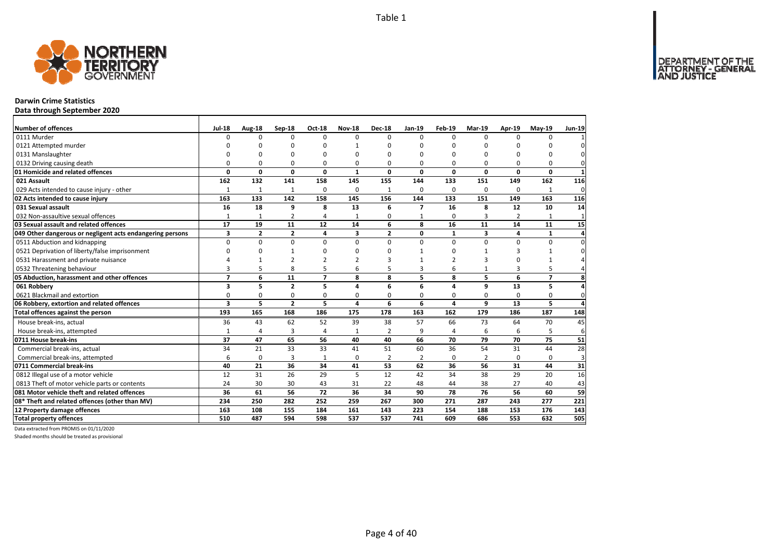

## **Darwin Crime Statistics**

**Data through September 2020**

| Number of offences                                        | <b>Jul-18</b>  | Aug-18         | Sep-18         | Oct-18         | <b>Nov-18</b>  | <b>Dec-18</b>  | <b>Jan-19</b>  | Feb-19         | Mar-19         | Apr-19         | <b>Mav-19</b>  | <b>Jun-19</b>  |
|-----------------------------------------------------------|----------------|----------------|----------------|----------------|----------------|----------------|----------------|----------------|----------------|----------------|----------------|----------------|
| 0111 Murder                                               | <sup>0</sup>   | $\Omega$       | $\Omega$       | $\Omega$       | 0              | 0              | $\Omega$       | $\Omega$       | $\Omega$       | $\Omega$       | $\Omega$       |                |
| 0121 Attempted murder                                     | <sup>0</sup>   | $\Omega$       | ŋ              | C              | $\mathbf{1}$   | O              | $\Omega$       |                | $\Omega$       | ŋ              | U              | $\Omega$       |
| 0131 Manslaughter                                         | O              | $\Omega$       | $\Omega$       | $\Omega$       | O              | O              | $\Omega$       |                | $\Omega$       | $\Omega$       | 0              | $\Omega$       |
| 0132 Driving causing death                                | 0              | 0              | $\mathbf 0$    | $\Omega$       | 0              | 0              | $\Omega$       | $\Omega$       | $\Omega$       | $\Omega$       | 0              | $\Omega$       |
| 01 Homicide and related offences                          | 0              | $\mathbf 0$    | 0              | $\mathbf{0}$   | $\mathbf{1}$   | 0              | $\mathbf{0}$   | $\Omega$       | $\mathbf 0$    | 0              | $\mathbf{0}$   | $\mathbf{1}$   |
| 021 Assault                                               | 162            | 132            | 141            | 158            | 145            | 155            | 144            | 133            | 151            | 149            | 162            | 116            |
| 029 Acts intended to cause injury - other                 | $\mathbf{1}$   | $\mathbf{1}$   | $\mathbf{1}$   | $\Omega$       | 0              | 1              | $\Omega$       | $\Omega$       | $\Omega$       | $\Omega$       | 1              | 0              |
| 02 Acts intended to cause injury                          | 163            | 133            | 142            | 158            | 145            | 156            | 144            | 133            | 151            | 149            | 163            | 116            |
| 031 Sexual assault                                        | 16             | 18             | 9              | 8              | 13             | 6              | $\overline{7}$ | 16             | 8              | 12             | 10             | 14             |
| 032 Non-assaultive sexual offences                        | $\mathbf{1}$   | $\mathbf{1}$   | $\overline{2}$ | 4              | $\mathbf{1}$   | 0              | $\mathbf{1}$   | 0              | 3              | $\overline{2}$ |                | $\mathbf{1}$   |
| 03 Sexual assault and related offences                    | 17             | 19             | 11             | 12             | 14             | 6              | 8              | 16             | 11             | 14             | 11             | 15             |
| 049 Other dangerous or negligent acts endangering persons | 3              | $\overline{2}$ | $\overline{2}$ | 4              | 3              | $\overline{2}$ | $\mathbf{0}$   | $\mathbf{1}$   | 3              | 4              | $\mathbf{1}$   | $\overline{a}$ |
| 0511 Abduction and kidnapping                             | 0              | $\Omega$       | 0              | $\Omega$       | $\Omega$       | $\Omega$       | $\Omega$       | $\Omega$       | $\Omega$       | $\Omega$       | $\Omega$       | $\Omega$       |
| 0521 Deprivation of liberty/false imprisonment            | 0              | $\Omega$       | $\mathbf{1}$   | $\Omega$       | ŋ              | 0              | $\mathbf{1}$   | ŋ              | 1              | 3              | $\mathbf{1}$   | n              |
| 0531 Harassment and private nuisance                      |                | 1              | $\overline{2}$ | $\mathcal{P}$  | $\mathfrak{p}$ | 3              |                | $\overline{2}$ | 3              | $\Omega$       |                |                |
| 0532 Threatening behaviour                                | 3              | 5              | 8              | 5              | 6              | 5              | 3              | 6              | $\mathbf{1}$   | 3              | 5              |                |
| 05 Abduction, harassment and other offences               | $\overline{7}$ | 6              | 11             | $\overline{7}$ | 8              | 8              | 5              | 8              | 5              | 6              | $\overline{7}$ | 8              |
| 061 Robberv                                               | 3              | 5              | $\overline{2}$ | 5              | 4              | 6              | 6              | 4              | 9              | 13             | 5              | 4              |
| 0621 Blackmail and extortion                              | 0              | $\mathbf 0$    | $\mathbf 0$    | 0              | 0              | 0              | 0              | $\Omega$       | $\Omega$       | $\Omega$       | 0              | $\mathbf 0$    |
| 06 Robbery, extortion and related offences                | 3              | 5              | $\overline{2}$ | 5              | 4              | 6              | 6              | 4              | 9              | 13             | 5              | $\overline{a}$ |
| Total offences against the person                         | 193            | 165            | 168            | 186            | 175            | 178            | 163            | 162            | 179            | 186            | 187            | 148            |
| House break-ins, actual                                   | 36             | 43             | 62             | 52             | 39             | 38             | 57             | 66             | 73             | 64             | 70             | 45             |
| House break-ins, attempted                                |                | $\overline{4}$ | 3              | $\overline{4}$ | $\mathbf{1}$   | $\overline{2}$ | 9              | $\overline{4}$ | 6              | 6              | 5              | 6              |
| 0711 House break-ins                                      | 37             | 47             | 65             | 56             | 40             | 40             | 66             | 70             | 79             | 70             | 75             | 51             |
| Commercial break-ins, actual                              | 34             | 21             | 33             | 33             | 41             | 51             | 60             | 36             | 54             | 31             | 44             | 28             |
| Commercial break-ins, attempted                           | 6              | $\mathbf 0$    | 3              | 1              | 0              | 2              | $\overline{2}$ | $\Omega$       | $\overline{2}$ | $\Omega$       | 0              | $\overline{3}$ |
| 0711 Commercial break-ins                                 | 40             | 21             | 36             | 34             | 41             | 53             | 62             | 36             | 56             | 31             | 44             | 31             |
| 0812 Illegal use of a motor vehicle                       | 12             | 31             | 26             | 29             | 5              | 12             | 42             | 34             | 38             | 29             | 20             | 16             |
| 0813 Theft of motor vehicle parts or contents             | 24             | 30             | 30             | 43             | 31             | 22             | 48             | 44             | 38             | 27             | 40             | 43             |
| 081 Motor vehicle theft and related offences              | 36             | 61             | 56             | 72             | 36             | 34             | 90             | 78             | 76             | 56             | 60             | 59             |
| 08* Theft and related offences (other than MV)            | 234            | 250            | 282            | 252            | 259            | 267            | 300            | 271            | 287            | 243            | 277            | 221            |
| 12 Property damage offences                               | 163            | 108            | 155            | 184            | 161            | 143            | 223            | 154            | 188            | 153            | 176            | 143            |
| <b>Total property offences</b>                            | 510            | 487            | 594            | 598            | 537            | 537            | 741            | 609            | 686            | 553            | 632            | 505            |

Data extracted from PROMIS on 01/11/2020

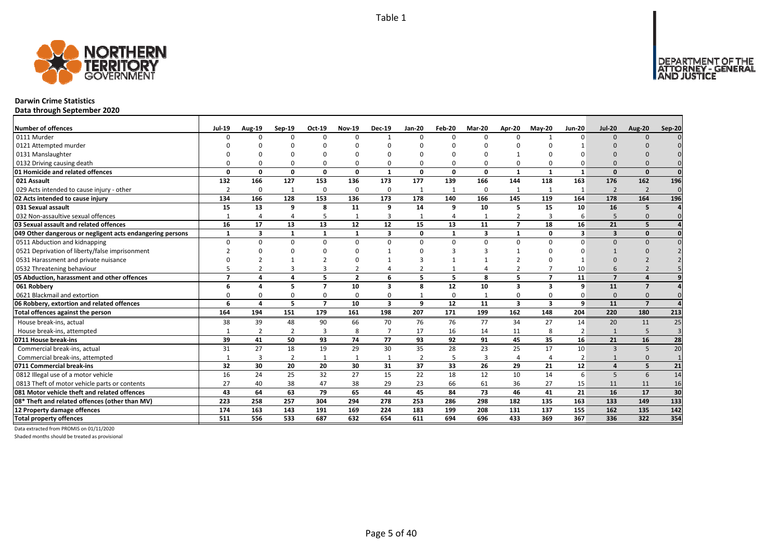

## **Darwin Crime Statistics**

**Data through September 2020**

| <b>Number of offences</b>                                 | <b>Jul-19</b>            | Aug-19         | $Sep-19$       | Oct-19         | <b>Nov-19</b>  | <b>Dec-19</b> | <b>Jan-20</b> | Feb-20       | <b>Mar-20</b> | Apr-20         | $M$ ay-20      | <b>Jun-20</b>  | <b>Jul-20</b>            | <b>Aug-20</b>  | Sep-20         |
|-----------------------------------------------------------|--------------------------|----------------|----------------|----------------|----------------|---------------|---------------|--------------|---------------|----------------|----------------|----------------|--------------------------|----------------|----------------|
| 0111 Murder                                               |                          | ŋ              | $\Omega$       | $\Omega$       | 0              |               | $\Omega$      | $\Omega$     | $\Omega$      | 0              |                | $\Omega$       | $\Omega$                 | $\Omega$       |                |
| 0121 Attempted murder                                     |                          |                |                |                |                |               |               |              |               |                |                |                |                          |                |                |
| 0131 Manslaughter                                         |                          |                |                |                |                |               |               | n            |               |                |                |                |                          |                |                |
| 0132 Driving causing death                                |                          |                | $\Omega$       | $\Omega$       | 0              |               |               | $\Omega$     | $\Omega$      | 0              |                |                | $\Omega$                 |                |                |
| 01 Homicide and related offences                          | n                        | $\Omega$       | 0              | $\Omega$       | $\Omega$       | $\mathbf{1}$  | $\Omega$      | <sup>0</sup> | $\Omega$      | $\mathbf{1}$   | -1             | $\mathbf{1}$   | $\Omega$                 | $\Omega$       | $\Omega$       |
| 021 Assault                                               | 132                      | 166            | 127            | 153            | 136            | 173           | 177           | 139          | 166           | 144            | 118            | 163            | 176                      | 162            | 196            |
| 029 Acts intended to cause injury - other                 | $\mathcal{P}$            | 0              | $\mathbf{1}$   | $\mathbf 0$    | 0              | $\Omega$      | -1            | $\mathbf{1}$ | $\mathbf 0$   | $\mathbf{1}$   |                |                | $\overline{2}$           | $\overline{2}$ | $\Omega$       |
| 02 Acts intended to cause injury                          | 134                      | 166            | 128            | 153            | 136            | 173           | 178           | 140          | 166           | 145            | 119            | 164            | 178                      | 164            | 196            |
| 031 Sexual assault                                        | 15                       | 13             | 9              | 8              | 11             | 9             | 14            | 9            | 10            | 5              | 15             | 10             | 16                       | 5              |                |
| 032 Non-assaultive sexual offences                        |                          |                | Δ              | 5              | $\mathbf{1}$   | 3             |               | Δ            | $\mathbf{1}$  | $\overline{2}$ | $\overline{3}$ | 6              | 5                        | $\Omega$       | $\Omega$       |
| 03 Sexual assault and related offences                    | 16                       | 17             | 13             | 13             | 12             | 12            | 15            | 13           | 11            | $\overline{7}$ | 18             | 16             | 21                       | 5              |                |
| 049 Other dangerous or negligent acts endangering persons | -1                       | 3              | 1              | $\mathbf{1}$   | 1              | 3             | 0             | $\mathbf 1$  | 3             | 1              | 0              | 3              | $\overline{\mathbf{3}}$  | $\mathbf{0}$   |                |
| 0511 Abduction and kidnapping                             | $\Omega$                 | $\Omega$       | $\Omega$       | $\Omega$       | $\Omega$       | $\Omega$      | $\Omega$      | $\Omega$     | $\Omega$      | $\Omega$       | $\Omega$       | O              | $\Omega$                 | $\Omega$       |                |
| 0521 Deprivation of liberty/false imprisonment            |                          |                | ŋ              | ∩              |                |               |               |              |               |                |                |                |                          |                |                |
| 0531 Harassment and private nuisance                      |                          |                |                |                |                |               |               |              |               |                |                |                |                          |                |                |
| 0532 Threatening behaviour                                |                          |                |                | 3              | 2              |               |               |              |               | $\overline{2}$ |                | 10             |                          |                |                |
| 05 Abduction, harassment and other offences               | $\overline{\phantom{a}}$ |                | 4              | 5              | $\overline{2}$ | 6             | 5             | 5            | 8             | 5              | $\overline{ }$ | 11             | $\overline{\phantom{a}}$ |                |                |
| 061 Robbery                                               |                          |                | 5              | $\overline{7}$ | 10             | 3             | 8             | 12           | 10            | 3              | 3              | 9              | 11                       | $\overline{7}$ |                |
| 0621 Blackmail and extortion                              |                          |                | $\Omega$       | 0              | 0              |               |               | $\Omega$     |               | 0              |                |                | $\Omega$                 |                |                |
| 06 Robbery, extortion and related offences                | 6                        | $\Delta$       | 5              | $\overline{7}$ | 10             | 3             | 9             | 12           | 11            | 3              | 3              | 9              | 11                       | $\overline{z}$ |                |
| Total offences against the person                         | 164                      | 194            | 151            | 179            | 161            | 198           | 207           | 171          | 199           | 162            | 148            | 204            | 220                      | 180            | 213            |
| House break-ins, actual                                   | 38                       | 39             | 48             | 90             | 66             | 70            | 76            | 76           | 77            | 34             | 27             | 14             | 20                       | 11             | 25             |
| House break-ins, attempted                                |                          | $\overline{2}$ | $\overline{2}$ | $\overline{3}$ | 8              |               | 17            | 16           | 14            | 11             | 8              | $\overline{2}$ |                          | 5              | $\overline{3}$ |
| 0711 House break-ins                                      | 39                       | 41             | 50             | 93             | 74             | 77            | 93            | 92           | 91            | 45             | 35             | 16             | 21                       | 16             | 28             |
| Commercial break-ins, actual                              | 31                       | 27             | 18             | 19             | 29             | 30            | 35            | 28           | 23            | 25             | 17             | 10             | $\mathbf{3}$             | 5              | 20             |
| Commercial break-ins, attempted                           |                          | 3              | 2              | 1              | 1              |               | 2             | 5            | 3             | 4              |                | 2              |                          | $\Omega$       |                |
| 0711 Commercial break-ins                                 | 32                       | 30             | 20             | 20             | 30             | 31            | 37            | 33           | 26            | 29             | 21             | 12             | $\mathbf{A}$             | 5              | 21             |
| 0812 Illegal use of a motor vehicle                       | 16                       | 24             | 25             | 32             | 27             | 15            | 22            | 18           | 12            | 10             | 14             | 6              | 5                        | 6              | 14             |
| 0813 Theft of motor vehicle parts or contents             | 27                       | 40             | 38             | 47             | 38             | 29            | 23            | 66           | 61            | 36             | 27             | 15             | 11                       | 11             | 16             |
| 081 Motor vehicle theft and related offences              | 43                       | 64             | 63             | 79             | 65             | 44            | 45            | 84           | 73            | 46             | 41             | 21             | <b>16</b>                | 17             | 30             |
| 08* Theft and related offences (other than MV)            | 223                      | 258            | 257            | 304            | 294            | 278           | 253           | 286          | 298           | 182            | 135            | 163            | 133                      | 149            | 133            |
| 12 Property damage offences                               | 174                      | 163            | 143            | 191            | 169            | 224           | 183           | 199          | 208           | 131            | 137            | 155            | 162                      | 135            | 142            |
| <b>Total property offences</b>                            | 511                      | 556            | 533            | 687            | 632            | 654           | 611           | 694          | 696           | 433            | 369            | 367            | 336                      | 322            | 354            |

Data extracted from PROMIS on 01/11/2020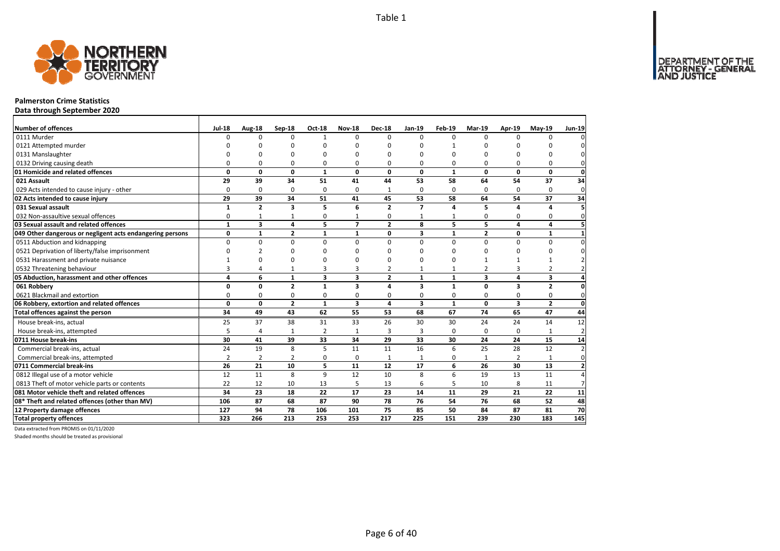

#### **Palmerston Crime Statistics**

**Data through September 2020**

| Number of offences                                        | <b>Jul-18</b>  | Aug-18                  | Sep-18         | <b>Oct-18</b>           | <b>Nov-18</b>           | <b>Dec-18</b>  | $Jan-19$                 | Feb-19       | <b>Mar-19</b>           | Apr-19                  | $May-19$       | <b>Jun-19</b>  |
|-----------------------------------------------------------|----------------|-------------------------|----------------|-------------------------|-------------------------|----------------|--------------------------|--------------|-------------------------|-------------------------|----------------|----------------|
| 0111 Murder                                               | $\Omega$       | 0                       | $\Omega$       | $\mathbf{1}$            | $\Omega$                | $\Omega$       | $\Omega$                 | $\Omega$     | $\Omega$                | $\Omega$                | $\Omega$       | $\Omega$       |
| 0121 Attempted murder                                     | ŋ              | <sup>n</sup>            | <sup>0</sup>   | $\Omega$                |                         | $\Omega$       | U                        |              | $\Omega$                |                         | n              | 0              |
| 0131 Manslaughter                                         | $\Omega$       | $\Omega$                | O              | $\Omega$                |                         | $\Omega$       | O                        | 0            | $\Omega$                | n                       | $\Omega$       | $\mathbf{0}$   |
| 0132 Driving causing death                                | $\Omega$       | 0                       | 0              | $\Omega$                | $\Omega$                | 0              | 0                        | 0            | $\Omega$                | $\Omega$                | 0              | $\mathbf 0$    |
| 01 Homicide and related offences                          | 0              | $\mathbf{0}$            | 0              | $\mathbf{1}$            | 0                       | 0              | $\mathbf{0}$             | $\mathbf{1}$ | 0                       | 0                       | $\mathbf 0$    | $\mathbf{0}$   |
| 021 Assault                                               | 29             | 39                      | 34             | 51                      | 41                      | 44             | 53                       | 58           | 64                      | 54                      | 37             | 34             |
| 029 Acts intended to cause injury - other                 | $\Omega$       | 0                       | 0              | 0                       | $\Omega$                | 1              | $\Omega$                 | $\Omega$     | $\Omega$                | $\Omega$                | 0              | $\mathbf 0$    |
| 02 Acts intended to cause injury                          | 29             | 39                      | 34             | 51                      | 41                      | 45             | 53                       | 58           | 64                      | 54                      | 37             | 34             |
| 031 Sexual assault                                        | $\mathbf{1}$   | $\overline{2}$          | 3              | 5                       | 6                       | $\overline{2}$ | $\overline{\phantom{a}}$ | 4            | 5                       | 4                       | 4              | 5              |
| 032 Non-assaultive sexual offences                        | 0              | 1                       | 1              | 0                       | 1                       | 0              | 1                        |              | $\Omega$                | 0                       | 0              | $\mathbf 0$    |
| 03 Sexual assault and related offences                    | $\mathbf{1}$   | $\overline{\mathbf{3}}$ | 4              | 5                       | $\overline{ }$          | $\overline{2}$ | 8                        | 5            | 5                       | 4                       | 4              | 5              |
| 049 Other dangerous or negligent acts endangering persons | 0              | $\mathbf{1}$            | $\mathbf{2}$   | $\mathbf{1}$            | $\mathbf{1}$            | 0              | 3                        | $\mathbf{1}$ | $\overline{2}$          | 0                       | 1              | $\mathbf{1}$   |
| 0511 Abduction and kidnapping                             | $\Omega$       | $\mathbf 0$             | 0              | $\mathbf 0$             | $\Omega$                | $\Omega$       | $\Omega$                 | $\Omega$     | $\Omega$                | $\Omega$                | $\mathbf 0$    | $\mathbf{0}$   |
| 0521 Deprivation of liberty/false imprisonment            | $\Omega$       | $\overline{2}$          | $\Omega$       | $\Omega$                |                         | ŋ              | n                        | 0            | $\Omega$                | $\Omega$                | 0              | $\mathbf{0}$   |
| 0531 Harassment and private nuisance                      |                | 0                       | $\Omega$       | $\Omega$                |                         | $\Omega$       | O                        | 0            | $\mathbf 1$             |                         |                | $\overline{2}$ |
| 0532 Threatening behaviour                                | 3              | 4                       | 1              | 3                       | 3                       | 2              | $\mathbf{1}$             | $\mathbf{1}$ | $\overline{2}$          | 3                       | $\overline{2}$ | $\overline{2}$ |
| 05 Abduction, harassment and other offences               | 4              | 6                       | $\mathbf{1}$   | $\overline{\mathbf{3}}$ | $\overline{\mathbf{3}}$ | $\overline{2}$ | $\mathbf{1}$             | $\mathbf{1}$ | $\overline{\mathbf{3}}$ | 4                       | 3              | $\overline{4}$ |
| 061 Robberv                                               | 0              | 0                       | $\overline{2}$ | $\mathbf{1}$            | 3                       | 4              | 3                        | $\mathbf{1}$ | $\mathbf{0}$            | $\overline{\mathbf{3}}$ | $\overline{2}$ | $\mathbf{0}$   |
| 0621 Blackmail and extortion                              | 0              | 0                       | 0              | 0                       | $\Omega$                | 0              | 0                        | 0            | 0                       | $\mathbf 0$             | 0              | $\mathbf 0$    |
| 06 Robbery, extortion and related offences                | $\mathbf{0}$   | $\mathbf{0}$            | $\overline{2}$ | $\mathbf{1}$            | $\overline{\mathbf{3}}$ | 4              | 3                        | $\mathbf{1}$ | 0                       | $\overline{\mathbf{3}}$ | $\overline{2}$ | <sub>0</sub>   |
| Total offences against the person                         | 34             | 49                      | 43             | 62                      | 55                      | 53             | 68                       | 67           | 74                      | 65                      | 47             | 44             |
| House break-ins, actual                                   | 25             | 37                      | 38             | 31                      | 33                      | 26             | 30                       | 30           | 24                      | 24                      | 14             | 12             |
| House break-ins, attempted                                | 5              | 4                       | $\mathbf{1}$   | $\overline{2}$          | $\mathbf{1}$            | 3              | 3                        | 0            | 0                       | $\Omega$                | $\mathbf{1}$   | $\overline{2}$ |
| 0711 House break-ins                                      | 30             | 41                      | 39             | 33                      | 34                      | 29             | 33                       | 30           | 24                      | 24                      | 15             | 14             |
| Commercial break-ins, actual                              | 24             | 19                      | 8              | 5                       | 11                      | 11             | 16                       | 6            | 25                      | 28                      | 12             | 2              |
| Commercial break-ins, attempted                           | $\overline{2}$ | 2                       | $\overline{2}$ | 0                       | $\Omega$                | $\mathbf{1}$   | 1                        | 0            | $\mathbf{1}$            | 2                       | 1              | $\mathbf 0$    |
| 0711 Commercial break-ins                                 | 26             | 21                      | 10             | 5                       | 11                      | 12             | 17                       | 6            | 26                      | 30                      | 13             | $\mathbf{2}$   |
| 0812 Illegal use of a motor vehicle                       | 12             | 11                      | 8              | 9                       | 12                      | 10             | 8                        | 6            | 19                      | 13                      | 11             | $\overline{4}$ |
| 0813 Theft of motor vehicle parts or contents             | 22             | 12                      | 10             | 13                      | 5                       | 13             | 6                        | 5            | 10                      | 8                       | 11             | 7              |
| 081 Motor vehicle theft and related offences              | 34             | 23                      | 18             | 22                      | 17                      | 23             | 14                       | 11           | 29                      | 21                      | 22             | 11             |
| 08* Theft and related offences (other than MV)            | 106            | 87                      | 68             | 87                      | 90                      | 78             | 76                       | 54           | 76                      | 68                      | 52             | 48             |
| 12 Property damage offences                               | 127            | 94                      | 78             | 106                     | 101                     | 75             | 85                       | 50           | 84                      | 87                      | 81             | 70             |
| <b>Total property offences</b>                            | 323            | 266                     | 213            | 253                     | 253                     | 217            | 225                      | 151          | 239                     | 230                     | 183            | 145            |

Data extracted from PROMIS on 01/11/2020

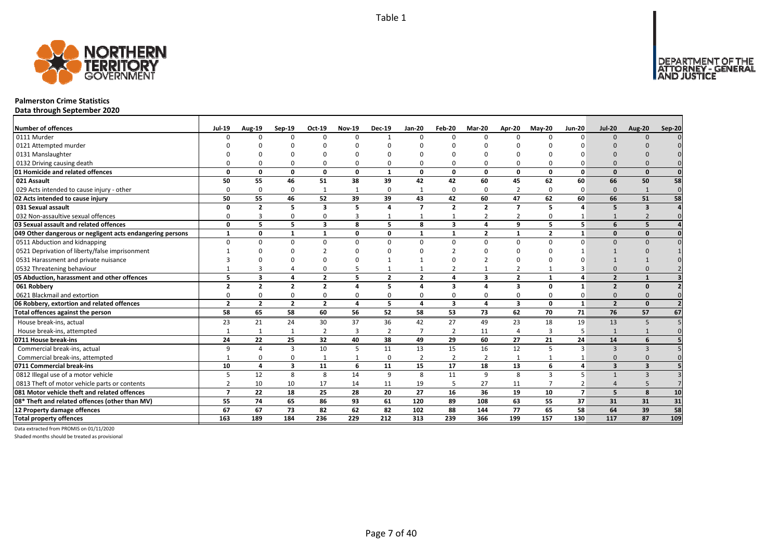

#### **Palmerston Crime Statistics**

**Data through September 2020**

| <b>Number of offences</b>                                 | <b>Jul-19</b>            | <b>Aug-19</b>           | Sep-19                  | Oct-19                  | <b>Nov-19</b> | <b>Dec-19</b>  | Jan-20         | Feb-20         | Mar-20                  | Apr-20                  | $May-20$       | <b>Jun-20</b>  | <b>Jul-20</b>           | <b>Aug-20</b>           | Sep-20   |
|-----------------------------------------------------------|--------------------------|-------------------------|-------------------------|-------------------------|---------------|----------------|----------------|----------------|-------------------------|-------------------------|----------------|----------------|-------------------------|-------------------------|----------|
| 0111 Murder                                               |                          | <sup>n</sup>            | $\Omega$                | $\Omega$                | $\Omega$      |                | $\Omega$       | $\Omega$       | $\Omega$                | $\Omega$                | $\Omega$       | $\Omega$       | $\Omega$                | $\Omega$                |          |
| 0121 Attempted murder                                     |                          |                         |                         |                         |               |                |                |                |                         |                         |                |                |                         |                         |          |
| 0131 Manslaughter                                         |                          |                         |                         |                         |               |                |                |                |                         |                         |                |                |                         |                         |          |
| 0132 Driving causing death                                |                          |                         | $\Omega$                | 0                       | 0             |                |                | O              | $\Omega$                | 0                       |                |                | $\Omega$                |                         |          |
| 01 Homicide and related offences                          | n                        | n                       | $\Omega$                | $\mathbf{0}$            | $\mathbf{0}$  | $\mathbf{1}$   | $\Omega$       | $\Omega$       | $\Omega$                | $\mathbf{0}$            | $\Omega$       | $\Omega$       | $\Omega$                | $\Omega$                |          |
| 021 Assault                                               | 50                       | 55                      | 46                      | 51                      | 38            | 39             | 42             | 42             | 60                      | 45                      | 62             | 60             | 66                      | 50                      | 58       |
| 029 Acts intended to cause injury - other                 | n                        | $\Omega$                | $\Omega$                | 1                       | $\mathbf{1}$  | $\Omega$       |                | $\Omega$       | $\Omega$                | $\overline{2}$          | $\Omega$       | $\Omega$       | $\Omega$                | $\mathbf{1}$            | $\Omega$ |
| 02 Acts intended to cause injury                          | 50                       | 55                      | 46                      | 52                      | 39            | 39             | 43             | 42             | 60                      | 47                      | 62             | 60             | 66                      | 51                      | 58       |
| 031 Sexual assault                                        | $\Omega$                 | $\overline{2}$          | 5                       | $\overline{\mathbf{3}}$ | 5             | $\mathbf{A}$   | $\overline{7}$ | $\overline{2}$ | $\overline{2}$          | $\overline{7}$          | 5              |                | 5                       | $\overline{\mathbf{3}}$ |          |
| 032 Non-assaultive sexual offences                        | O                        |                         | $\Omega$                | $\Omega$                | 3             |                |                |                | $\overline{2}$          | $\overline{2}$          | $\Omega$       |                |                         |                         |          |
| 03 Sexual assault and related offences                    | $\Omega$                 | 5                       | 5                       | $\overline{\mathbf{3}}$ | 8             | 5              | 8              | 3              | 4                       | 9                       | 5              | 5 <sup>1</sup> | 6                       | 5                       |          |
| 049 Other dangerous or negligent acts endangering persons | $\mathbf{1}$             | 0                       | 1                       | $\mathbf{1}$            | 0             | $\Omega$       | 1              | $\mathbf{1}$   | $\overline{2}$          | 1                       | $\overline{2}$ | $\mathbf{1}$   | $\Omega$                | $\mathbf{0}$            |          |
| 0511 Abduction and kidnapping                             | $\Omega$                 |                         | $\Omega$                | $\Omega$                | $\Omega$      | U              | $\Omega$       | $\Omega$       | $\Omega$                | $\Omega$                | $\Omega$       | $\Omega$       | $\Omega$                | $\Omega$                |          |
| 0521 Deprivation of liberty/false imprisonment            |                          |                         |                         |                         | ŋ             |                |                |                |                         |                         |                |                |                         |                         |          |
| 0531 Harassment and private nuisance                      |                          |                         |                         |                         |               |                |                | $\Omega$       |                         |                         |                |                |                         |                         |          |
| 0532 Threatening behaviour                                |                          |                         |                         | $\Omega$                | 5             |                |                |                |                         | 2                       |                |                |                         |                         |          |
| 05 Abduction, harassment and other offences               | 5                        | 3                       | $\mathbf{A}$            | $\overline{2}$          | 5             | $\overline{2}$ | $\overline{2}$ | 4              | $\overline{\mathbf{3}}$ | $\overline{2}$          | $\mathbf{1}$   |                | $\overline{2}$          |                         |          |
| 061 Robbery                                               | $\overline{2}$           | $\overline{\mathbf{z}}$ | $\overline{\mathbf{z}}$ | $\overline{2}$          | 4             | 5              |                | 3              | $\Delta$                | 3                       | $\Omega$       |                | $\overline{2}$          | $\Omega$                |          |
| 0621 Blackmail and extortion                              |                          |                         | $\Omega$                | 0                       | 0             |                |                | $\Omega$       | $\Omega$                | 0                       |                |                | $\Omega$                |                         |          |
| 06 Robbery, extortion and related offences                | $\overline{2}$           | $\overline{2}$          | $\overline{2}$          | $\overline{2}$          | 4             | 5              | 4              | 3              | $\Delta$                | $\overline{\mathbf{3}}$ | 0              | $\mathbf{1}$   | $\overline{2}$          | $\Omega$                |          |
| Total offences against the person                         | 58                       | 65                      | 58                      | 60                      | 56            | 52             | 58             | 53             | 73                      | 62                      | 70             | 71             | 76                      | 57                      | 67       |
| House break-ins, actual                                   | 23                       | 21                      | 24                      | 30                      | 37            | 36             | 42             | 27             | 49                      | 23                      | 18             | 19             | 13                      | 5                       |          |
| House break-ins, attempted                                |                          | $\mathbf{1}$            | $\mathbf{1}$            | $\overline{2}$          | 3             | $\overline{2}$ | $\overline{7}$ | $\overline{2}$ | 11                      | $\overline{a}$          | 3              | 5              |                         |                         |          |
| 0711 House break-ins                                      | 24                       | 22                      | 25                      | 32                      | 40            | 38             | 49             | 29             | 60                      | 27                      | 21             | 24             | 14                      | 6                       |          |
| Commercial break-ins, actual                              | a                        | $\overline{a}$          | 3                       | 10                      | 5             | 11             | 13             | 15             | 16                      | 12                      |                | 3              | $\mathbf{3}$            | 3                       |          |
| Commercial break-ins, attempted                           |                          |                         | $\Omega$                | $\mathbf{1}$            | 1             | $\Omega$       | 2              | $\overline{2}$ | $\overline{2}$          | 1                       |                |                | $\Omega$                | $\Omega$                |          |
| 0711 Commercial break-ins                                 | 10                       | 4                       | $\overline{\mathbf{3}}$ | 11                      | 6             | 11             | 15             | 17             | 18                      | 13                      | 6              | Δ              | $\overline{\mathbf{3}}$ | $\overline{\mathbf{3}}$ |          |
| 0812 Illegal use of a motor vehicle                       | 5                        | 12                      | 8                       | 8                       | 14            | q              | 8              | 11             | 9                       | 8                       | $\overline{3}$ |                |                         | $\overline{3}$          |          |
| 0813 Theft of motor vehicle parts or contents             |                          | 10                      | 10                      | 17                      | 14            | 11             | 19             | 5              | 27                      | 11                      |                |                |                         |                         |          |
| 081 Motor vehicle theft and related offences              | $\overline{\phantom{a}}$ | 22                      | 18                      | 25                      | 28            | 20             | 27             | 16             | 36                      | 19                      | 10             | $\overline{7}$ | 5                       | 8                       | 10       |
| 08* Theft and related offences (other than MV)            | 55                       | 74                      | 65                      | 86                      | 93            | 61             | 120            | 89             | 108                     | 63                      | 55             | 37             | 31                      | 31                      | 31       |
| 12 Property damage offences                               | 67                       | 67                      | 73                      | 82                      | 62            | 82             | 102            | 88             | 144                     | 77                      | 65             | 58             | 64                      | 39                      | 58       |
| <b>Total property offences</b>                            | 163                      | 189                     | 184                     | 236                     | 229           | 212            | 313            | 239            | 366                     | 199                     | 157            | 130            | 117                     | 87                      | 109      |

Data extracted from PROMIS on 01/11/2020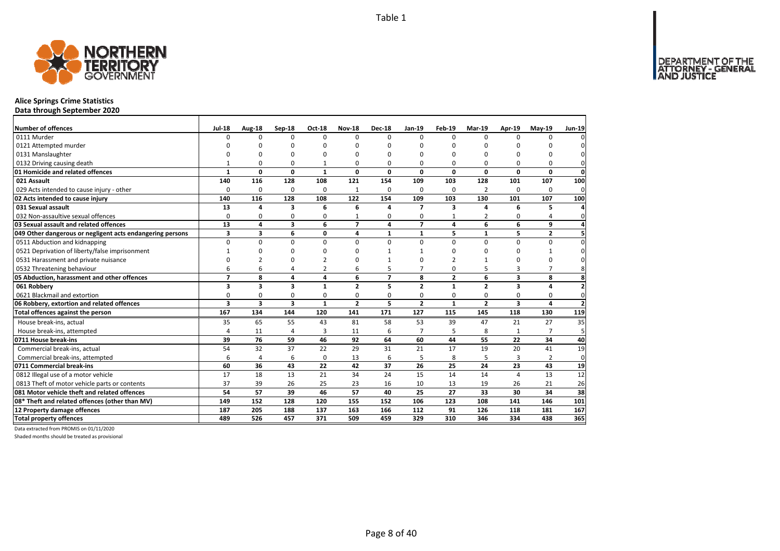

## **Alice Springs Crime Statistics**

**Data through September 2020**

| Number of offences                                        | <b>Jul-18</b>   | Aug-18   | Sep-18                  | Oct-18         | <b>Nov-18</b>  | <b>Dec-18</b>  | Jan-19         | Feb-19         | Mar-19         | Apr-19       | $May-19$       | Jun-19                  |
|-----------------------------------------------------------|-----------------|----------|-------------------------|----------------|----------------|----------------|----------------|----------------|----------------|--------------|----------------|-------------------------|
| 0111 Murder                                               | $\Omega$        | 0        | $\Omega$                | $\Omega$       | $\Omega$       | $\Omega$       | $\Omega$       | $\Omega$       | $\Omega$       | $\Omega$     | O              |                         |
| 0121 Attempted murder                                     | ŋ               | n        | ŋ                       | $\Omega$       | ŋ              | U              | n              | n              | $\Omega$       | O            | ŋ              |                         |
| 0131 Manslaughter                                         | O               | $\Omega$ | 0                       | $\Omega$       | O              | O              | $\Omega$       | $\Omega$       | $\Omega$       | $\Omega$     | 0              | $\Omega$                |
| 0132 Driving causing death                                |                 | 0        | 0                       | $\mathbf{1}$   | O              | O              | 0              | $\Omega$       | $\Omega$       | $\Omega$     | 0              | $\Omega$                |
| 01 Homicide and related offences                          | $\mathbf{1}$    | 0        | 0                       | $\mathbf{1}$   | 0              | 0              | 0              | 0              | $\mathbf 0$    | 0            | 0              | 0                       |
| 021 Assault                                               | 140             | 116      | 128                     | 108            | 121            | 154            | 109            | 103            | 128            | 101          | 107            | 100                     |
| 029 Acts intended to cause injury - other                 | $\Omega$        | 0        | 0                       | 0              | 1              | 0              | $\Omega$       | $\Omega$       | $\overline{2}$ | $\Omega$     | 0              | 0                       |
| 02 Acts intended to cause injury                          | 140             | 116      | 128                     | 108            | 122            | 154            | 109            | 103            | 130            | 101          | 107            | 100                     |
| 031 Sexual assault                                        | 13              | 4        | 3                       | 6              | 6              | 4              | $\overline{ }$ | 3              | Δ              | 6            | 5              |                         |
| 032 Non-assaultive sexual offences                        | $\Omega$        | 0        | 0                       | $\Omega$       |                | 0              | $\Omega$       |                | $\overline{2}$ | 0            | 4              | $\Omega$                |
| 03 Sexual assault and related offences                    | $\overline{13}$ | 4        | 3                       | 6              | $\overline{z}$ | 4              | $\overline{7}$ | 4              | 6              | 6            | 9              |                         |
| 049 Other dangerous or negligent acts endangering persons | 3               | 3        | 6                       | $\mathbf 0$    | 4              | 1              | $\mathbf{1}$   | 5              | 1              | 5            | $\overline{2}$ |                         |
| 0511 Abduction and kidnapping                             | 0               | 0        | 0                       | $\mathbf 0$    | $\Omega$       | 0              | $\Omega$       | $\Omega$       | $\Omega$       | 0            | 0              | $\Omega$                |
| 0521 Deprivation of liberty/false imprisonment            |                 | $\Omega$ | $\Omega$                | $\Omega$       | ŋ              |                |                | n              | $\Omega$       | $\Omega$     |                | $\Omega$                |
| 0531 Harassment and private nuisance                      | $\Omega$        |          | ŋ                       |                | ŋ              |                | O              |                |                | O            | 0              |                         |
| 0532 Threatening behaviour                                | 6               | 6        | $\overline{4}$          | $\overline{2}$ | 6              | 5              | $\overline{7}$ | 0              | 5              | 3            | $\overline{7}$ | 8                       |
| 05 Abduction, harassment and other offences               | $\overline{7}$  | 8        | 4                       | $\overline{a}$ | 6              | $\overline{ }$ | 8              | $\overline{2}$ | 6              | 3            | 8              | 8                       |
| 061 Robbery                                               | 3               | 3        | $\overline{\mathbf{3}}$ | $\mathbf{1}$   | $\overline{2}$ | 5              | $\overline{2}$ | $\mathbf{1}$   | $\overline{2}$ | 3            | 4              | $\overline{2}$          |
| 0621 Blackmail and extortion                              | 0               | 0        | 0                       | $\Omega$       | 0              | 0              | $\Omega$       | $\Omega$       | $\Omega$       | $\Omega$     | 0              | $\Omega$                |
| 06 Robbery, extortion and related offences                | 3               | 3        | $\overline{\mathbf{3}}$ | $\mathbf{1}$   | $\mathbf{2}$   | 5              | $\overline{2}$ | $\mathbf{1}$   | $\overline{2}$ | 3            | $\overline{a}$ | $\overline{\mathbf{z}}$ |
| Total offences against the person                         | 167             | 134      | 144                     | 120            | 141            | 171            | 127            | 115            | 145            | 118          | 130            | 119                     |
| House break-ins, actual                                   | 35              | 65       | 55                      | 43             | 81             | 58             | 53             | 39             | 47             | 21           | 27             | 35                      |
| House break-ins, attempted                                | 4               | 11       | $\overline{4}$          | 3              | 11             | 6              | $\overline{7}$ | 5              | 8              | $\mathbf{1}$ |                | 5                       |
| 0711 House break-ins                                      | 39              | 76       | 59                      | 46             | 92             | 64             | 60             | 44             | 55             | 22           | 34             | 40                      |
| Commercial break-ins, actual                              | 54              | 32       | 37                      | 22             | 29             | 31             | 21             | 17             | 19             | 20           | 41             | 19                      |
| Commercial break-ins, attempted                           | 6               | 4        | 6                       | $\mathbf 0$    | 13             | 6              | 5              | 8              | 5              | 3            | $\overline{2}$ | $\Omega$                |
| 0711 Commercial break-ins                                 | 60              | 36       | 43                      | 22             | 42             | 37             | 26             | 25             | 24             | 23           | 43             | 19                      |
| 0812 Illegal use of a motor vehicle                       | 17              | 18       | 13                      | 21             | 34             | 24             | 15             | 14             | 14             | 4            | 13             | 12                      |
| 0813 Theft of motor vehicle parts or contents             | 37              | 39       | 26                      | 25             | 23             | 16             | 10             | 13             | 19             | 26           | 21             | 26                      |
| 081 Motor vehicle theft and related offences              | 54              | 57       | 39                      | 46             | 57             | 40             | 25             | 27             | 33             | 30           | 34             | 38                      |
| 08* Theft and related offences (other than MV)            | 149             | 152      | 128                     | 120            | 155            | 152            | 106            | 123            | 108            | 141          | 146            | 101                     |
| 12 Property damage offences                               | 187             | 205      | 188                     | 137            | 163            | 166            | 112            | 91             | 126            | 118          | 181            | 167                     |
| <b>Total property offences</b>                            | 489             | 526      | 457                     | 371            | 509            | 459            | 329            | 310            | 346            | 334          | 438            | 365                     |

Data extracted from PROMIS on 01/11/2020

Shaded months should be treated as provisional

DEPARTMENT OF THE<br>ATTORNEY - GENERAL<br>AND JUSTICE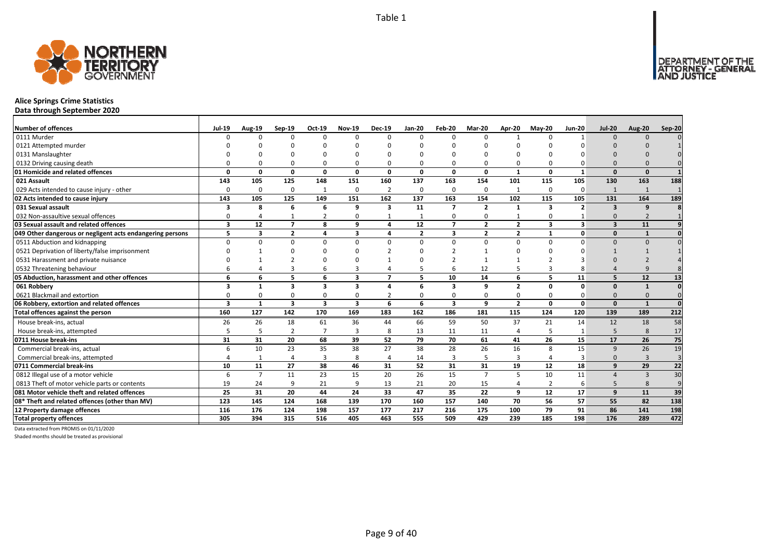

# **Alice Springs Crime Statistics**

**Data through September 2020**

| <b>Number of offences</b>                                 | Jul-19                  | <b>Aug-19</b>  | Sep-19                  | Oct-19                  | <b>Nov-19</b> | <b>Dec-19</b>           | <b>Jan-20</b>  | Feb-20         | Mar-20         | Apr-20         | $May-20$                | <b>Jun-20</b>  | <b>Jul-20</b>           | Aug-20         | Sep-20         |
|-----------------------------------------------------------|-------------------------|----------------|-------------------------|-------------------------|---------------|-------------------------|----------------|----------------|----------------|----------------|-------------------------|----------------|-------------------------|----------------|----------------|
| 0111 Murder                                               | n                       | $\Omega$       | $\Omega$                | $\Omega$                | $\Omega$      | $\Omega$                | U              | $\Omega$       | $\Omega$       |                |                         |                | $\Omega$                | $\Omega$       |                |
| 0121 Attempted murder                                     |                         |                |                         |                         |               |                         |                |                |                |                |                         |                |                         |                |                |
| 0131 Manslaughter                                         |                         |                |                         |                         |               |                         |                |                |                |                |                         |                |                         |                |                |
| 0132 Driving causing death                                |                         |                |                         |                         | $\Omega$      |                         |                |                | $\Omega$       | $\Omega$       |                         |                |                         |                |                |
| 01 Homicide and related offences                          | O                       | 0              | $\Omega$                | 0                       | $\mathbf{0}$  | $\Omega$                | O              | $\Omega$       | $\mathbf{0}$   | $\mathbf{1}$   | $\Omega$                | $\mathbf{1}$   | $\Omega$                | $\Omega$       |                |
| 021 Assault                                               | 143                     | 105            | 125                     | 148                     | 151           | 160                     | 137            | 163            | 154            | 101            | 115                     | 105            | 130                     | 163            | 188            |
| 029 Acts intended to cause injury - other                 | $\Omega$                | $\Omega$       | $\Omega$                | 1                       | $\mathbf 0$   | $\overline{2}$          | 0              | $\Omega$       | $\mathbf 0$    | $\mathbf{1}$   | $\Omega$                | 0              | 1                       | $\mathbf{1}$   |                |
| 02 Acts intended to cause injury                          | 143                     | 105            | 125                     | 149                     | 151           | 162                     | 137            | 163            | 154            | 102            | 115                     | 105            | 131                     | 164            | 189            |
| 031 Sexual assault                                        | 3                       | 8              | 6                       | 6                       | 9             | $\overline{\mathbf{3}}$ | 11             | $\overline{ }$ | $\overline{2}$ | $\mathbf{1}$   | $\overline{\mathbf{3}}$ | $\overline{2}$ | $\overline{\mathbf{3}}$ | 9              |                |
| 032 Non-assaultive sexual offences                        | 0                       |                |                         | $\overline{2}$          | 0             |                         |                | $\Omega$       | 0              | $\mathbf{1}$   | $\Omega$                |                | $\Omega$                |                |                |
| 03 Sexual assault and related offences                    | $\overline{\mathbf{3}}$ | 12             | $\overline{7}$          | 8                       | 9             | 4                       | 12             | $\overline{7}$ | $\overline{2}$ | $\overline{2}$ | $\overline{\mathbf{3}}$ | $\mathbf{3}$   | $\overline{\mathbf{3}}$ | 11             |                |
| 049 Other dangerous or negligent acts endangering persons | 5.                      | 3              | $\overline{2}$          | 4                       | 3             | $\Delta$                | $\overline{2}$ | 3              | $\overline{2}$ | $\overline{2}$ | $\mathbf 1$             | 0              | $\Omega$                | $\mathbf{1}$   |                |
| 0511 Abduction and kidnapping                             | 0                       | $\Omega$       | $\Omega$                | $\Omega$                | $\mathbf 0$   | $\Omega$                | $\Omega$       | $\Omega$       | $\Omega$       | 0              | $\Omega$                | $\Omega$       | $\Omega$                | $\Omega$       |                |
| 0521 Deprivation of liberty/false imprisonment            |                         |                |                         |                         | <sup>n</sup>  |                         |                |                |                | $\Omega$       |                         |                |                         |                |                |
| 0531 Harassment and private nuisance                      |                         |                |                         |                         | $\Omega$      |                         |                |                |                |                |                         |                |                         |                |                |
| 0532 Threatening behaviour                                |                         |                | 3                       | 6                       | 3             |                         |                |                | 12             | 5              |                         |                |                         |                |                |
| 05 Abduction, harassment and other offences               | 6                       | 6              | 5                       | 6                       | 3             | $\overline{ }$          | 5              | 10             | 14             | 6              | 5                       | 11             | 5                       | 12             | 13             |
| 061 Robbery                                               | 3                       | $\mathbf{1}$   | 3                       | 3                       | 3             | 4                       | 6              | 3              | 9              | $\overline{2}$ | $\Omega$                | $\Omega$       | $\Omega$                | $\mathbf{1}$   |                |
| 0621 Blackmail and extortion                              | 0                       | $\Omega$       | 0                       | 0                       | 0             |                         |                | $\Omega$       | $\mathbf 0$    | 0              | $\Omega$                |                | $\Omega$                | $\Omega$       |                |
| 06 Robbery, extortion and related offences                | 3                       | $\mathbf{1}$   | $\overline{\mathbf{3}}$ | $\overline{\mathbf{3}}$ | 3             | 6                       | 6              | 3              | 9              | $\overline{2}$ | $\Omega$                | $\Omega$       | $\Omega$                | $\mathbf{1}$   | $\Omega$       |
| Total offences against the person                         | 160                     | 127            | 142                     | 170                     | 169           | 183                     | 162            | 186            | 181            | 115            | 124                     | 120            | 139                     | 189            | 212            |
| House break-ins, actual                                   | 26                      | 26             | 18                      | 61                      | 36            | 44                      | 66             | 59             | 50             | 37             | 21                      | 14             | 12                      | 18             | 58             |
| House break-ins, attempted                                | 5                       | 5              | $\overline{2}$          | $\overline{7}$          | 3             | 8                       | 13             | 11             | 11             | 4              |                         |                | 5                       | 8              | 17             |
| 0711 House break-ins                                      | 31                      | 31             | 20                      | 68                      | 39            | 52                      | 79             | 70             | 61             | 41             | 26                      | 15             | 17                      | 26             | 75             |
| Commercial break-ins, actual                              | 6                       | 10             | 23                      | 35                      | 38            | 27                      | 38             | 28             | 26             | 16             | 8                       | 15             | 9                       | 26             | 19             |
| Commercial break-ins, attempted                           |                         | 1              | $\Delta$                | 3                       | 8             |                         | 14             | 3              | -5             | 3              | Δ                       | 3              | $\Omega$                | $\overline{3}$ | $\overline{3}$ |
| 0711 Commercial break-ins                                 | 10                      | 11             | 27                      | 38                      | 46            | 31                      | 52             | 31             | 31             | 19             | 12                      | 18             | 9                       | 29             | 22             |
| 0812 Illegal use of a motor vehicle                       | 6                       | $\overline{7}$ | 11                      | 23                      | 15            | 20                      | 26             | 15             | $\overline{7}$ | 5              | 10                      | 11             |                         | $\overline{3}$ | 30             |
| 0813 Theft of motor vehicle parts or contents             | 19                      | 24             | q                       | 21                      | 9             | 13                      | 21             | 20             | 15             | 4              | $\overline{2}$          | 6              | 5                       | 8              | 9              |
| 081 Motor vehicle theft and related offences              | 25                      | 31             | 20                      | 44                      | 24            | 33                      | 47             | 35             | 22             | 9              | 12                      | 17             | 9                       | 11             | 39             |
| 08* Theft and related offences (other than MV)            | 123                     | 145            | 124                     | 168                     | 139           | 170                     | 160            | 157            | 140            | 70             | 56                      | 57             | 55                      | 82             | 138            |
| 12 Property damage offences                               | 116                     | 176            | 124                     | 198                     | 157           | 177                     | 217            | 216            | 175            | 100            | 79                      | 91             | 86                      | 141            | 198            |
| <b>Total property offences</b>                            | 305                     | 394            | 315                     | 516                     | 405           | 463                     | 555            | 509            | 429            | 239            | 185                     | 198            | 176                     | 289            | 472            |

Data extracted from PROMIS on 01/11/2020

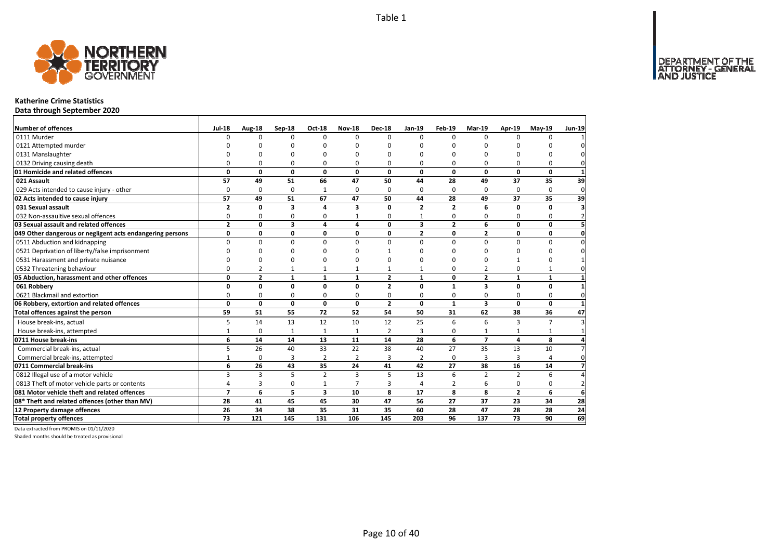

#### **Katherine Crime Statistics**

**Data through September 2020**

| <b>Number of offences</b>                                 | <b>Jul-18</b>  | Aug-18         | Sep-18                  | <b>Oct-18</b>           | <b>Nov-18</b>           | <b>Dec-18</b>  | $Jan-19$                | Feb-19         | Mar-19                  | Apr-19         | <b>Mav-19</b> | <b>Jun-19</b>   |
|-----------------------------------------------------------|----------------|----------------|-------------------------|-------------------------|-------------------------|----------------|-------------------------|----------------|-------------------------|----------------|---------------|-----------------|
| 0111 Murder                                               | U              | $\Omega$       | $\Omega$                | $\Omega$                | $\Omega$                | $\Omega$       | $\Omega$                | $\Omega$       | $\Omega$                | $\Omega$       | $\Omega$      |                 |
| 0121 Attempted murder                                     |                | n              | ŋ                       | n                       | n                       | n              | $\Omega$                |                | $\Omega$                | ŋ              | n             |                 |
| 0131 Manslaughter                                         |                | C              | ŋ                       | n                       |                         | n              | $\Omega$                |                | $\Omega$                | U              | O             |                 |
| 0132 Driving causing death                                | O              | $\Omega$       | 0                       | $\Omega$                | 0                       | 0              | $\Omega$                | O              | $\Omega$                | $\Omega$       | 0             |                 |
| 01 Homicide and related offences                          | 0              | $\mathbf{0}$   | $\mathbf 0$             | $\mathbf{0}$            | $\mathbf{0}$            | $\Omega$       | $\mathbf{0}$            | $\mathbf 0$    | 0                       | 0              | $\mathbf{0}$  | 1               |
| 021 Assault                                               | 57             | 49             | 51                      | 66                      | 47                      | 50             | 44                      | 28             | 49                      | 37             | 35            | 39              |
| 029 Acts intended to cause injury - other                 | 0              | 0              | 0                       | 1                       | $\Omega$                | 0              | $\Omega$                | $\Omega$       | $\Omega$                | $\Omega$       | 0             | 0               |
| 02 Acts intended to cause injury                          | 57             | 49             | 51                      | 67                      | 47                      | 50             | 44                      | 28             | 49                      | 37             | 35            | 39              |
| 031 Sexual assault                                        | $\overline{2}$ | 0              | $\overline{\mathbf{3}}$ | 4                       | 3                       | $\Omega$       | $\overline{\mathbf{z}}$ | $\overline{2}$ | 6                       | $\Omega$       | 0             | 3               |
| 032 Non-assaultive sexual offences                        | 0              | 0              | 0                       | 0                       | 1                       | 0              | $\mathbf{1}$            | 0              | $\Omega$                | $\Omega$       | 0             | $\overline{2}$  |
| 03 Sexual assault and related offences                    | $\overline{2}$ | 0              | $\overline{\mathbf{3}}$ | 4                       | 4                       | 0              | 3                       | $\overline{2}$ | 6                       | 0              | 0             |                 |
| 049 Other dangerous or negligent acts endangering persons | 0              | 0              | 0                       | 0                       | $\mathbf{0}$            | 0              | $\overline{2}$          | $\mathbf 0$    | $\overline{2}$          | 0              | 0             | $\mathbf 0$     |
| 0511 Abduction and kidnapping                             | $\Omega$       | $\Omega$       | $\Omega$                | $\Omega$                | $\Omega$                | $\Omega$       | $\Omega$                | $\Omega$       | $\Omega$                | $\Omega$       | $\Omega$      |                 |
| 0521 Deprivation of liberty/false imprisonment            | n              | n              | 0                       | n                       | n                       |                | ∩                       | n              | ŋ                       | $\Omega$       | U             |                 |
| 0531 Harassment and private nuisance                      | n              | O              | $\Omega$                | $\Omega$                | n                       | n              | $\Omega$                | n              | $\Omega$                | $\mathbf{1}$   | 0             |                 |
| 0532 Threatening behaviour                                | 0              | $\overline{2}$ | $\mathbf{1}$            | $\mathbf{1}$            | 1                       |                | $\mathbf{1}$            | $\Omega$       | $\overline{2}$          | $\Omega$       | $\mathbf{1}$  |                 |
| 05 Abduction, harassment and other offences               | 0              | $\mathbf{2}$   | $\mathbf{1}$            | $\mathbf{1}$            | $\mathbf{1}$            | $\overline{2}$ | $\mathbf{1}$            | 0              | $\overline{2}$          | $\mathbf{1}$   | $\mathbf{1}$  |                 |
| 061 Robbery                                               | 0              | 0              | 0                       | $\mathbf{0}$            | 0                       | $\overline{2}$ | 0                       | $\mathbf{1}$   | 3                       | 0              | 0             |                 |
| 0621 Blackmail and extortion                              | 0              | 0              | 0                       | 0                       | $\Omega$                | 0              | 0                       | 0              | $\Omega$                | $\Omega$       | 0             | $\Omega$        |
| 06 Robbery, extortion and related offences                | 0              | 0              | $\mathbf{0}$            | $\mathbf{0}$            | 0                       | $\mathbf{2}$   | $\mathbf{0}$            | $\mathbf{1}$   | $\overline{\mathbf{3}}$ | 0              | $\mathbf{0}$  |                 |
| Total offences against the person                         | 59             | 51             | 55                      | 72                      | 52                      | 54             | 50                      | 31             | 62                      | 38             | 36            | 47              |
| House break-ins, actual                                   | 5              | 14             | 13                      | 12                      | 10                      | 12             | 25                      | 6              | 6                       | З              | 7             |                 |
| House break-ins, attempted                                | $\mathbf{1}$   | 0              | $\mathbf{1}$            | $\mathbf{1}$            | $\mathbf{1}$            | $\overline{2}$ | 3                       | 0              | 1                       | $\mathbf{1}$   | $\mathbf{1}$  |                 |
| 0711 House break-ins                                      | 6              | 14             | 14                      | 13                      | 11                      | 14             | 28                      | 6              | $\overline{7}$          | 4              | 8             |                 |
| Commercial break-ins, actual                              | 5              | 26             | 40                      | 33                      | 22                      | 38             | 40                      | 27             | 35                      | 13             | 10            |                 |
| Commercial break-ins, attempted                           | $\mathbf{1}$   | $\mathbf 0$    | $\overline{3}$          | $\overline{2}$          | $\overline{2}$          | 3              | $\overline{2}$          | $\Omega$       | 3                       | 3              | 4             | $\Omega$        |
| 0711 Commercial break-ins                                 | 6              | 26             | 43                      | 35                      | 24                      | 41             | 42                      | 27             | 38                      | 16             | 14            |                 |
| 0812 Illegal use of a motor vehicle                       | 3              | 3              | 5                       | $\overline{2}$          | $\overline{\mathbf{3}}$ | 5              | 13                      | 6              | $\overline{2}$          | $\overline{2}$ | 6             |                 |
| 0813 Theft of motor vehicle parts or contents             | 4              | 3              | 0                       | $\mathbf{1}$            | 7                       | 3              | $\overline{4}$          | 2              | 6                       | 0              | 0             | $\mathcal{P}$   |
| 081 Motor vehicle theft and related offences              | $\overline{ }$ | 6              | 5                       | $\overline{\mathbf{3}}$ | 10                      | 8              | 17                      | 8              | 8                       | $\overline{2}$ | 6             | 6               |
| 08* Theft and related offences (other than MV)            | 28             | 41             | 45                      | 45                      | 30                      | 47             | 56                      | 27             | 37                      | 23             | 34            | 28              |
| 12 Property damage offences                               | 26             | 34             | 38                      | 35                      | 31                      | 35             | 60                      | 28             | 47                      | 28             | 28            | $\overline{24}$ |
| <b>Total property offences</b>                            | 73             | 121            | 145                     | 131                     | 106                     | 145            | 203                     | 96             | 137                     | 73             | 90            | 69              |

Data extracted from PROMIS on 01/11/2020

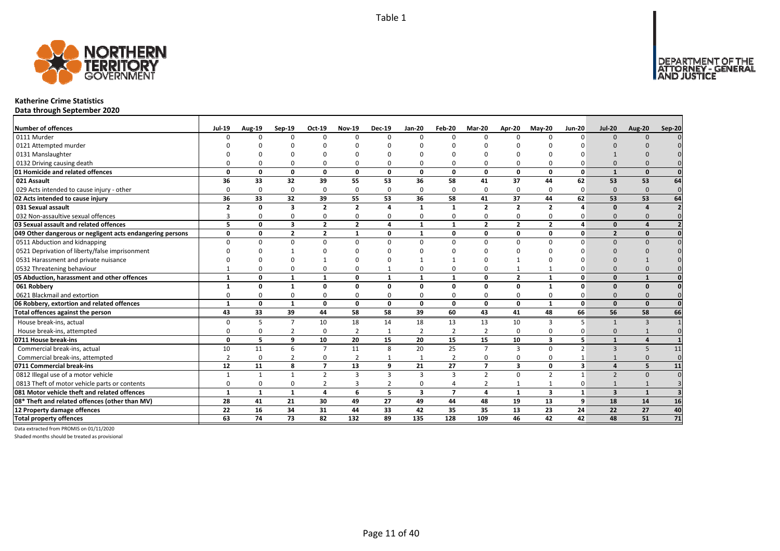

## **Katherine Crime Statistics**

**Data through September 2020**

| <b>Number of offences</b>                                 | <b>Jul-19</b>  | Aug-19       | Sep-19                  | Oct-19         | <b>Nov-19</b>  | <b>Dec-19</b>  | <b>Jan-20</b>           | Feb-20                   | <b>Mar-20</b>  | Apr-20         | $M$ ay-20               | <b>Jun-20</b>            | <b>Jul-20</b>            | <b>Aug-20</b> | Sep-20          |
|-----------------------------------------------------------|----------------|--------------|-------------------------|----------------|----------------|----------------|-------------------------|--------------------------|----------------|----------------|-------------------------|--------------------------|--------------------------|---------------|-----------------|
| 0111 Murder                                               |                | ŋ            | $\Omega$                | $\Omega$       | 0              | $\Omega$       | $\Omega$                | $\Omega$                 | $\Omega$       | $\Omega$       | $\Omega$                | $\Omega$                 | $\Omega$                 | $\Omega$      |                 |
| 0121 Attempted murder                                     |                |              |                         |                |                |                |                         |                          |                |                |                         |                          |                          |               |                 |
| 0131 Manslaughter                                         |                |              |                         |                |                |                |                         |                          |                |                |                         |                          |                          |               |                 |
| 0132 Driving causing death                                |                |              | <sup>0</sup>            | $\Omega$       | O              |                |                         | $\Omega$                 | $\Omega$       | <sup>0</sup>   |                         |                          |                          |               |                 |
| 01 Homicide and related offences                          | $\Omega$       | U            | 0                       | $\mathbf 0$    | $\mathbf{0}$   | $\Omega$       | $\Omega$                | <sup>0</sup>             | $\Omega$       | $\mathbf{0}$   | $\Omega$                | $\Omega$                 |                          | $\Omega$      |                 |
| 021 Assault                                               | 36             | 33           | 32                      | 39             | 55             | 53             | 36                      | 58                       | 41             | 37             | 44                      | 62                       | 53                       | 53            | 64              |
| 029 Acts intended to cause injury - other                 | n              | $\Omega$     | 0                       | $\mathbf 0$    | 0              | $\Omega$       | 0                       | $\Omega$                 | $\Omega$       | 0              | $\Omega$                | 0                        | $\Omega$                 | $\Omega$      | $\Omega$        |
| 02 Acts intended to cause injury                          | 36             | 33           | 32                      | 39             | 55             | 53             | 36                      | 58                       | 41             | 37             | 44                      | 62                       | 53                       | 53            | 64              |
| 031 Sexual assault                                        | $\overline{2}$ | $\Omega$     | 3                       | $\overline{2}$ | $\overline{2}$ | $\mathbf{A}$   | $\mathbf{1}$            | $\mathbf{1}$             | $\overline{2}$ | $\overline{2}$ | $\overline{2}$          |                          | $\Omega$                 |               |                 |
| 032 Non-assaultive sexual offences                        |                | O            | $\Omega$                | 0              | 0              | O              | 0                       | $\Omega$                 | 0              | 0              | $\Omega$                |                          | $\Omega$                 | $\Omega$      |                 |
| 03 Sexual assault and related offences                    | 5              | $\Omega$     | 3                       | $\overline{2}$ | $\overline{2}$ | 4              | $\mathbf{1}$            | $\mathbf{1}$             | $\overline{2}$ | $\overline{2}$ | $\overline{2}$          | 4                        | $\Omega$                 |               |                 |
| 049 Other dangerous or negligent acts endangering persons | $\Omega$       | O            | $\overline{\mathbf{z}}$ | $\overline{2}$ | 1              | $\Omega$       | $\mathbf{1}$            | 0                        | $\Omega$       | 0              | 0                       | $\mathbf{0}$             | $\overline{\phantom{a}}$ | $\Omega$      | $\Omega$        |
| 0511 Abduction and kidnapping                             | n              | U            | $\Omega$                | $\Omega$       | $\Omega$       | $\Omega$       | $\Omega$                | $\Omega$                 | $\Omega$       | $\Omega$       | $\Omega$                | O                        | $\Omega$                 | $\Omega$      |                 |
| 0521 Deprivation of liberty/false imprisonment            |                |              |                         | ∩              |                |                |                         | n                        |                |                |                         |                          |                          |               |                 |
| 0531 Harassment and private nuisance                      |                |              | n                       |                |                |                |                         |                          | $\Omega$       |                |                         |                          |                          |               |                 |
| 0532 Threatening behaviour                                |                |              | <sup>0</sup>            | 0              | 0              |                | 0                       | $\Omega$                 | $\Omega$       | $\mathbf{1}$   |                         |                          |                          |               |                 |
| 05 Abduction, harassment and other offences               | $\mathbf{1}$   | O            | 1                       | $\mathbf{1}$   | 0              | $\mathbf{1}$   | $\mathbf{1}$            | $\mathbf{1}$             | $\Omega$       | $\mathbf{2}$   | $\mathbf{1}$            | O                        | $\Omega$                 | $\mathbf{1}$  |                 |
| 061 Robbery                                               |                | O            | 1                       | $\mathbf 0$    | 0              | $\Omega$       | $\Omega$                | O                        | $\mathbf{0}$   | 0              | $\mathbf{1}$            | $\Omega$                 | $\Omega$                 | $\Omega$      |                 |
| 0621 Blackmail and extortion                              |                | O            | $\Omega$                | 0              | 0              | $\Omega$       | 0                       | $\Omega$                 | $\Omega$       | 0              | $\Omega$                | ŋ                        | $\Omega$                 |               |                 |
| 06 Robbery, extortion and related offences                | $\mathbf{1}$   | 0            | $\mathbf{1}$            | $\mathbf 0$    | 0              | 0              | 0                       | 0                        | $\mathbf{0}$   | 0              | 1                       | $\mathbf{0}$             | $\Omega$                 | $\Omega$      | $\Omega$        |
| Total offences against the person                         | 43             | 33           | 39                      | 44             | 58             | 58             | 39                      | 60                       | 43             | 41             | 48                      | 66                       | 56                       | 58            | 66              |
| House break-ins, actual                                   | <sup>n</sup>   | 5            | $\overline{7}$          | 10             | 18             | 14             | 18                      | 13                       | 13             | 10             | 3                       | 5                        |                          | $\mathbf{B}$  |                 |
| House break-ins, attempted                                | n              | O            | $\overline{2}$          | $\mathbf 0$    | $\overline{2}$ |                | $\overline{2}$          | $\overline{2}$           | $\overline{2}$ | 0              | $\Omega$                | ŋ                        | $\Omega$                 |               |                 |
| 0711 House break-ins                                      | $\Omega$       | 5.           | 9                       | 10             | 20             | 15             | 20                      | 15                       | 15             | 10             | $\overline{\mathbf{3}}$ | 5                        |                          |               |                 |
| Commercial break-ins, actual                              | 10             | 11           | 6                       | $\overline{7}$ | 11             | $\mathbf{8}$   | 20                      | 25                       | $\overline{7}$ | $\overline{3}$ | $\Omega$                | $\overline{\phantom{a}}$ | $\mathbf{3}$             | 5             | 11              |
| Commercial break-ins, attempted                           | $\mathcal{P}$  | $\Omega$     | $\overline{2}$          | 0              | $\overline{2}$ |                |                         | $\overline{2}$           | $\Omega$       | 0              | $\Omega$                |                          |                          | $\Omega$      | $\Omega$        |
| 0711 Commercial break-ins                                 | 12             | 11           | 8                       | $\overline{7}$ | 13             | 9              | 21                      | 27                       | $\overline{7}$ | 3              | 0                       | 3                        | $\mathbf{A}$             | 5             | 11              |
| 0812 Illegal use of a motor vehicle                       |                | $\mathbf{1}$ | $\mathbf{1}$            | $\overline{2}$ | 3              | 3              | 3                       | $\mathbf{3}$             | $\overline{2}$ | 0              | $\overline{2}$          |                          | $\overline{\phantom{0}}$ | $\Omega$      |                 |
| 0813 Theft of motor vehicle parts or contents             | $\Omega$       | O            | $\Omega$                | $\overline{2}$ | 3              | $\overline{2}$ | 0                       | $\overline{a}$           | $\overline{2}$ | $\mathbf{1}$   |                         | ŋ                        |                          |               |                 |
| 081 Motor vehicle theft and related offences              | 1              | $\mathbf{1}$ | 1                       | $\overline{a}$ | 6              | 5              | $\overline{\mathbf{3}}$ | $\overline{\phantom{a}}$ | $\overline{a}$ | $\mathbf{1}$   | $\overline{\mathbf{3}}$ | $\mathbf{1}$             | $\overline{3}$           | $\mathbf{1}$  |                 |
| 08* Theft and related offences (other than MV)            | 28             | 41           | 21                      | 30             | 49             | 27             | 49                      | 44                       | 48             | 19             | 13                      | 9                        | 18                       | 14            | 16              |
| 12 Property damage offences                               | 22             | 16           | 34                      | 31             | 44             | 33             | 42                      | 35                       | 35             | 13             | 23                      | 24                       | 22                       | 27            | 40              |
| <b>Total property offences</b>                            | 63             | 74           | 73                      | 82             | 132            | 89             | 135                     | 128                      | 109            | 46             | 42                      | 42                       | 48                       | 51            | $\overline{71}$ |

Data extracted from PROMIS on 01/11/2020

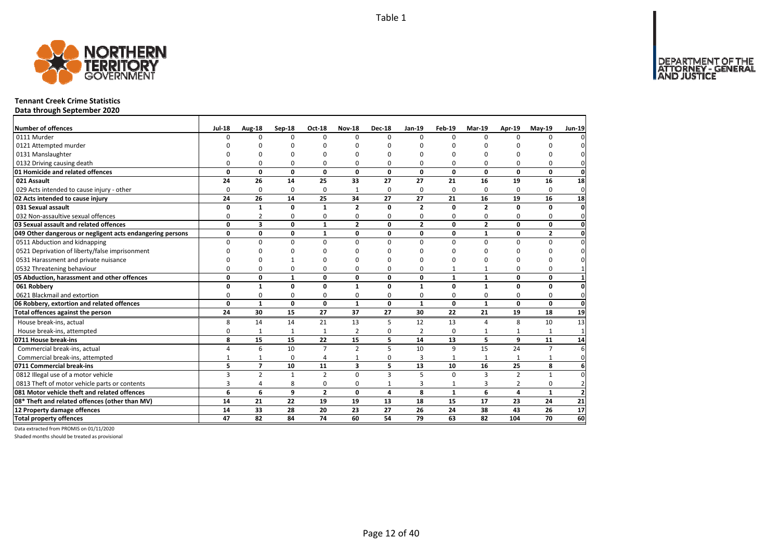

#### **Tennant Creek Crime Statistics**

**Data through September 2020**

| <b>Number of offences</b>                                 | <b>Jul-18</b> | Aug-18         | Sep-18       | <b>Oct-18</b>  | <b>Nov-18</b>  | <b>Dec-18</b>  | $Jan-19$       | Feb-19       | Mar-19         | Apr-19         | <b>Mav-19</b>  | <b>Jun-19</b>   |
|-----------------------------------------------------------|---------------|----------------|--------------|----------------|----------------|----------------|----------------|--------------|----------------|----------------|----------------|-----------------|
| 0111 Murder                                               | $\Omega$      | <sup>0</sup>   | $\Omega$     | $\Omega$       | $\Omega$       | $\Omega$       | $\Omega$       | $\Omega$     | $\Omega$       | $\Omega$       | $\Omega$       |                 |
| 0121 Attempted murder                                     | U             | n              | n            | n              |                | $\Omega$       | n              | n            | n              |                | ŋ              |                 |
| 0131 Manslaughter                                         |               | O              | O            | $\Omega$       |                | $\Omega$       | n              | O            | n              |                | O              |                 |
| 0132 Driving causing death                                | $\Omega$      | 0              | $\Omega$     | $\Omega$       | 0              | 0              | 0              | 0            | $\Omega$       | 0              | $\Omega$       | 0               |
| 01 Homicide and related offences                          | 0             | $\mathbf{0}$   | $\mathbf 0$  | $\mathbf 0$    | $\mathbf{0}$   | $\mathbf{0}$   | $\mathbf{0}$   | $\mathbf 0$  | $\mathbf{0}$   | 0              | $\mathbf{0}$   | $\mathbf 0$     |
| 021 Assault                                               | 24            | 26             | 14           | 25             | 33             | 27             | 27             | 21           | 16             | 19             | 16             | 18              |
| 029 Acts intended to cause injury - other                 | $\Omega$      | 0              | 0            | 0              | $\mathbf{1}$   | $\Omega$       | 0              | $\Omega$     | $\Omega$       | $\Omega$       | $\Omega$       | $\mathbf 0$     |
| 02 Acts intended to cause injury                          | 24            | 26             | 14           | 25             | 34             | 27             | 27             | 21           | 16             | 19             | 16             | 18              |
| 031 Sexual assault                                        | 0             | $\mathbf{1}$   | $\mathbf 0$  | $\mathbf{1}$   | $\overline{2}$ | $\Omega$       | $\overline{2}$ | $\Omega$     | $\overline{2}$ | $\Omega$       | 0              | $\mathbf{0}$    |
| 032 Non-assaultive sexual offences                        | 0             | $\overline{2}$ | 0            | $\mathbf 0$    | $\Omega$       | 0              | 0              | 0            | 0              | $\Omega$       | 0              | $\mathbf{0}$    |
| 03 Sexual assault and related offences                    | 0             | 3              | 0            | $\mathbf{1}$   | $\overline{2}$ | 0              | $\overline{2}$ | 0            | $\overline{2}$ | 0              | 0              | $\mathbf 0$     |
| 049 Other dangerous or negligent acts endangering persons | 0             | 0              | $\mathbf 0$  | $\mathbf{1}$   | 0              | 0              | 0              | $\mathbf{0}$ | $\mathbf{1}$   | 0              | $\overline{2}$ | $\mathbf 0$     |
| 0511 Abduction and kidnapping                             | $\Omega$      | 0              | $\Omega$     | $\Omega$       | $\Omega$       | $\Omega$       | $\Omega$       | $\Omega$     | $\Omega$       | $\Omega$       | $\Omega$       | $\Omega$        |
| 0521 Deprivation of liberty/false imprisonment            | U             | 0              | n            | C              |                | n              | n              | ŋ            | $\Omega$       | n              | O              |                 |
| 0531 Harassment and private nuisance                      | U             | 0              |              | $\Omega$       |                | $\Omega$       | n              | O            | $\Omega$       |                | $\Omega$       |                 |
| 0532 Threatening behaviour                                | 0             | 0              | 0            | $\Omega$       | 0              | 0              | 0              | $\mathbf{1}$ | 1              | $\Omega$       | 0              |                 |
| 05 Abduction, harassment and other offences               | 0             | 0              | $\mathbf{1}$ | $\mathbf{0}$   | 0              | 0              | 0              | $\mathbf{1}$ | $\mathbf{1}$   | 0              | 0              | 1               |
| 061 Robbery                                               | 0             | $\mathbf{1}$   | $\mathbf 0$  | $\mathbf 0$    | $\mathbf{1}$   | $\Omega$       | $\mathbf{1}$   | 0            | $\mathbf{1}$   | $\Omega$       | 0              | 0               |
| 0621 Blackmail and extortion                              | 0             | 0              | 0            | 0              | $\Omega$       | 0              | 0              | 0            | 0              | 0              | 0              | $\mathbf{0}$    |
| 06 Robbery, extortion and related offences                | 0             | $\mathbf{1}$   | $\mathbf{0}$ | $\mathbf{0}$   | $\mathbf{1}$   | 0              | $\mathbf{1}$   | $\mathbf 0$  | $\mathbf{1}$   | 0              | 0              | $\mathbf{0}$    |
| Total offences against the person                         | 24            | 30             | 15           | 27             | 37             | 27             | 30             | 22           | 21             | 19             | 18             | 19              |
| House break-ins, actual                                   | 8             | 14             | 14           | 21             | 13             | 5              | 12             | 13           | $\Delta$       | 8              | 10             | 13              |
| House break-ins, attempted                                | 0             | $\mathbf{1}$   | $\mathbf{1}$ | $\mathbf{1}$   | $\overline{2}$ | 0              | $\overline{2}$ | 0            | $\mathbf{1}$   |                | 1              | $\mathbf{1}$    |
| 0711 House break-ins                                      | 8             | 15             | 15           | 22             | 15             | 5              | 14             | 13           | 5              | 9              | 11             | 14              |
| Commercial break-ins, actual                              | 4             | 6              | 10           | $\overline{7}$ | $\overline{2}$ | 5              | 10             | 9            | 15             | 24             | $\overline{7}$ | 6               |
| Commercial break-ins, attempted                           | $\mathbf{1}$  | $\mathbf{1}$   | 0            | $\overline{4}$ |                | $\Omega$       | 3              |              | $\mathbf{1}$   | $\mathbf{1}$   | $\mathbf{1}$   | $\Omega$        |
| 0711 Commercial break-ins                                 | 5             | $\overline{7}$ | 10           | 11             | 3              | 5              | 13             | 10           | 16             | 25             | 8              | 6               |
| 0812 Illegal use of a motor vehicle                       | 3             | $\overline{2}$ | $\mathbf{1}$ | $\overline{2}$ | $\Omega$       | $\overline{3}$ | 5              | $\Omega$     | $\overline{3}$ | $\overline{2}$ | 1              | $\Omega$        |
| 0813 Theft of motor vehicle parts or contents             | 3             | 4              | 8            | 0              | $\Omega$       | $\mathbf{1}$   | 3              | 1            | $\overline{3}$ | 2              | 0              | $\overline{2}$  |
| 081 Motor vehicle theft and related offences              | 6             | 6              | 9            | $\overline{2}$ | $\Omega$       | 4              | 8              | $\mathbf{1}$ | 6              | 4              | $\mathbf{1}$   | $\overline{2}$  |
| 08* Theft and related offences (other than MV)            | 14            | 21             | 22           | 19             | 19             | 13             | 18             | 15           | 17             | 23             | 24             | 21              |
| 12 Property damage offences                               | 14            | 33             | 28           | 20             | 23             | 27             | 26             | 24           | 38             | 43             | 26             | $\overline{17}$ |
| <b>Total property offences</b>                            | 47            | 82             | 84           | 74             | 60             | 54             | 79             | 63           | 82             | 104            | 70             | 60              |

Data extracted from PROMIS on 01/11/2020

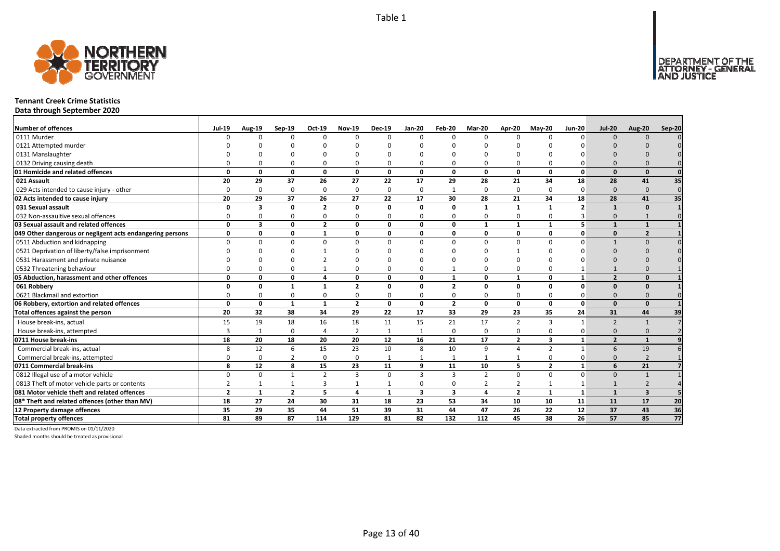

#### **Tennant Creek Crime Statistics**

**Data through September 2020**

| <b>Number of offences</b>                                 | <b>Jul-19</b>  | <b>Aug-19</b>           | Sep-19         | Oct-19         | <b>Nov-19</b>  | <b>Dec-19</b> | Jan-20                  | Feb-20                  | Mar-20                  | Apr-20         | $May-20$                | <b>Jun-20</b>           | <b>Jul-20</b>            | <b>Aug-20</b>           | Sep-20          |
|-----------------------------------------------------------|----------------|-------------------------|----------------|----------------|----------------|---------------|-------------------------|-------------------------|-------------------------|----------------|-------------------------|-------------------------|--------------------------|-------------------------|-----------------|
| 0111 Murder                                               |                | <sup>n</sup>            | $\Omega$       | $\Omega$       | $\Omega$       | n             | $\Omega$                | $\Omega$                | $\Omega$                | $\Omega$       | $\Omega$                | $\Omega$                | $\Omega$                 | $\Omega$                |                 |
| 0121 Attempted murder                                     |                |                         |                |                |                |               |                         |                         |                         |                |                         |                         |                          |                         |                 |
| 0131 Manslaughter                                         |                |                         |                |                |                |               |                         |                         |                         |                |                         |                         |                          |                         |                 |
| 0132 Driving causing death                                |                |                         | $\Omega$       | 0              | 0              |               |                         | $\Omega$                | $\Omega$                | 0              |                         |                         | $\Omega$                 |                         |                 |
| 01 Homicide and related offences                          | n              | n                       | $\Omega$       | $\mathbf{0}$   | $\mathbf{0}$   | $\Omega$      | $\Omega$                | $\Omega$                | $\Omega$                | $\mathbf{0}$   | $\Omega$                | $\Omega$                | $\Omega$                 | $\Omega$                |                 |
| 021 Assault                                               | 20             | 29                      | 37             | 26             | 27             | 22            | 17                      | 29                      | 28                      | 21             | 34                      | 18                      | 28                       | 41                      | 35              |
| 029 Acts intended to cause injury - other                 | $\Omega$       | <sup>0</sup>            | $\Omega$       | $\mathbf 0$    | 0              | $\Omega$      | $\Omega$                | 1                       | $\Omega$                | 0              | $\Omega$                | $\Omega$                | $\Omega$                 | $\Omega$                | $\Omega$        |
| 02 Acts intended to cause injury                          | 20             | 29                      | 37             | 26             | 27             | 22            | 17                      | 30                      | 28                      | 21             | 34                      | 18                      | 28                       | 41                      | 35              |
| 031 Sexual assault                                        | $\Omega$       | $\overline{\mathbf{3}}$ | 0              | $\overline{2}$ | $\mathbf{0}$   | $\Omega$      | 0                       | 0                       | $\mathbf{1}$            | $\mathbf{1}$   | $\mathbf{1}$            | $\overline{\mathbf{z}}$ |                          | $\Omega$                |                 |
| 032 Non-assaultive sexual offences                        | O              |                         | $\Omega$       | $\mathbf 0$    | 0              | $\Omega$      | 0                       | $\Omega$                | $\Omega$                | 0              | $\Omega$                |                         | $\Omega$                 |                         |                 |
| 03 Sexual assault and related offences                    | $\Omega$       | 3                       | 0              | $\overline{2}$ | 0              | $\Omega$      | 0                       | 0                       | $\mathbf{1}$            | $\mathbf{1}$   | $\mathbf{1}$            | 5                       | $\mathbf{1}$             | $\mathbf{1}$            |                 |
| 049 Other dangerous or negligent acts endangering persons | 0              | 0                       | 0              | $\mathbf{1}$   | 0              | 0             | 0                       | 0                       | $\mathbf{0}$            | 0              | 0                       | $\mathbf{0}$            | $\Omega$                 | $\overline{2}$          |                 |
| 0511 Abduction and kidnapping                             | $\Omega$       |                         | $\Omega$       | $\Omega$       | $\Omega$       | U             | $\Omega$                | $\Omega$                | $\Omega$                | $\Omega$       | $\Omega$                | $\Omega$                |                          | $\Omega$                |                 |
| 0521 Deprivation of liberty/false imprisonment            |                |                         |                |                | ŋ              |               |                         |                         |                         |                |                         |                         | $\Omega$                 |                         |                 |
| 0531 Harassment and private nuisance                      |                |                         |                |                |                |               |                         |                         |                         |                |                         |                         |                          |                         |                 |
| 0532 Threatening behaviour                                |                |                         | $\Omega$       |                | 0              |               |                         |                         | $\Omega$                | 0              |                         |                         |                          |                         |                 |
| 05 Abduction, harassment and other offences               | $\Omega$       | n                       | 0              | $\overline{a}$ | 0              | $\Omega$      | U                       | $\mathbf{1}$            | $\mathbf{0}$            | $\mathbf{1}$   | $\Omega$                | $\mathbf{1}$            | $\overline{2}$           | $\Omega$                |                 |
| 061 Robbery                                               | n              | O                       | $\mathbf{1}$   | $\mathbf{1}$   | $\overline{2}$ | <sup>0</sup>  | O                       | $\overline{\mathbf{z}}$ | $\Omega$                | 0              | $\Omega$                | $\Omega$                | $\Omega$                 | $\Omega$                |                 |
| 0621 Blackmail and extortion                              |                |                         | $\Omega$       | 0              | 0              |               | 0                       | $\Omega$                | $\Omega$                | 0              |                         |                         | $\Omega$                 |                         |                 |
| 06 Robbery, extortion and related offences                | $\Omega$       | 0                       | $\mathbf{1}$   | $\mathbf{1}$   | $\overline{2}$ | 0             | 0                       | $\overline{2}$          | $\mathbf{0}$            | 0              | 0                       | $\mathbf{0}$            | $\Omega$                 | $\Omega$                |                 |
| Total offences against the person                         | 20             | 32                      | 38             | 34             | 29             | 22            | 17                      | 33                      | 29                      | 23             | 35                      | 24                      | 31                       | 44                      | 39              |
| House break-ins, actual                                   | 15             | 19                      | 18             | 16             | 18             | 11            | 15                      | 21                      | 17                      | $\overline{2}$ | 3                       | $\mathbf{1}$            | $\overline{\phantom{0}}$ | $\mathbf{1}$            |                 |
| House break-ins, attempted                                |                | $\mathbf{1}$            | $\Omega$       | $\overline{4}$ | $\overline{2}$ |               |                         | $\Omega$                | $\mathbf 0$             | 0              | $\Omega$                | O                       | $\Omega$                 | $\Omega$                |                 |
| 0711 House break-ins                                      | 18             | 20                      | 18             | 20             | 20             | 12            | 16                      | 21                      | 17                      | $\overline{2}$ | $\overline{\mathbf{3}}$ | $\mathbf{1}$            | $\overline{2}$           | $\mathbf{1}$            |                 |
| Commercial break-ins, actual                              |                | 12                      | 6              | 15             | 23             | 10            | 8                       | 10                      | 9                       | 4              | $\overline{2}$          |                         | 6                        | 19                      |                 |
| Commercial break-ins, attempted                           |                | 0                       | 2              | $\mathbf 0$    | 0              | -1            |                         | 1                       | 1                       | 1              | $\Omega$                |                         | $\Omega$                 | $\overline{2}$          |                 |
| 0711 Commercial break-ins                                 | 8              | 12                      | 8              | 15             | 23             | 11            | 9                       | 11                      | 10                      | 5              | $\overline{2}$          | $\mathbf{1}$            | 6                        | 21                      |                 |
| 0812 Illegal use of a motor vehicle                       | $\Omega$       | $\Omega$                |                | $\overline{2}$ | 3              | $\Omega$      | 3                       | з                       | $\overline{2}$          | 0              | $\Omega$                | $\Omega$                | $\Omega$                 | $\overline{1}$          |                 |
| 0813 Theft of motor vehicle parts or contents             | $\overline{2}$ |                         |                | $\overline{3}$ | $\mathbf{1}$   |               | 0                       | $\Omega$                | $\overline{2}$          | 2              |                         |                         |                          |                         |                 |
| 081 Motor vehicle theft and related offences              | $\overline{2}$ | $\mathbf{1}$            | $\overline{2}$ | 5              | 4              | $\mathbf{1}$  | $\overline{\mathbf{3}}$ | 3                       | $\overline{\mathbf{A}}$ | $\overline{2}$ | $\mathbf{1}$            | $\mathbf{1}$            | $\mathbf{1}$             | $\overline{\mathbf{3}}$ |                 |
| 08* Theft and related offences (other than MV)            | 18             | 27                      | 24             | 30             | 31             | 18            | 23                      | 53                      | 34                      | 10             | 10                      | 11                      | 11                       | 17                      | 20              |
| 12 Property damage offences                               | 35             | 29                      | 35             | 44             | 51             | 39            | 31                      | 44                      | 47                      | 26             | 22                      | 12                      | 37                       | 43                      | 36              |
| <b>Total property offences</b>                            | 81             | 89                      | 87             | 114            | 129            | 81            | 82                      | 132                     | 112                     | 45             | 38                      | 26                      | 57                       | 85                      | $\overline{77}$ |

Data extracted from PROMIS on 01/11/2020

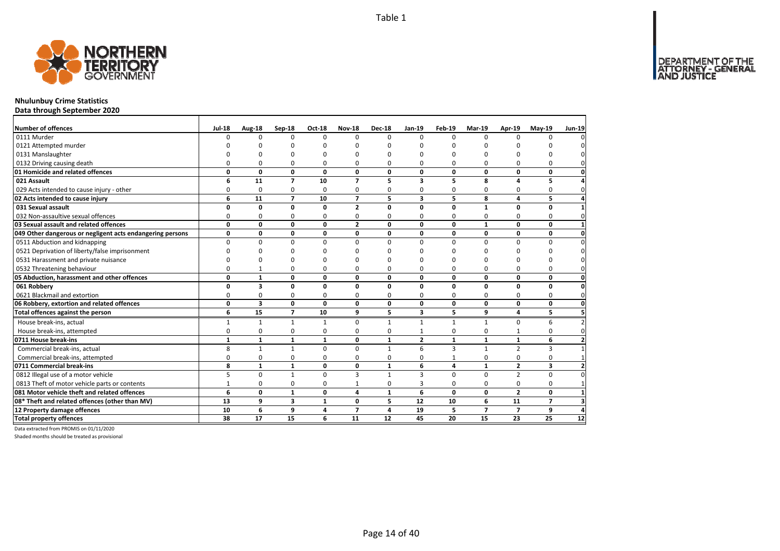

## **Nhulunbuy Crime Statistics**

**Data through September 2020**

| Number of offences                                        | <b>Jul-18</b> | Aug-18                  | Sep-18         | Oct-18       | <b>Nov-18</b>  | <b>Dec-18</b> | $Jan-19$                | Feb-19       | Mar-19         | Apr-19                   | $May-19$       | <b>Jun-19</b>           |
|-----------------------------------------------------------|---------------|-------------------------|----------------|--------------|----------------|---------------|-------------------------|--------------|----------------|--------------------------|----------------|-------------------------|
| 0111 Murder                                               | U             | $\Omega$                | $\Omega$       | $\Omega$     | $\Omega$       | 0             | $\Omega$                | $\Omega$     | $\Omega$       |                          | $\Omega$       |                         |
| 0121 Attempted murder                                     |               |                         | n              |              |                | n             |                         |              |                |                          |                |                         |
| 0131 Manslaughter                                         |               |                         | n              | n            |                | n             |                         | n            | n              |                          | O              |                         |
| 0132 Driving causing death                                | U             | 0                       | 0              | $\Omega$     | 0              | 0             | 0                       | 0            | $\Omega$       | $\Omega$                 | 0              |                         |
| 01 Homicide and related offences                          | 0             | 0                       | 0              | $\mathbf{0}$ | 0              | 0             | 0                       | 0            | $\mathbf 0$    | 0                        | 0              | O                       |
| 021 Assault                                               | 6             | 11                      | $\overline{7}$ | 10           | $\overline{ }$ | 5             | 3                       | 5            | 8              | 4                        | 5              |                         |
| 029 Acts intended to cause injury - other                 | 0             | $\mathbf 0$             | 0              | $\Omega$     | 0              | 0             | 0                       | 0            | $\Omega$       | 0                        | $\Omega$       | 0                       |
| 02 Acts intended to cause injury                          | 6             | 11                      | $\overline{7}$ | 10           | $\overline{ }$ | 5             | $\overline{\mathbf{3}}$ | 5            | 8              | 4                        | 5              |                         |
| 031 Sexual assault                                        | 0             | 0                       | 0              | $\mathbf 0$  | $\overline{2}$ | O             | 0                       | $\Omega$     | $\mathbf{1}$   | $\Omega$                 | 0              |                         |
| 032 Non-assaultive sexual offences                        | $\Omega$      | 0                       | 0              | $\Omega$     | 0              | 0             | 0                       | 0            | $\Omega$       | $\Omega$                 | 0              |                         |
| 03 Sexual assault and related offences                    | 0             | 0                       | $\mathbf 0$    | 0            | $\mathbf{2}$   | 0             | $\mathbf{0}$            | $\mathbf 0$  | $\mathbf{1}$   | 0                        | 0              |                         |
| 049 Other dangerous or negligent acts endangering persons | 0             | 0                       | 0              | 0            | 0              | 0             | 0                       | $\mathbf 0$  | 0              | 0                        | 0              | O                       |
| 0511 Abduction and kidnapping                             | $\Omega$      | 0                       | 0              | $\Omega$     | $\Omega$       | 0             | $\Omega$                | $\Omega$     | $\Omega$       | $\Omega$                 | $\Omega$       | ŋ                       |
| 0521 Deprivation of liberty/false imprisonment            | n             | n                       | n              | n            |                | n             | n                       | n            | n              |                          | 0              |                         |
| 0531 Harassment and private nuisance                      |               |                         | ŋ              | n            |                | n             |                         | n            | n              |                          | 0              |                         |
| 0532 Threatening behaviour                                | O             | $\mathbf{1}$            | 0              | $\Omega$     | O              | 0             | 0                       | 0            | $\Omega$       | $\Omega$                 | $\Omega$       | O                       |
| 05 Abduction, harassment and other offences               | 0             | $\mathbf{1}$            | 0              | $\mathbf{0}$ | 0              | $\Omega$      | 0                       | $\mathbf 0$  | $\mathbf{0}$   | 0                        | 0              | 0                       |
| 061 Robbery                                               | 0             | 3                       | 0              | $\mathbf{0}$ | $\Omega$       | $\Omega$      | $\Omega$                | 0            | $\mathbf{0}$   | $\Omega$                 | 0              | $\Omega$                |
| 0621 Blackmail and extortion                              | 0             | 0                       | 0              | 0            | 0              | 0             | 0                       | $\Omega$     | 0              | $\Omega$                 | 0              | $\Omega$                |
| 06 Robbery, extortion and related offences                | 0             | $\overline{\mathbf{3}}$ | 0              | $\mathbf 0$  | 0              | 0             | 0                       | 0            | $\mathbf 0$    | 0                        | 0              | $\mathbf 0$             |
| Total offences against the person                         | 6             | 15                      | $\overline{7}$ | 10           | 9              | 5             | 3                       | 5            | 9              | 4                        | 5              | 5                       |
| House break-ins, actual                                   | $\mathbf{1}$  | $\mathbf{1}$            | $\mathbf{1}$   | $\mathbf{1}$ | $\Omega$       | 1             | $\mathbf{1}$            | $\mathbf{1}$ | $\mathbf{1}$   | $\Omega$                 | 6              |                         |
| House break-ins, attempted                                | 0             | 0                       | 0              | $\Omega$     | 0              | 0             | $\mathbf{1}$            | $\Omega$     | $\Omega$       |                          | $\Omega$       |                         |
| 0711 House break-ins                                      | $\mathbf{1}$  | $\mathbf{1}$            | $\mathbf{1}$   | $\mathbf{1}$ | 0              | $\mathbf{1}$  | $\overline{2}$          | $\mathbf{1}$ | $\mathbf{1}$   | $\mathbf{1}$             | 6              |                         |
| Commercial break-ins, actual                              | 8             | $\mathbf{1}$            | $\mathbf{1}$   | $\Omega$     | $\Omega$       | $\mathbf{1}$  | 6                       | 3            | $\mathbf{1}$   | $\overline{2}$           | 3              |                         |
| Commercial break-ins, attempted                           | 0             | 0                       | 0              | 0            | 0              | 0             | 0                       | $\mathbf{1}$ | 0              | 0                        | 0              |                         |
| 0711 Commercial break-ins                                 | 8             | $\mathbf{1}$            | $\mathbf{1}$   | 0            | $\mathbf{0}$   | $\mathbf{1}$  | 6                       | 4            | $\mathbf{1}$   | $\mathbf{z}$             | 3              | $\overline{\mathbf{z}}$ |
| 0812 Illegal use of a motor vehicle                       | 5             | $\Omega$                | $\mathbf{1}$   | $\Omega$     | 3              | 1             | $\overline{\mathbf{3}}$ | $\Omega$     | $\Omega$       | $\overline{2}$           | $\Omega$       |                         |
| 0813 Theft of motor vehicle parts or contents             | $\mathbf{1}$  | 0                       | 0              | 0            |                | 0             | 3                       | 0            | 0              | 0                        | 0              |                         |
| 081 Motor vehicle theft and related offences              | 6             | 0                       | $\mathbf{1}$   | $\mathbf{0}$ | 4              | $\mathbf{1}$  | 6                       | 0            | $\mathbf{0}$   | $\overline{2}$           | $\mathbf{0}$   |                         |
| 08* Theft and related offences (other than MV)            | 13            | 9                       | 3              | $\mathbf{1}$ | 0              | 5             | 12                      | 10           | 6              | 11                       | $\overline{7}$ |                         |
| 12 Property damage offences                               | 10            | 6                       | 9              | 4            | $\overline{ }$ | 4             | 19                      | 5            | $\overline{7}$ | $\overline{\phantom{a}}$ | 9              |                         |
| <b>Total property offences</b>                            | 38            | 17                      | 15             | 6            | 11             | 12            | 45                      | 20           | 15             | 23                       | 25             | 12                      |

Data extracted from PROMIS on 01/11/2020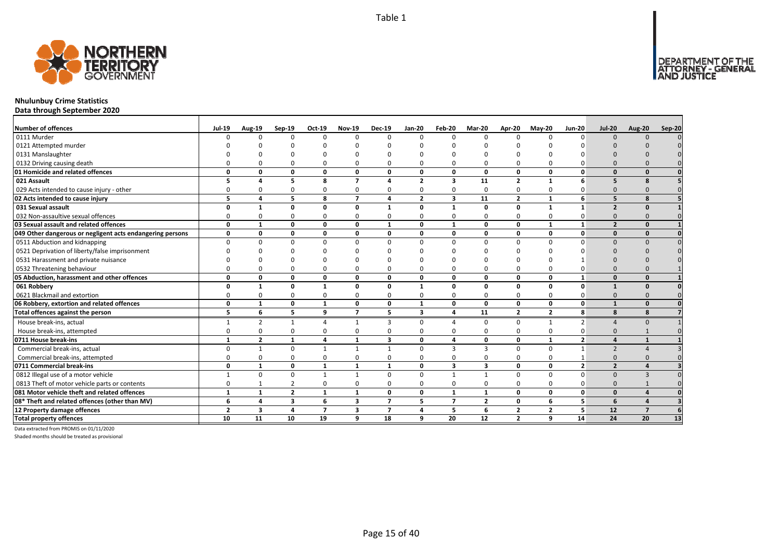

## **Nhulunbuy Crime Statistics**

**Data through September 2020**

| <b>Number of offences</b>                                 | <b>Jul-19</b>  | <b>Aug-19</b>           | Sep-19                  | Oct-19         | <b>Nov-19</b>  | <b>Dec-19</b>            | Jan-20         | Feb-20                  | Mar-20                  | Apr-20         | $May-20$       | <b>Jun-20</b>  | <b>Jul-20</b>            | <b>Aug-20</b>  | Sep-20 |
|-----------------------------------------------------------|----------------|-------------------------|-------------------------|----------------|----------------|--------------------------|----------------|-------------------------|-------------------------|----------------|----------------|----------------|--------------------------|----------------|--------|
| 0111 Murder                                               |                | <sup>n</sup>            | $\Omega$                | $\Omega$       | $\Omega$       | $\Omega$                 | <sup>0</sup>   | $\Omega$                | $\Omega$                | $\Omega$       | $\Omega$       | $\Omega$       | $\Omega$                 | $\Omega$       |        |
| 0121 Attempted murder                                     |                |                         |                         |                |                |                          |                |                         |                         |                |                |                |                          |                |        |
| 0131 Manslaughter                                         |                |                         |                         |                |                |                          |                |                         |                         |                |                |                |                          |                |        |
| 0132 Driving causing death                                |                |                         |                         |                | 0              |                          |                |                         |                         | $\Omega$       |                |                |                          |                |        |
| 01 Homicide and related offences                          | n              | n                       | <sup>0</sup>            | $\mathbf{0}$   | 0              | $\Omega$                 | 0              | $\Omega$                | $\mathbf{0}$            | 0              | $\Omega$       | U              |                          |                |        |
| 021 Assault                                               |                |                         | 5                       | 8              | $\overline{7}$ |                          | $\overline{2}$ | $\overline{\mathbf{3}}$ | 11                      | $\overline{2}$ | 1              | 6              | 5                        |                |        |
| 029 Acts intended to cause injury - other                 |                |                         | $\Omega$                | $\Omega$       | $\mathbf 0$    | 0                        | ŋ              | $\Omega$                | $\Omega$                | 0              | $\Omega$       |                |                          |                |        |
| 02 Acts intended to cause injury                          | 5              | $\mathbf{A}$            | 5                       | 8              | $\overline{7}$ | 4                        | $\overline{2}$ | $\overline{\mathbf{3}}$ | 11                      | $\overline{2}$ | $\mathbf{1}$   | 6              | 5                        | $\mathbf{R}$   |        |
| 031 Sexual assault                                        | n              |                         | $\Omega$                | $\Omega$       | 0              | 1                        | O              |                         | $\mathbf{0}$            | 0              | $\mathbf{1}$   | 1              | $\overline{\phantom{a}}$ |                |        |
| 032 Non-assaultive sexual offences                        |                |                         | $\Omega$                | $\Omega$       | 0              | $\Omega$                 | ŋ              | $\Omega$                | $\Omega$                | 0              | $\Omega$       | O              |                          |                |        |
| 03 Sexual assault and related offences                    | $\Omega$       |                         | $\Omega$                | $\Omega$       | 0              | $\mathbf{1}$             | 0              | $\mathbf{1}$            | $\Omega$                | 0              | $\mathbf{1}$   | $\mathbf{1}$   | $\overline{2}$           | $\Omega$       |        |
| 049 Other dangerous or negligent acts endangering persons | $\Omega$       | 0                       | 0                       | 0              | 0              | 0                        | 0              | $\Omega$                | 0                       | 0              | 0              | $\mathbf{0}$   | $\Omega$                 | $\Omega$       |        |
| 0511 Abduction and kidnapping                             |                |                         | $\Omega$                | $\Omega$       | $\Omega$       | $\Omega$                 | n              |                         | $\Omega$                | $\Omega$       | $\Omega$       | $\Omega$       |                          |                |        |
| 0521 Deprivation of liberty/false imprisonment            |                |                         |                         |                | n              |                          |                |                         |                         |                |                |                |                          |                |        |
| 0531 Harassment and private nuisance                      |                |                         |                         |                | O              |                          |                |                         |                         | $\Omega$       |                |                |                          |                |        |
| 0532 Threatening behaviour                                |                |                         | $\Omega$                | $\Omega$       | 0              | $\Omega$                 |                |                         | $\Omega$                | 0              | $\Omega$       |                |                          |                |        |
| 05 Abduction, harassment and other offences               | $\Omega$       | O                       | 0                       | $\mathbf 0$    | 0              | $\mathbf{0}$             | 0              | $\Omega$                | 0                       | 0              | $\Omega$       | $\mathbf{1}$   | $\Omega$                 | $\Omega$       |        |
| 061 Robbery                                               | O              | $\mathbf{1}$            | 0                       | 1              | 0              | 0                        | $\mathbf{1}$   | <sup>0</sup>            | 0                       | 0              | 0              | $\mathbf{0}$   |                          | $\Omega$       |        |
| 0621 Blackmail and extortion                              |                |                         | $\Omega$                | $\Omega$       | $\Omega$       | $\Omega$                 | ŋ              | <sup>0</sup>            | $\Omega$                | 0              | $\Omega$       | 0              |                          |                |        |
| 06 Robbery, extortion and related offences                | $\Omega$       | $\mathbf{1}$            | 0                       | $\mathbf{1}$   | 0              | $\mathbf{0}$             | $\mathbf{1}$   | 0                       | $\mathbf{0}$            | 0              | $\mathbf{0}$   | $\mathbf{0}$   | $\mathbf{1}$             | $\Omega$       |        |
| Total offences against the person                         | 5              | 6                       | 5                       | 9              | $\overline{7}$ | 5                        | 3              | 4                       | 11                      | $\overline{2}$ | $\overline{2}$ | 8              | 8                        | 8              |        |
| House break-ins, actual                                   |                | 2                       |                         | $\Delta$       | $\mathbf{1}$   | 3                        | 0              |                         | $\Omega$                | $\Omega$       | 1              | $\overline{2}$ |                          |                |        |
| House break-ins, attempted                                |                |                         | $\Omega$                | $\Omega$       | $\mathbf 0$    | $\Omega$                 |                |                         | $\Omega$                | 0              | $\Omega$       |                |                          |                |        |
| 0711 House break-ins                                      | $\mathbf{1}$   | $\overline{\mathbf{z}}$ | $\mathbf{1}$            | $\overline{a}$ | $\mathbf{1}$   | 3                        | 0              | $\mathbf{A}$            | $\mathbf{0}$            | 0              | $\mathbf{1}$   | $\overline{2}$ |                          |                |        |
| Commercial break-ins, actual                              |                |                         | $\Omega$                | $\mathbf{1}$   | $\mathbf{1}$   | $\mathbf{1}$             | $\Omega$       | 3                       | $\mathbf{3}$            | 0              | $\Omega$       | $\mathbf{1}$   | $\overline{z}$           |                |        |
| Commercial break-ins, attempted                           |                |                         | $\Omega$                | $\Omega$       | 0              | $\Omega$                 |                | $\Omega$                | $\Omega$                | 0              | $\Omega$       |                |                          |                |        |
| 0711 Commercial break-ins                                 | 0              | 1                       | 0                       | $\mathbf{1}$   | $\mathbf{1}$   | $\mathbf{1}$             | 0              | $\overline{\mathbf{3}}$ | $\overline{\mathbf{3}}$ | 0              | $\mathbf 0$    | 2 <sup>1</sup> | $\overline{2}$           |                |        |
| 0812 Illegal use of a motor vehicle                       |                | $\Omega$                | $\Omega$                | 1              | $\mathbf{1}$   | $\Omega$                 | 0              |                         | $\mathbf{1}$            | 0              | $\Omega$       | $\Omega$       | $\Omega$                 |                |        |
| 0813 Theft of motor vehicle parts or contents             |                |                         | $\overline{2}$          | $\Omega$       | $\mathbf 0$    | $\Omega$                 | ŋ              | $\Omega$                | 0                       | 0              | $\Omega$       | O              |                          |                |        |
| 081 Motor vehicle theft and related offences              | $\mathbf{1}$   | $\mathbf{1}$            | $\overline{2}$          | $\mathbf{1}$   | $\mathbf{1}$   | $\mathbf{0}$             | 0              | $\mathbf{1}$            | 1                       | 0              | $\mathbf{0}$   | $\mathbf{0}$   | $\Omega$                 |                |        |
| 08* Theft and related offences (other than MV)            | 6              | 4                       | $\overline{\mathbf{3}}$ | 6              | 3              | $\overline{\phantom{a}}$ | 5.             | $\overline{7}$          | $\overline{2}$          | 0              | 6              | 5              | 6                        |                |        |
| 12 Property damage offences                               | $\overline{2}$ | $\overline{\mathbf{3}}$ | 4                       | $\overline{7}$ | 3              | $\overline{ }$           | 4              | 5                       | 6                       | $\overline{2}$ | $\overline{2}$ | 5              | 12                       | $\overline{7}$ |        |
| <b>Total property offences</b>                            | 10             | 11                      | 10                      | 19             | 9              | 18                       | 9              | 20                      | 12                      | $\overline{2}$ | 9              | 14             | 24                       | 20             | 13     |

Data extracted from PROMIS on 01/11/2020

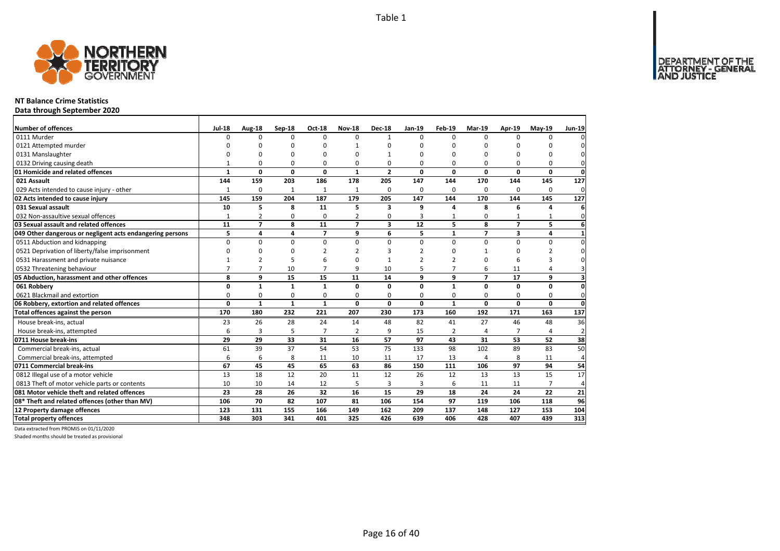Page 16 of 40



### **NT Balance Crime Statistics**

**Data through September 2020**

| Number of offences                                        | <b>Jul-18</b>  | Aug-18         | Sep-18       | Oct-18         | <b>Nov-18</b>  | <b>Dec-18</b>           | Jan-19          | Feb-19         | Mar-19                   | Apr-19         | $May-19$                | <b>Jun-19</b>   |
|-----------------------------------------------------------|----------------|----------------|--------------|----------------|----------------|-------------------------|-----------------|----------------|--------------------------|----------------|-------------------------|-----------------|
| 0111 Murder                                               | $\Omega$       | $\Omega$       | $\Omega$     | $\Omega$       | $\Omega$       | 1                       | $\Omega$        | $\Omega$       | $\Omega$                 | $\Omega$       | O                       |                 |
| 0121 Attempted murder                                     |                | O              | 0            | $\Omega$       |                | ŋ                       | n               | ŋ              | 0                        |                | ŋ                       |                 |
| 0131 Manslaughter                                         | $\Omega$       | 0              | 0            | $\Omega$       |                |                         | O               | 0              | $\Omega$                 |                | $\Omega$                | 0               |
| 0132 Driving causing death                                |                | 0              | 0            | 0              | O              | 0                       | 0               | 0              | 0                        | O              | 0                       | 0               |
| 01 Homicide and related offences                          | 1              | 0              | 0            | $\mathbf 0$    | $\mathbf{1}$   | $\overline{2}$          | 0               | 0              | $\mathbf 0$              | $\Omega$       | 0                       | $\mathbf 0$     |
| 021 Assault                                               | 144            | 159            | 203          | 186            | 178            | 205                     | 147             | 144            | 170                      | 144            | 145                     | 127             |
| 029 Acts intended to cause injury - other                 |                | 0              | $\mathbf{1}$ | 1              | $\mathbf{1}$   | 0                       | 0               | 0              | $\Omega$                 | $\Omega$       | $\Omega$                | 0               |
| 02 Acts intended to cause injury                          | 145            | 159            | 204          | 187            | 179            | 205                     | 147             | 144            | 170                      | 144            | 145                     | 127             |
| 031 Sexual assault                                        | 10             | 5              | 8            | 11             | 5              | 3                       | 9               | Δ              | 8                        | 6              | Δ                       | 6               |
| 032 Non-assaultive sexual offences                        | $\mathbf{1}$   | $\overline{2}$ | 0            | $\Omega$       | $\overline{2}$ | $\Omega$                | 3               |                | $\Omega$                 |                | 1                       | 0               |
| 03 Sexual assault and related offences                    | 11             | $\overline{7}$ | 8            | 11             | $\overline{ }$ | $\overline{\mathbf{3}}$ | $\overline{12}$ | 5              | 8                        | $\overline{7}$ | $\overline{\mathbf{5}}$ | 6               |
| 049 Other dangerous or negligent acts endangering persons | 5              | 4              | 4            | $\overline{ }$ | 9              | 6                       | 5               | $\mathbf{1}$   | $\overline{\phantom{a}}$ | 3              | 4                       | $\mathbf{1}$    |
| 0511 Abduction and kidnapping                             | 0              | 0              | $\mathbf 0$  | $\mathbf 0$    | $\Omega$       | 0                       | 0               | 0              | $\mathbf 0$              | $\Omega$       | 0                       | $\Omega$        |
| 0521 Deprivation of liberty/false imprisonment            | $\Omega$       | $\Omega$       | 0            | $\overline{2}$ |                | 3                       | $\mathfrak z$   | O              |                          | $\Omega$       | $\overline{2}$          | $\Omega$        |
| 0531 Harassment and private nuisance                      |                |                | 5            | 6              |                |                         |                 | 2              | O                        |                | 3                       | <sup>0</sup>    |
| 0532 Threatening behaviour                                | $\overline{7}$ | $\overline{7}$ | 10           | $\overline{7}$ | q              | 10                      | 5               | 7              | 6                        | 11             | 4                       | 3               |
| 05 Abduction, harassment and other offences               | 8              | 9              | 15           | 15             | 11             | 14                      | q               | 9              | $\overline{7}$           | 17             | 9                       | 3               |
| 061 Robbery                                               | 0              | $\mathbf{1}$   | $\mathbf{1}$ | $\mathbf{1}$   | $\mathbf{0}$   | 0                       | 0               | $\mathbf{1}$   | $\mathbf{0}$             | 0              | 0                       | $\mathbf{0}$    |
| 0621 Blackmail and extortion                              | 0              | 0              | 0            | 0              | $\Omega$       | 0                       | 0               | $\Omega$       | $\Omega$                 | $\Omega$       | 0                       | $\Omega$        |
| 06 Robbery, extortion and related offences                | 0              | $\mathbf{1}$   | $\mathbf{1}$ | $\mathbf{1}$   | 0              | 0                       | 0               | $\mathbf{1}$   | $\mathbf 0$              | $\mathbf{0}$   | 0                       | $\mathbf{0}$    |
| Total offences against the person                         | 170            | 180            | 232          | 221            | 207            | 230                     | 173             | 160            | 192                      | 171            | 163                     | $\frac{137}{2}$ |
| House break-ins, actual                                   | 23             | 26             | 28           | 24             | 14             | 48                      | 82              | 41             | 27                       | 46             | 48                      | 36              |
| House break-ins, attempted                                | 6              | 3              | 5            | $\overline{7}$ | $\overline{2}$ | q                       | 15              | $\overline{2}$ | $\overline{4}$           |                | 4                       | $\overline{2}$  |
| 0711 House break-ins                                      | 29             | 29             | 33           | 31             | 16             | 57                      | 97              | 43             | 31                       | 53             | 52                      | 38              |
| Commercial break-ins, actual                              | 61             | 39             | 37           | 54             | 53             | 75                      | 133             | 98             | 102                      | 89             | 83                      | 50              |
| Commercial break-ins, attempted                           | 6              | 6              | 8            | 11             | 10             | 11                      | 17              | 13             | $\overline{4}$           | 8              | 11                      | 4               |
| 0711 Commercial break-ins                                 | 67             | 45             | 45           | 65             | 63             | 86                      | 150             | 111            | 106                      | 97             | 94                      | 54              |
| 0812 Illegal use of a motor vehicle                       | 13             | 18             | 12           | 20             | 11             | 12                      | 26              | 12             | 13                       | 13             | 15                      | 17              |
| 0813 Theft of motor vehicle parts or contents             | 10             | 10             | 14           | 12             | 5              | 3                       | 3               | 6              | 11                       | 11             | $\overline{7}$          | 4               |
| 081 Motor vehicle theft and related offences              | 23             | 28             | 26           | 32             | 16             | 15                      | 29              | 18             | 24                       | 24             | 22                      | 21              |
| 08* Theft and related offences (other than MV)            | 106            | 70             | 82           | 107            | 81             | 106                     | 154             | 97             | 119                      | 106            | 118                     | 96              |
| 12 Property damage offences                               | 123            | 131            | 155          | 166            | 149            | 162                     | 209             | 137            | 148                      | 127            | 153                     | 104             |
| <b>Total property offences</b>                            | 348            | 303            | 341          | 401            | 325            | 426                     | 639             | 406            | 428                      | 407            | 439                     | 313             |

Data extracted from PROMIS on 01/11/2020

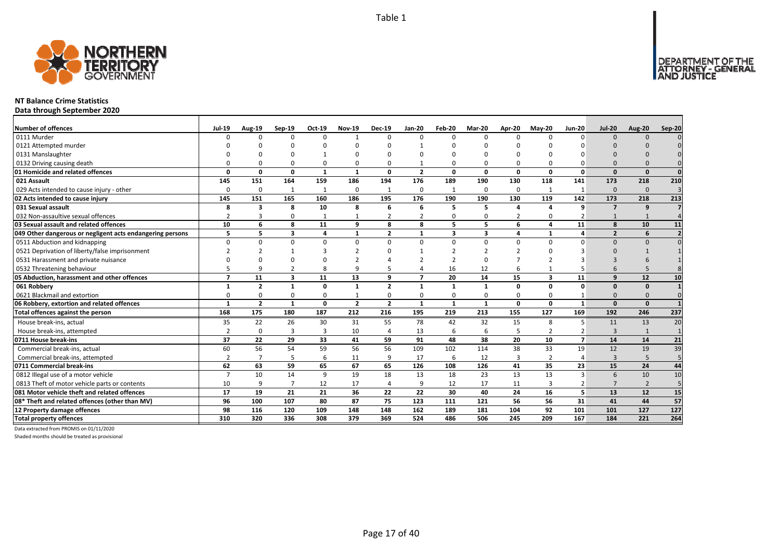

### **NT Balance Crime Statistics**

**Data through September 2020**

| <b>Number of offences</b>                                 | <b>Jul-19</b>            | Aug-19         | $Sep-19$                | Oct-19         | <b>Nov-19</b>  | <b>Dec-19</b>  | <b>Jan-20</b>  | Feb-20       | Mar-20       | Apr-20       | $May-20$                | <b>Jun-20</b>  | <b>Jul-20</b>  | <b>Aug-20</b>  | <b>Sep-20</b>  |
|-----------------------------------------------------------|--------------------------|----------------|-------------------------|----------------|----------------|----------------|----------------|--------------|--------------|--------------|-------------------------|----------------|----------------|----------------|----------------|
| 0111 Murder                                               |                          | <sup>n</sup>   | $\Omega$                | $\Omega$       | $\mathbf{1}$   | n              | $\Omega$       | $\Omega$     | $\Omega$     | $\Omega$     | $\Omega$                | $\Omega$       | $\Omega$       | $\Omega$       |                |
| 0121 Attempted murder                                     |                          |                |                         |                |                |                |                |              |              |              |                         |                |                |                |                |
| 0131 Manslaughter                                         |                          |                |                         |                | ŋ              |                |                | n            |              |              |                         |                |                |                |                |
| 0132 Driving causing death                                |                          |                | $\Omega$                | $\Omega$       | 0              |                |                | $\Omega$     | $\Omega$     | 0            |                         |                | $\Omega$       |                |                |
| 01 Homicide and related offences                          | n                        | n              | 0                       | $\mathbf{1}$   | $\mathbf{1}$   | $\Omega$       | $\overline{2}$ | $\Omega$     | $\mathbf{0}$ | 0            | $\Omega$                | $\Omega$       | $\Omega$       | $\Omega$       | $\Omega$       |
| 021 Assault                                               | 145                      | 151            | 164                     | 159            | 186            | 194            | 176            | 189          | 190          | 130          | 118                     | 141            | 173            | 218            | 210            |
| 029 Acts intended to cause injury - other                 | $\Omega$                 | 0              | 1                       | 1              | 0              | -1             | 0              | $\mathbf{1}$ | 0            | 0            |                         | -1             | $\Omega$       | $\Omega$       | 3              |
| 02 Acts intended to cause injury                          | 145                      | 151            | 165                     | 160            | 186            | 195            | 176            | 190          | 190          | 130          | 119                     | 142            | 173            | 218            | 213            |
| 031 Sexual assault                                        | 8                        | 3              | 8                       | 10             | 8              | 6              | 6              | 5            | 5            | 4            | $\mathbf{A}$            | q              | $\overline{ }$ | 9              |                |
| 032 Non-assaultive sexual offences                        |                          |                | $\Omega$                | $\mathbf{1}$   | $\mathbf{1}$   | 2              | $\overline{2}$ | $\Omega$     | 0            | 2            | $\Omega$                |                |                | $\mathbf{1}$   | $\Delta$       |
| 03 Sexual assault and related offences                    | 10                       | 6              | 8                       | 11             | 9              | 8              | 8              | 5.           | 5            | 6            | 4                       | 11             | $\mathbf{8}$   | 10             | 11             |
| 049 Other dangerous or negligent acts endangering persons | 5                        | 5              | 3                       | $\overline{4}$ | 1              | $\overline{2}$ | 1              | 3            | 3            | 4            |                         | 4              | $\overline{2}$ | 6              |                |
| 0511 Abduction and kidnapping                             | $\Omega$                 | U              | $\Omega$                | $\Omega$       | $\Omega$       | U              | $\Omega$       | $\Omega$     | $\Omega$     | $\Omega$     | $\Omega$                | $\Omega$       | $\Omega$       | $\Omega$       |                |
| 0521 Deprivation of liberty/false imprisonment            |                          |                |                         |                |                |                |                |              |              | 2            |                         |                |                |                |                |
| 0531 Harassment and private nuisance                      |                          |                |                         |                |                |                |                | ີ            | $\Omega$     |              |                         |                |                |                |                |
| 0532 Threatening behaviour                                |                          |                |                         | 8              | 9              |                |                | 16           | 12           | 6            |                         |                |                |                |                |
| 05 Abduction, harassment and other offences               | $\overline{\phantom{a}}$ | 11             | $\overline{\mathbf{3}}$ | 11             | 13             | 9              | $\overline{7}$ | 20           | 14           | 15           | $\overline{\mathbf{3}}$ | 11             | $\mathbf{q}$   | 12             | 10             |
| 061 Robbery                                               | 1                        | $\overline{2}$ | $\mathbf{1}$            | $\mathbf{0}$   | 1              | $\overline{2}$ | $\mathbf{1}$   | $\mathbf 1$  | $\mathbf{1}$ | 0            | $\Omega$                | $\Omega$       | $\Omega$       | $\Omega$       |                |
| 0621 Blackmail and extortion                              | $\Omega$                 | n              | $\Omega$                | $\Omega$       | $\mathbf{1}$   | 0              | 0              | $\Omega$     | $\Omega$     | 0            | $\Omega$                |                | $\Omega$       | $\Omega$       |                |
| 06 Robbery, extortion and related offences                | $\mathbf{1}$             | $\overline{2}$ | $\mathbf{1}$            | $\mathbf{0}$   | $\overline{2}$ | $\overline{2}$ | $\mathbf{1}$   | $\mathbf{1}$ | $\mathbf{1}$ | $\mathbf{0}$ | 0                       | $\mathbf{1}$   | $\Omega$       | $\Omega$       |                |
| Total offences against the person                         | 168                      | 175            | 180                     | 187            | 212            | 216            | 195            | 219          | 213          | 155          | 127                     | 169            | 192            | 246            | 237            |
| House break-ins, actual                                   | 35                       | 22             | 26                      | 30             | 31             | 55             | 78             | 42           | 32           | 15           | 8                       | 5              | 11             | 13             | 20             |
| House break-ins, attempted                                | $\overline{2}$           | 0              | 3                       | 3              | 10             | $\overline{4}$ | 13             | 6            | 6            | 5            | 2                       | $\overline{2}$ | $\mathbf{3}$   | $\mathbf{1}$   | $\overline{1}$ |
| 0711 House break-ins                                      | 37                       | 22             | 29                      | 33             | 41             | 59             | 91             | 48           | 38           | 20           | 10                      | $\overline{ }$ | 14             | 14             | 21             |
| Commercial break-ins, actual                              | 60                       | 56             | 54                      | 59             | 56             | 56             | 109            | 102          | 114          | 38           | 33                      | 19             | 12             | 19             | 39             |
| Commercial break-ins, attempted                           |                          |                | 5                       | 6              | 11             | q              | 17             | 6            | 12           | 3            | 2                       |                | 3              | 5              |                |
| 0711 Commercial break-ins                                 | 62                       | 63             | 59                      | 65             | 67             | 65             | 126            | 108          | 126          | 41           | 35                      | 23             | 15             | 24             | 44             |
| 0812 Illegal use of a motor vehicle                       | $\overline{7}$           | 10             | 14                      | 9              | 19             | 18             | 13             | 18           | 23           | 13           | 13                      | 3              | 6              | 10             | 10             |
| 0813 Theft of motor vehicle parts or contents             | 10                       | 9              | $\overline{7}$          | 12             | 17             | $\overline{4}$ | 9              | 12           | 17           | 11           | 3                       |                |                | $\overline{2}$ | 5              |
| 081 Motor vehicle theft and related offences              | 17                       | 19             | 21                      | 21             | 36             | 22             | 22             | 30           | 40           | 24           | 16                      | 5              | 13             | 12             | 15             |
| 08* Theft and related offences (other than MV)            | 96                       | 100            | 107                     | 80             | 87             | 75             | 123            | 111          | 121          | 56           | 56                      | 31             | 41             | 44             | 57             |
| 12 Property damage offences                               | 98                       | 116            | 120                     | 109            | 148            | 148            | 162            | 189          | 181          | 104          | 92                      | 101            | 101            | 127            | 127            |
| <b>Total property offences</b>                            | 310                      | 320            | 336                     | 308            | 379            | 369            | 524            | 486          | 506          | 245          | 209                     | 167            | 184            | 221            | 264            |

Data extracted from PROMIS on 01/11/2020

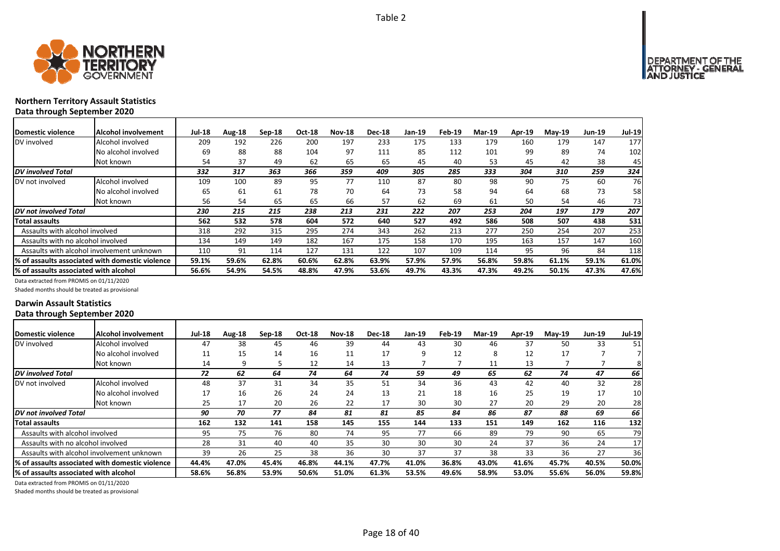

# **Northern Territory Assault Statistics Data through September 2020**

| Domestic violence                      | <b>Alcohol involvement</b>                       | <b>Jul-18</b> | Aug-18 | Sep-18 | Oct-18 | <b>Nov-18</b> | <b>Dec-18</b> | Jan-19 | Feb-19 | <b>Mar-19</b> | <b>Apr-19</b> | $May-19$ | <b>Jun-19</b> | <b>Jul-19</b> |
|----------------------------------------|--------------------------------------------------|---------------|--------|--------|--------|---------------|---------------|--------|--------|---------------|---------------|----------|---------------|---------------|
| DV involved                            | Alcohol involved                                 | 209           | 192    | 226    | 200    | 197           | 233           | 175    | 133    | 179           | 160           | 179      | 147           | 177           |
|                                        | No alcohol involved                              | 69            | 88     | 88     | 104    | 97            | 111           | 85     | 112    | 101           | 99            | 89       | 74            | 102           |
|                                        | Not known                                        | 54            | 37     | 49     | 62     | 65            | 65            | 45     | 40     | 53            | 45            | 42       | 38            | 45            |
| <b>DV</b> involved Total               |                                                  | 332           | 317    | 363    | 366    | 359           | 409           | 305    | 285    | 333           | 304           | 310      | 259           | 324           |
| DV not involved                        | Alcohol involved                                 | 109           | 100    | 89     | 95     | 77            | 110           | 87     | 80     | 98            | 90            | 75       | 60            | 76            |
|                                        | No alcohol involved                              | 65            | 61     | 61     | 78     | 70            | 64            | 73     | 58     | 94            | 64            | 68       | 73            | 58            |
|                                        | Not known                                        | 56            | 54     | 65     | 65     | 66            | 57            | 62     | 69     | 61            | 50            | 54       | 46            | 73            |
| <b>DV</b> not involved Total           |                                                  | 230           | 215    | 215    | 238    | 213           | 231           | 222    | 207    | 253           | 204           | 197      | 179           | 207           |
| Total assaults                         |                                                  | 562           | 532    | 578    | 604    | 572           | 640           | 527    | 492    | 586           | 508           | 507      | 438           | 531           |
| Assaults with alcohol involved         |                                                  | 318           | 292    | 315    | 295    | 274           | 343           | 262    | 213    | 277           | 250           | 254      | 207           | 253           |
| Assaults with no alcohol involved      |                                                  | 134           | 149    | 149    | 182    | 167           | 175           | 158    | 170    | 195           | 163           | 157      | 147           | 160           |
|                                        | Assaults with alcohol involvement unknown        | 110           | 91     | 114    | 127    | 131           | 122           | 107    | 109    | 114           | 95            | 96       | 84            | 118           |
|                                        | I% of assaults associated with domestic violence | 59.1%         | 59.6%  | 62.8%  | 60.6%  | 62.8%         | 63.9%         | 57.9%  | 57.9%  | 56.8%         | 59.8%         | 61.1%    | 59.1%         | 61.0%         |
| I% of assaults associated with alcohol |                                                  | 56.6%         | 54.9%  | 54.5%  | 48.8%  | 47.9%         | 53.6%         | 49.7%  | 43.3%  | 47.3%         | 49.2%         | 50.1%    | 47.3%         | 47.6%         |

Data extracted from PROMIS on 01/11/2020

Shaded months should be treated as provisional

#### **Darwin Assault Statistics Data through September 2020**

| Domestic violence                         | Alcohol involvement                              | <b>Jul-18</b> | Aug-18 | Sep-18 | Oct-18 | <b>Nov-18</b> | <b>Dec-18</b> | Jan-19 | Feb-19 | <b>Mar-19</b> | <b>Apr-19</b> | <b>Mav-19</b> | Jun-19 | <b>Jul-19</b> |
|-------------------------------------------|--------------------------------------------------|---------------|--------|--------|--------|---------------|---------------|--------|--------|---------------|---------------|---------------|--------|---------------|
| DV involved                               | Alcohol involved                                 | 47            | 38     | 45     | 46     | 39            | 44            | 43     | 30     | 46            | 37            | 50            | 33     | 51            |
|                                           | No alcohol involved                              | 11            | 15     | 14     | 16     | 11            | 17            | 9      | 12     | 8             | 12            | 17            |        |               |
|                                           | Not known                                        | 14            | q      |        | 12     | 14            | 13            |        |        | 11            | 13            |               |        | 81            |
| DV involved Total                         |                                                  | 72            | 62     | 64     | 74     | 64            | 74            | 59     | 49     | 65            | 62            | 74            | 47     | 66            |
| DV not involved                           | Alcohol involved                                 | 48            | 37     | 31     | 34     | 35            | 51            | 34     | 36     | 43            | 42            | 40            | 32     | 28            |
|                                           | No alcohol involved                              | 17            | 16     | 26     | 24     | 24            | 13            | 21     | 18     | 16            | 25            | 19            | 17     | 10            |
|                                           | Not known                                        | 25            | 17     | 20     | 26     | 22            | 17            | 30     | 30     | 27            | 20            | 29            | 20     | 28            |
| DV not involved Total                     |                                                  | 90            | 70     | 77     | 84     | 81            | 81            | 85     | 84     | 86            | 87            | 88            | 69     | 66 I          |
| Total assaults                            |                                                  | 162           | 132    | 141    | 158    | 145           | 155           | 144    | 133    | 151           | 149           | 162           | 116    | 132           |
| Assaults with alcohol involved            |                                                  | 95            | 75     | 76     | 80     | 74            | 95            | 77     | 66     | 89            | 79            | 90            | 65     | 79            |
| Assaults with no alcohol involved         |                                                  | 28            | 31     | 40     | 40     | 35            | 30            | 30     | 30     | 24            | 37            | 36            | 24     | 17            |
| Assaults with alcohol involvement unknown |                                                  | 39            | 26     | 25     | 38     | 36            | 30            | 37     | 37     | 38            | 33            | 36            | 27     | 36I           |
|                                           | l% of assaults associated with domestic violence | 44.4%         | 47.0%  | 45.4%  | 46.8%  | 44.1%         | 47.7%         | 41.0%  | 36.8%  | 43.0%         | 41.6%         | 45.7%         | 40.5%  | 50.0%         |
| % of assaults associated with alcohol     |                                                  | 58.6%         | 56.8%  | 53.9%  | 50.6%  | 51.0%         | 61.3%         | 53.5%  | 49.6%  | 58.9%         | 53.0%         | 55.6%         | 56.0%  | 59.8%         |

Data extracted from PROMIS on 01/11/2020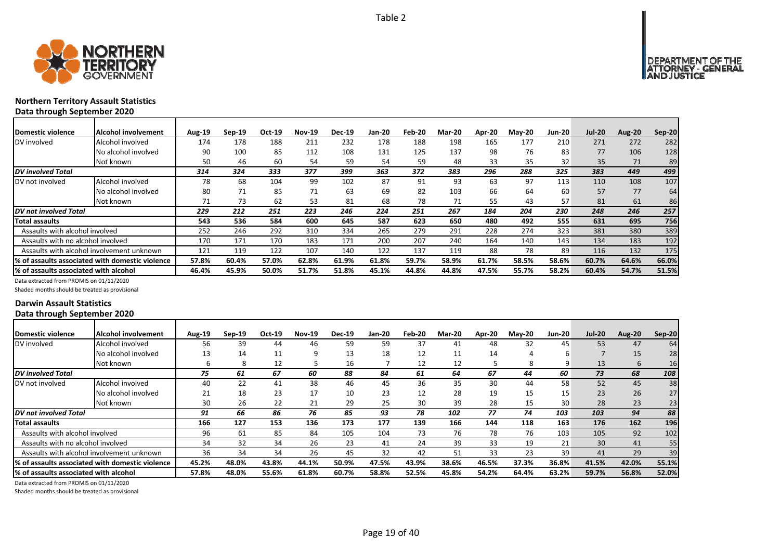



# **Northern Territory Assault Statistics Data through September 2020**

| <b>Domestic violence</b>              | Alcohol involvement                             | Aug-19 | $Sep-19$ | Oct-19 | <b>Nov-19</b> | <b>Dec-19</b> | Jan-20 | Feb-20 | Mar-20 | Apr-20 | $M$ ay-20 | <b>Jun-20</b> | <b>Jul-20</b> | <b>Aug-20</b> | <b>Sep-20</b> |
|---------------------------------------|-------------------------------------------------|--------|----------|--------|---------------|---------------|--------|--------|--------|--------|-----------|---------------|---------------|---------------|---------------|
| DV involved                           | Alcohol involved                                | 174    | 178      | 188    | 211           | 232           | 178    | 188    | 198    | 165    | 177       | 210           | 271           | 272           | 282           |
|                                       | No alcohol involved                             | 90     | 100      | 85     | 112           | 108           | 131    | 125    | 137    | 98     | 76        | 83            | 77            | 106           | 128           |
|                                       | Not known                                       | 50     | 46       | 60     | 54            | 59            | 54     | 59     | 48     | 33     | 35        | 32            | 35            | 71            | 89            |
| <b>DV</b> involved Total              |                                                 | 314    | 324      | 333    | 377           | 399           | 363    | 372    | 383    | 296    | 288       | 325           | 383           | 449           | 499           |
| DV not involved                       | Alcohol involved                                | 78     | 68       | 104    | 99            | 102           | 87     | 91     | 93     | 63     | 97        | 113           | 110           | 108           | 107           |
|                                       | No alcohol involved                             | 80     | 71       | 85     | 71            | 63            | 69     | 82     | 103    | 66     | 64        | 60            | 57            | 77            | 64            |
|                                       | Not known                                       | 71     | 73       | 62     | 53            | 81            | 68     | 78     | 71     | 55     | 43        | 57            | 81            | 61            | 86            |
| DV not involved Total                 |                                                 | 229    | 212      | 251    | 223           | 246           | 224    | 251    | 267    | 184    | 204       | 230           | 248           | 246           | 257           |
| Total assaults                        |                                                 | 543    | 536      | 584    | 600           | 645           | 587    | 623    | 650    | 480    | 492       | 555           | 631           | 695           | 756           |
| Assaults with alcohol involved        |                                                 | 252    | 246      | 292    | 310           | 334           | 265    | 279    | 291    | 228    | 274       | 323           | 381           | 380           | 389           |
| Assaults with no alcohol involved     |                                                 | 170    | 171      | 170    | 183           | 171           | 200    | 207    | 240    | 164    | 140       | 143           | 134           | 183           | 192           |
|                                       | Assaults with alcohol involvement unknown       | 121    | 119      | 122    | 107           | 140           | 122    | 137    | 119    | 88     | 78        | 89            | 116           | 132           | 175           |
|                                       | % of assaults associated with domestic violence | 57.8%  | 60.4%    | 57.0%  | 62.8%         | 61.9%         | 61.8%  | 59.7%  | 58.9%  | 61.7%  | 58.5%     | 58.6%         | 60.7%         | 64.6%         | 66.0%         |
| % of assaults associated with alcohol |                                                 | 46.4%  | 45.9%    | 50.0%  | 51.7%         | 51.8%         | 45.1%  | 44.8%  | 44.8%  | 47.5%  | 55.7%     | 58.2%         | 60.4%         | 54.7%         | 51.5%         |

Data extracted from PROMIS on 01/11/2020

Shaded months should be treated as provisional

#### **Darwin Assault Statistics Data through September 2020**

| Domestic violence                     | Alcohol involvement                             | <b>Aug-19</b> | $Sep-19$ | Oct-19 | <b>Nov-19</b> | <b>Dec-19</b> | Jan-20 | Feb-20 | <b>Mar-20</b> | Apr-20 | <b>Mav-20</b> | <b>Jun-20</b>    | <b>Jul-20</b> | Aug-20 | $Sep-20$ |
|---------------------------------------|-------------------------------------------------|---------------|----------|--------|---------------|---------------|--------|--------|---------------|--------|---------------|------------------|---------------|--------|----------|
| DV involved                           | Alcohol involved                                | 56            | 39       | 44     | 46            | 59            | 59     | 37     | 41            | 48     | 32            | 45               | 53            | 47     | 64       |
|                                       | No alcohol involved                             | 13            | 14       | 11     | q             | 13            | 18     | 12     | 11            | 14     |               | ь                |               | 15     | 28       |
|                                       | Not known                                       | b             | 8        | 12     |               | 16            |        | 12     | 12            |        | 8             | q                | 13            | 6      | 16       |
| <b>DV</b> involved Total              |                                                 | 75            | 61       | 67     | 60            | 88            | 84     | 61     | 64            | 67     | 44            | 60               | 73            | 68     | 108      |
| DV not involved                       | Alcohol involved                                | 40            | 22       | 41     | 38            | 46            | 45     | 36     | 35            | 30     | 44            | 58               | 52            | 45     | 38       |
|                                       | No alcohol involved                             | 21            | 18       | 23     | 17            | 10            | 23     | 12     | 28            | 19     | 15            | 15               | 23            | 26     | 27       |
|                                       | Not known                                       | 30            | 26       | 22     | 21            | 29            | 25     | 30     | 39            | 28     | 15            | 30 <sub>1</sub>  | 28            | 23     | 23       |
| DV not involved Total                 |                                                 | 91            | 66       | 86     | 76            | 85            | 93     | 78     | 102           | 77     | 74            | 103              | 103           | 94     | 88       |
| <b>Total assaults</b>                 |                                                 | 166           | 127      | 153    | 136           | 173           | 177    | 139    | 166           | 144    | 118           | 163 <sub>1</sub> | 176           | 162    | 196      |
| Assaults with alcohol involved        |                                                 | 96            | 61       | 85     | 84            | 105           | 104    | 73     | 76            | 78     | 76            | 103              | 105           | 92     | 102      |
| Assaults with no alcohol involved     |                                                 | 34            | 32       | 34     | 26            | 23            | 41     | 24     | 39            | 33     | 19            | 21               | 30            | 41     | 55       |
|                                       | Assaults with alcohol involvement unknown       | 36            | 34       | 34     | 26            | 45            | 32     | 42     | 51            | 33     | 23            | 39               | 41            | 29     | 39       |
|                                       | % of assaults associated with domestic violence | 45.2%         | 48.0%    | 43.8%  | 44.1%         | 50.9%         | 47.5%  | 43.9%  | 38.6%         | 46.5%  | 37.3%         | 36.8%            | 41.5%         | 42.0%  | 55.1%    |
| % of assaults associated with alcohol |                                                 | 57.8%         | 48.0%    | 55.6%  | 61.8%         | 60.7%         | 58.8%  | 52.5%  | 45.8%         | 54.2%  | 64.4%         | 63.2%            | 59.7%         | 56.8%  | 52.0%    |

Data extracted from PROMIS on 01/11/2020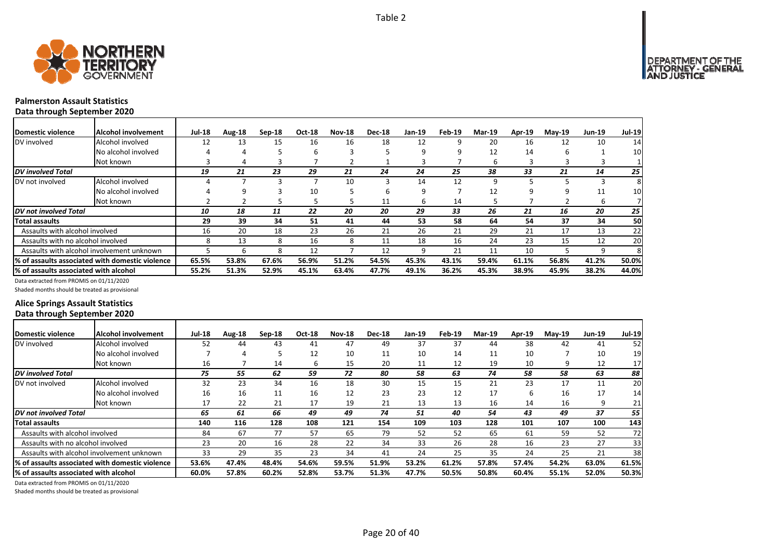

#### **Palmerston Assault Statistics Data through September 2020**

| Domestic violence                     | Alcohol involvement                              | <b>Jul-18</b> | Aug-18 | $Sep-18$ | Oct-18 | <b>Nov-18</b> | <b>Dec-18</b> | Jan-19 | Feb-19 | <b>Mar-19</b> | Apr-19 | $Mav-19$ | <b>Jun-19</b> | Jul-19 |
|---------------------------------------|--------------------------------------------------|---------------|--------|----------|--------|---------------|---------------|--------|--------|---------------|--------|----------|---------------|--------|
| DV involved                           | Alcohol involved                                 | 12            | 13     | 15       | 16     | 16            | 18            | 12     | 9      | 20            | 16     | 12       | 10            | 14     |
|                                       | No alcohol involved                              |               |        |          | h      |               |               | q      | q      | 12            | 14     | h        |               | 10     |
|                                       | Not known                                        |               | 4      |          |        |               |               |        |        | b             |        |          |               |        |
| <b>DV</b> involved Total              |                                                  | 19            | 21     | 23       | 29     | 21            | 24            | 24     | 25     | 38            | 33     | 21       | 14            | 25     |
| DV not involved                       | Alcohol involved                                 |               |        |          |        | 10            | 3             | 14     | 12     | ٩             |        |          |               | 8      |
|                                       | No alcohol involved                              |               | ٩      |          | 10     |               | 6             | 9      |        | 12            | q      |          | 11            | 10     |
|                                       | Not known                                        |               |        |          |        | כ             | 11            | 6      | 14     |               |        |          | b             |        |
| DV not involved Total                 |                                                  | 10            | 18     | 11       | 22     | 20            | 20            | 29     | 33     | 26            | 21     | 16       | 20            | 25     |
| Total assaults                        |                                                  | 29            | 39     | 34       | 51     | 41            | 44            | 53     | 58     | 64            | 54     | 37       | 34            | 50     |
| Assaults with alcohol involved        |                                                  | 16            | 20     | 18       | 23     | 26            | 21            | 26     | 21     | 29            | 21     | 17       | 13            | 22     |
| Assaults with no alcohol involved     |                                                  | 8             | 13     | 8        | 16     | 8             | 11            | 18     | 16     | 24            | 23     | 15       | 12            | 20     |
|                                       | Assaults with alcohol involvement unknown        |               | 6      | 8        | 12     |               | 12            | 9      | 21     | 11            | 10     |          | q             | 8      |
|                                       | I% of assaults associated with domestic violence | 65.5%         | 53.8%  | 67.6%    | 56.9%  | 51.2%         | 54.5%         | 45.3%  | 43.1%  | 59.4%         | 61.1%  | 56.8%    | 41.2%         | 50.0%  |
| % of assaults associated with alcohol |                                                  | 55.2%         | 51.3%  | 52.9%    | 45.1%  | 63.4%         | 47.7%         | 49.1%  | 36.2%  | 45.3%         | 38.9%  | 45.9%    | 38.2%         | 44.0%  |

Data extracted from PROMIS on 01/11/2020

Shaded months should be treated as provisional

## **Alice Springs Assault Statistics Data through September 2020**

| <b>Domestic violence</b>              | <b>IAlcohol involvement</b>                     | <b>Jul-18</b> | Aug-18 | Sep-18 | Oct-18 | <b>Nov-18</b> | <b>Dec-18</b> | <b>Jan-19</b> | Feb-19 | <b>Mar-19</b> | <b>Apr-19</b> | <b>Mav-19</b> | <b>Jun-19</b> | <b>Jul-19</b> |
|---------------------------------------|-------------------------------------------------|---------------|--------|--------|--------|---------------|---------------|---------------|--------|---------------|---------------|---------------|---------------|---------------|
| DV involved                           | Alcohol involved                                | 52            | 44     | 43     | 41     | 47            | 49            | 37            | 37     | 44            | 38            | 42            | 41            | 52            |
|                                       | No alcohol involved                             |               | 4      |        | 12     | 10            | 11            | 10            | 14     | 11            | 10            |               | 10            | 19            |
|                                       | Not known                                       | 16            |        | 14     | 6      | 15            | 20            | 11            | 12     | 19            | 10            | q             | 12            | 17            |
| <b>DV</b> involved Total              |                                                 | 75            | 55     | 62     | 59     | 72            | 80            | 58            | 63     | 74            | 58            | 58            | 63            | 88            |
| DV not involved                       | Alcohol involved                                | 32            | 23     | 34     | 16     | 18            | 30            | 15            | 15     | 21            | 23            | 17            | 11            | 20            |
|                                       | No alcohol involved                             | 16            | 16     | 11     | 16     | 12            | 23            | 23            | 12     | 17            | 6             | 16            | 17            | 14            |
|                                       | Not known                                       | 17            | 22     | 21     | 17     | 19            | 21            | 13            | 13     | 16            | 14            | 16            | 9             | 21            |
| DV not involved Total                 |                                                 | 65            | 61     | 66     | 49     | 49            | 74            | 51            | 40     | 54            | 43            | 49            | 37            | 55            |
| <b>Total assaults</b>                 |                                                 | 140           | 116    | 128    | 108    | 121           | 154           | 109           | 103    | 128           | 101           | 107           | 100           | 143           |
| Assaults with alcohol involved        |                                                 | 84            | 67     | 77     | 57     | 65            | 79            | 52            | 52     | 65            | 61            | 59            | 52            | 72            |
| Assaults with no alcohol involved     |                                                 | 23            | 20     | 16     | 28     | 22            | 34            | 33            | 26     | 28            | 16            | 23            | 27            | 33            |
|                                       | Assaults with alcohol involvement unknown       | 33            | 29     | 35     | 23     | 34            | 41            | 24            | 25     | 35            | 24            | 25            | 21            | 38            |
|                                       | % of assaults associated with domestic violence | 53.6%         | 47.4%  | 48.4%  | 54.6%  | 59.5%         | 51.9%         | 53.2%         | 61.2%  | 57.8%         | 57.4%         | 54.2%         | 63.0%         | 61.5%         |
| % of assaults associated with alcohol |                                                 | 60.0%         | 57.8%  | 60.2%  | 52.8%  | 53.7%         | 51.3%         | 47.7%         | 50.5%  | 50.8%         | 60.4%         | 55.1%         | 52.0%         | 50.3%         |

Data extracted from PROMIS on 01/11/2020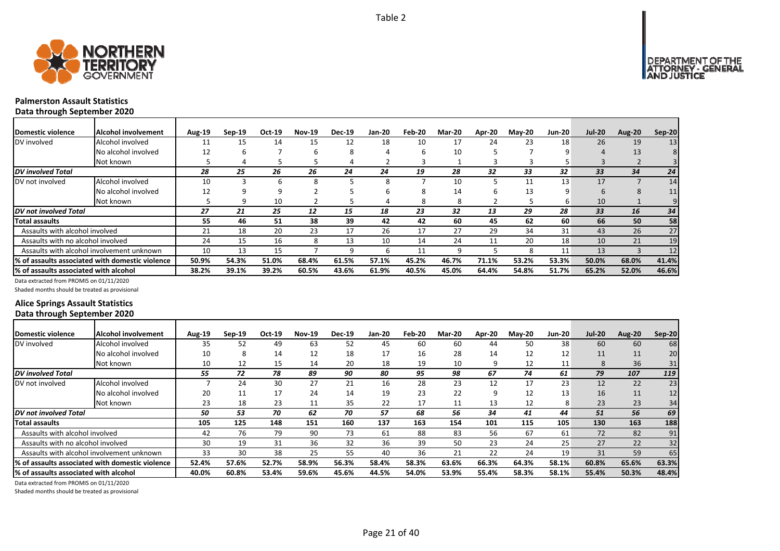



#### **Palmerston Assault Statistics Data through September 2020**

| Domestic violence                     | Alcohol involvement                                     | <b>Aug-19</b> | $Sep-19$ | Oct-19 | <b>Nov-19</b> | <b>Dec-19</b> | <b>Jan-20</b> | Feb-20 | <b>Mar-20</b> | Apr-20 | $M$ ay-20 | <b>Jun-20</b> | <b>Jul-20</b> | Aug-20 | Sep-20 |
|---------------------------------------|---------------------------------------------------------|---------------|----------|--------|---------------|---------------|---------------|--------|---------------|--------|-----------|---------------|---------------|--------|--------|
| DV involved                           | Alcohol involved                                        |               | 15       | 14     | 15            | 12            | 18            | 10     | 17            | 24     | 23        | 18            | 26            | 19     | 13     |
|                                       | No alcohol involved                                     | 12            |          |        |               | 8             |               |        | 10            |        |           |               |               | 13     |        |
|                                       | Not known                                               |               | 4        |        |               | 4             |               |        |               |        | з         |               |               |        |        |
| <b>DV</b> involved Total              |                                                         | 28            | 25       | 26     | 26            | 24            | 24            | 19     | 28            | 32     | 33        | 32            | 33            | 34     | 24     |
| DV not involved                       | Alcohol involved                                        | 10            |          |        |               |               |               |        | 10            |        |           | 13            | 17            |        | 14     |
|                                       | No alcohol involved                                     | 12            |          |        |               |               |               | σ.     | 14            | h      | 13        |               |               |        | 11     |
|                                       | Not known                                               |               |          | 10     |               |               |               | 8      | 8             |        |           | h             | 10            |        |        |
| DV not involved Total                 |                                                         | 27            | 21       | 25     | 12            | 15            | 18            | 23     | 32            | 13     | 29        | 28            | 33            | 16     | 34     |
| <b>Total assaults</b>                 |                                                         | 55            | 46       | 51     | 38            | 39            | 42            | 42     | 60            | 45     | 62        | 60            | 66            | 50     | 58     |
| Assaults with alcohol involved        |                                                         | 21            | 18       | 20     | 23            | 17            | 26            | 17     | 27            | 29     | 34        | 31            | 43            | 26     | 27     |
| Assaults with no alcohol involved     |                                                         | 24            | 15       | 16     |               | 13            | 10            | 14     | 24            | 11     | 20        | 18            | 10            | 21     | 19     |
|                                       | Assaults with alcohol involvement unknown               | 10            | 13       | 15     |               | q             | 6.            | 11     | q             |        | 8         | 11            | 13            |        | 12     |
|                                       | <b>I% of assaults associated with domestic violence</b> | 50.9%         | 54.3%    | 51.0%  | 68.4%         | 61.5%         | 57.1%         | 45.2%  | 46.7%         | 71.1%  | 53.2%     | 53.3%         | 50.0%         | 68.0%  | 41.4%  |
| % of assaults associated with alcohol |                                                         | 38.2%         | 39.1%    | 39.2%  | 60.5%         | 43.6%         | 61.9%         | 40.5%  | 45.0%         | 64.4%  | 54.8%     | 51.7%         | 65.2%         | 52.0%  | 46.6%  |

Data extracted from PROMIS on 01/11/2020

Shaded months should be treated as provisional

## **Alice Springs Assault Statistics Data through September 2020**

| Domestic violence                      | Alcohol involvement                             | <b>Aug-19</b> | $Sep-19$ | Oct-19 | <b>Nov-19</b> | <b>Dec-19</b> | <b>Jan-20</b> | Feb-20 | <b>Mar-20</b> | Apr-20 | <b>Mav-20</b> | <b>Jun-20</b> | <b>Jul-20</b> | Aug-20 | <b>Sep-20</b> |
|----------------------------------------|-------------------------------------------------|---------------|----------|--------|---------------|---------------|---------------|--------|---------------|--------|---------------|---------------|---------------|--------|---------------|
| DV involved                            | Alcohol involved                                | 35            | 52       | 49     | 63            | 52            | 45            | 60     | 60            | 44     | 50            | 38            | 60            | 60     | 68            |
|                                        | No alcohol involved                             | 10            | 8        | 14     | 12            | 18            | 17            | 16     | 28            | 14     | 12            | 12            | 11            | 11     | 20            |
|                                        | Not known                                       | 10            | 12       | 15     | 14            | 20            | 18            | 19     | 10            | 9      | 12            | 11            | 8             | 36     | 31            |
| <b>DV</b> involved Total               |                                                 | 55            | 72       | 78     | 89            | 90            | 80            | 95     | 98            | 67     | 74            | 61            | 79            | 107    | 119           |
| DV not involved                        | Alcohol involved                                |               | 24       | 30     | 27            | 21            | 16            | 28     | 23            | 12     | 17            | 23            | 12            | 22     | 23            |
|                                        | No alcohol involved                             | 20            | 11       | 17     | 24            | 14            | 19            | 23     | 22            | 9      | 12            | 13            | 16            | 11     | 12            |
|                                        | Not known                                       | 23            | 18       | 23     | 11            | 35            | 22            | 17     | 11            | 13     | 12            | 8             | 23            | 23     | 34            |
| <b>DV</b> not involved Total           |                                                 | 50            | 53       | 70     | 62            | 70            | 57            | 68     | 56            | 34     | 41            | 44            | 51            | 56     | 69            |
| Total assaults                         |                                                 | 105           | 125      | 148    | 151           | 160           | 137           | 163    | 154           | 101    | 115           | 105           | 130           | 163    | 188           |
| Assaults with alcohol involved         |                                                 | 42            | 76       | 79     | 90            | 73            | 61            | 88     | 83            | 56     | 67            | 61            | 72            | 82     | 91            |
| Assaults with no alcohol involved      |                                                 | 30            | 19       | 31     | 36            | 32            | 36            | 39     | 50            | 23     | 24            | 25            | 27            | 22     | 32            |
|                                        | Assaults with alcohol involvement unknown       | 33            | 30       | 38     | 25            | 55            | 40            | 36     | 21            | 22     | 24            | 19            | 31            | 59     | 65            |
|                                        | % of assaults associated with domestic violence | 52.4%         | 57.6%    | 52.7%  | 58.9%         | 56.3%         | 58.4%         | 58.3%  | 63.6%         | 66.3%  | 64.3%         | 58.1%         | 60.8%         | 65.6%  | 63.3%         |
| 1% of assaults associated with alcohol |                                                 | 40.0%         | 60.8%    | 53.4%  | 59.6%         | 45.6%         | 44.5%         | 54.0%  | 53.9%         | 55.4%  | 58.3%         | 58.1%         | 55.4%         | 50.3%  | 48.4%         |

Data extracted from PROMIS on 01/11/2020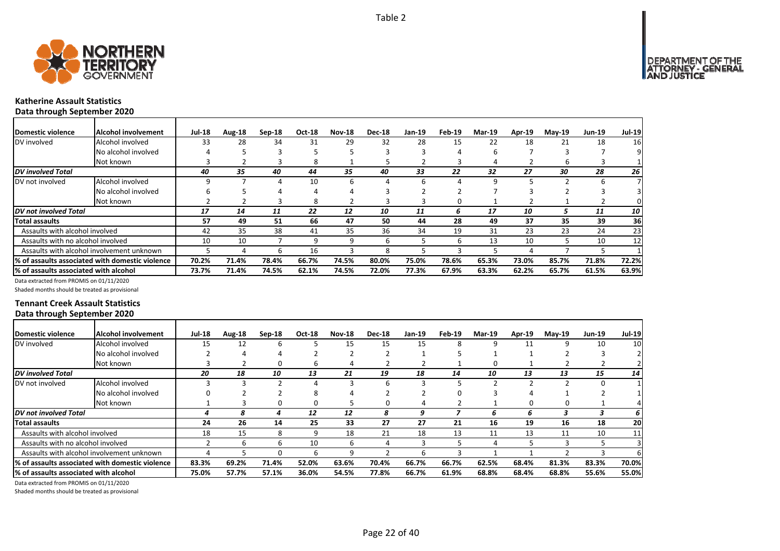

#### **Katherine Assault Statistics Data through September 2020**

| <b>IDomestic violence</b>             | Alcohol involvement                              | <b>Jul-18</b> | Aug-18 | $Sep-18$ | <b>Oct-18</b> | <b>Nov-18</b> | <b>Dec-18</b> | Jan-19 | Feb-19 | <b>Mar-19</b> | <b>Apr-19</b> | <b>May-19</b> | <b>Jun-19</b> | <b>Jul-19</b> |
|---------------------------------------|--------------------------------------------------|---------------|--------|----------|---------------|---------------|---------------|--------|--------|---------------|---------------|---------------|---------------|---------------|
| DV involved                           | Alcohol involved                                 | 33            | 28     | 34       | 31            | 29            | 32            | 28     | 15     | 22            | 18            | 21            | 18            | <b>16</b>     |
|                                       | No alcohol involved                              |               |        |          |               |               |               |        |        |               |               |               |               | 9             |
|                                       | Not known                                        |               |        |          | 8             |               |               |        |        | 4             |               | 6             |               |               |
| <b>DV</b> involved Total              |                                                  | 40            | 35     | 40       | 44            | 35            | 40            | 33     | 22     | 32            | 27            | 30            | 28            | <b>26</b>     |
| DV not involved                       | Alcohol involved                                 |               |        |          | 10            | 6             |               | 6      |        | q             |               |               | h             |               |
|                                       | No alcohol involved                              |               |        |          |               |               |               |        |        |               |               |               |               |               |
|                                       | Not known                                        |               |        |          | 8             |               |               |        |        |               |               |               |               |               |
| <b>IDV</b> not involved Total         |                                                  | 17            | 14     | 11       | 22            | 12            | 10            | 11     |        | 17            | 10            |               | 11            | 10 I          |
| Total assaults                        |                                                  | 57            | 49     | 51       | 66            | 47            | 50            | 44     | 28     | 49            | 37            | 35            | 39            | 36            |
| Assaults with alcohol involved        |                                                  | 42            | 35     | 38       | 41            | 35            | 36            | 34     | 19     | 31            | 23            | 23            | 24            | 23            |
| Assaults with no alcohol involved     |                                                  | 10            | 10     |          | 9             | 9             | 6             |        |        | 13            | 10            |               | 10            | 12            |
|                                       | Assaults with alcohol involvement unknown        |               |        | h        | 16            |               | 8             |        |        |               |               |               |               |               |
|                                       | I% of assaults associated with domestic violence | 70.2%         | 71.4%  | 78.4%    | 66.7%         | 74.5%         | 80.0%         | 75.0%  | 78.6%  | 65.3%         | 73.0%         | 85.7%         | 71.8%         | 72.2%         |
| % of assaults associated with alcohol |                                                  | 73.7%         | 71.4%  | 74.5%    | 62.1%         | 74.5%         | 72.0%         | 77.3%  | 67.9%  | 63.3%         | 62.2%         | 65.7%         | 61.5%         | 63.9%         |

Data extracted from PROMIS on 01/11/2020

Shaded months should be treated as provisional

#### **Tennant Creek Assault Statistics Data through September 2020**

| Domestic violence                         | Alcohol involvement                             | <b>Jul-18</b> | Aug-18 | $Sep-18$ | Oct-18 | <b>Nov-18</b> | <b>Dec-18</b> | Jan-19 | Feb-19 | <b>Mar-19</b> | <b>Apr-19</b> | <b>May-19</b> | <b>Jun-19</b> | <b>Jul-19</b>           |
|-------------------------------------------|-------------------------------------------------|---------------|--------|----------|--------|---------------|---------------|--------|--------|---------------|---------------|---------------|---------------|-------------------------|
| DV involved                               | Alcohol involved                                | 15            | 12     | 6        |        | 15            | 15            | 15     | 8      |               | 11            | 9             | 10            | 10                      |
|                                           | No alcohol involved                             |               |        |          |        |               |               |        |        |               |               |               |               |                         |
|                                           | Not known                                       |               |        |          | ь      | 4             |               |        |        |               |               |               |               |                         |
| <b>DV</b> involved Total                  |                                                 | 20            | 18     | 10       | 13     | 21            | 19            | 18     | 14     | 10            | 13            | 13            | 15            | 14                      |
| DV not involved                           | Alcohol involved                                |               |        |          |        | э             | 6             | 3      |        |               |               |               | 0             |                         |
|                                           | No alcohol involved                             |               |        |          |        |               |               |        | n      |               |               |               |               |                         |
|                                           | Not known                                       |               |        |          |        |               | 0             |        |        |               |               |               |               |                         |
| DV not involved Total                     |                                                 |               | 8      | 4        | 12     | 12            | 8             | 9      |        | ь             | 6             |               |               | <b>6</b>                |
| Total assaults                            |                                                 | 24            | 26     | 14       | 25     | 33            | 27            | 27     | 21     | 16            | 19            | 16            | 18            | 20                      |
| Assaults with alcohol involved            |                                                 | 18            | 15     | я        | q      | 18            | 21            | 18     | 13     | 11            | 13            | 11            | 10            | 11                      |
| Assaults with no alcohol involved         |                                                 |               |        | b        | 10     | 6             | 4             |        |        |               |               | ◠             |               | $\overline{\mathbf{3}}$ |
| Assaults with alcohol involvement unknown |                                                 |               |        |          | ь      | q             |               | h      |        |               |               |               |               | 61                      |
|                                           | % of assaults associated with domestic violence | 83.3%         | 69.2%  | 71.4%    | 52.0%  | 63.6%         | 70.4%         | 66.7%  | 66.7%  | 62.5%         | 68.4%         | 81.3%         | 83.3%         | 70.0%                   |
| % of assaults associated with alcohol     |                                                 | 75.0%         | 57.7%  | 57.1%    | 36.0%  | 54.5%         | 77.8%         | 66.7%  | 61.9%  | 68.8%         | 68.4%         | 68.8%         | 55.6%         | 55.0%                   |

Data extracted from PROMIS on 01/11/2020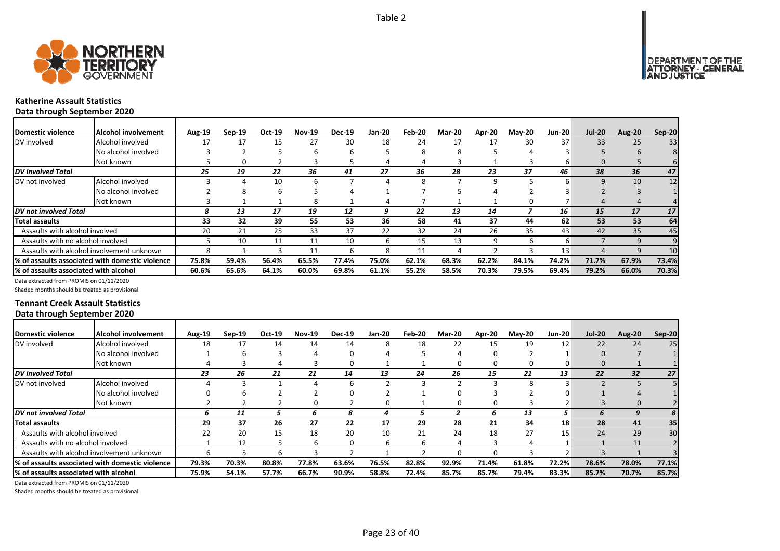



#### **Katherine Assault Statistics Data through September 2020**

| Domestic violence                     | Alcohol involvement                                          | <b>Aug-19</b> | $Sep-19$ | Oct-19 | <b>Nov-19</b> | <b>Dec-19</b> | <b>Jan-20</b> | Feb-20 | <b>Mar-20</b> | Apr-20 | <b>Mav-20</b> | <b>Jun-20</b> | <b>Jul-20</b> | <b>Aug-20</b> | Sep-20 |
|---------------------------------------|--------------------------------------------------------------|---------------|----------|--------|---------------|---------------|---------------|--------|---------------|--------|---------------|---------------|---------------|---------------|--------|
| DV involved                           | Alcohol involved                                             | 17            | 17       | 15     | 27            | 30            | 18            | 24     |               | 17     | 30            | 37            | 33            | 25            | 33     |
|                                       | No alcohol involved                                          |               |          |        |               | n             |               | 8      | 8             |        |               |               |               |               |        |
|                                       | Not known                                                    |               |          |        |               |               | 4             |        |               |        |               | b             | 0             |               |        |
| <b>DV</b> involved Total              |                                                              | 25            | 19       | 22     | 36            | 41            | 27            | 36     | 28            | 23     | 37            | 46            | 38            | 36            | 47     |
| DV not involved                       | Alcohol involved                                             |               |          | 10     |               |               |               |        |               |        |               |               | 9             | 10            | 12     |
|                                       | No alcohol involved                                          |               |          |        |               |               |               |        |               |        |               |               |               |               |        |
|                                       | Not known                                                    |               |          |        | 8             |               |               |        |               |        |               |               |               |               |        |
| DV not involved Total                 |                                                              | 8             | 13       | 17     | 19            | 12            | ą             | 22     | 13            | 14     |               | 16            | 15            | 17            | 17     |
| <b>Total assaults</b>                 |                                                              | 33            | 32       | 39     | 55            | 53            | 36            | 58     | 41            | 37     | 44            | 62            | 53            | 53            | 64     |
| Assaults with alcohol involved        |                                                              | 20            | 21       | 25     | 33            | 37            | 22            | 32     | 24            | 26     | 35            | 43            | 42            | 35            | 45     |
| Assaults with no alcohol involved     |                                                              |               | 10       | 11     | 11            | 10            | h             | 15     | 13            | 9      |               | 6             |               | 9             |        |
|                                       | Assaults with alcohol involvement unknown                    |               |          |        | 11            | 6.            | 8             | 11     | Д             |        |               | 13            |               | q             | 10     |
|                                       | <sup>1</sup> % of assaults associated with domestic violence | 75.8%         | 59.4%    | 56.4%  | 65.5%         | 77.4%         | 75.0%         | 62.1%  | 68.3%         | 62.2%  | 84.1%         | 74.2%         | 71.7%         | 67.9%         | 73.4%  |
| % of assaults associated with alcohol |                                                              | 60.6%         | 65.6%    | 64.1%  | 60.0%         | 69.8%         | 61.1%         | 55.2%  | 58.5%         | 70.3%  | 79.5%         | 69.4%         | 79.2%         | 66.0%         | 70.3%  |

Data extracted from PROMIS on 01/11/2020

Shaded months should be treated as provisional

#### **Tennant Creek Assault Statistics Data through September 2020**

| Domestic violence                     | lAlcohol involvement                            | <b>Aug-19</b> | $Sep-19$ | Oct-19 | <b>Nov-19</b> | <b>Dec-19</b> | <b>Jan-20</b> | Feb-20 | <b>Mar-20</b> | Apr-20 | $M$ ay-20 | <b>Jun-20</b> | <b>Jul-20</b> | Aug-20 | $Sep-20$ |
|---------------------------------------|-------------------------------------------------|---------------|----------|--------|---------------|---------------|---------------|--------|---------------|--------|-----------|---------------|---------------|--------|----------|
| DV involved                           | Alcohol involved                                | 18            | 17       | 14     | 14            | 14            |               | 18     | 22            | 15     | 19        | 12            | 22            | 24     | 25       |
|                                       | No alcohol involved                             |               |          |        |               |               |               |        |               | O      |           |               |               |        |          |
|                                       | Not known                                       |               |          |        |               |               |               |        |               | O      | 0         |               |               |        |          |
| DV involved Total                     |                                                 | 23            | 26       | 21     | 21            | 14            | 13            | 24     | 26            | 15     | 21        | 13            | 22            | 32     | 27       |
| DV not involved                       | Alcohol involved                                |               |          |        |               |               |               |        |               |        |           |               |               |        |          |
|                                       | No alcohol involved                             |               |          |        |               |               |               |        |               |        |           |               |               |        |          |
|                                       | Not known                                       |               |          |        |               |               |               |        |               | 0      |           |               |               |        |          |
| DV not involved Total                 |                                                 | 6             | 11       |        | h             | 8             |               |        |               | h      | 13        | 5             | 6             | 9      | 8        |
| Total assaults                        |                                                 | 29            | 37       | 26     | 27            | 22            | 17            | 29     | 28            | 21     | 34        | 18            | 28            | 41     | 35       |
| Assaults with alcohol involved        |                                                 | 22            | 20       | 15     | 18            | 20            | 10            | 21     | 24            | 18     | 27        | 15            | 24            | 29     | 30       |
| Assaults with no alcohol involved     |                                                 |               | 12       |        | h             |               | h             | n      |               |        | 4         |               |               | 11     |          |
|                                       | Assaults with alcohol involvement unknown       |               |          |        |               |               |               |        |               | O      |           |               |               |        |          |
|                                       | % of assaults associated with domestic violence | 79.3%         | 70.3%    | 80.8%  | 77.8%         | 63.6%         | 76.5%         | 82.8%  | 92.9%         | 71.4%  | 61.8%     | 72.2%         | 78.6%         | 78.0%  | 77.1%    |
| % of assaults associated with alcohol |                                                 | 75.9%         | 54.1%    | 57.7%  | 66.7%         | 90.9%         | 58.8%         | 72.4%  | 85.7%         | 85.7%  | 79.4%     | 83.3%         | 85.7%         | 70.7%  | 85.7%    |

Data extracted from PROMIS on 01/11/2020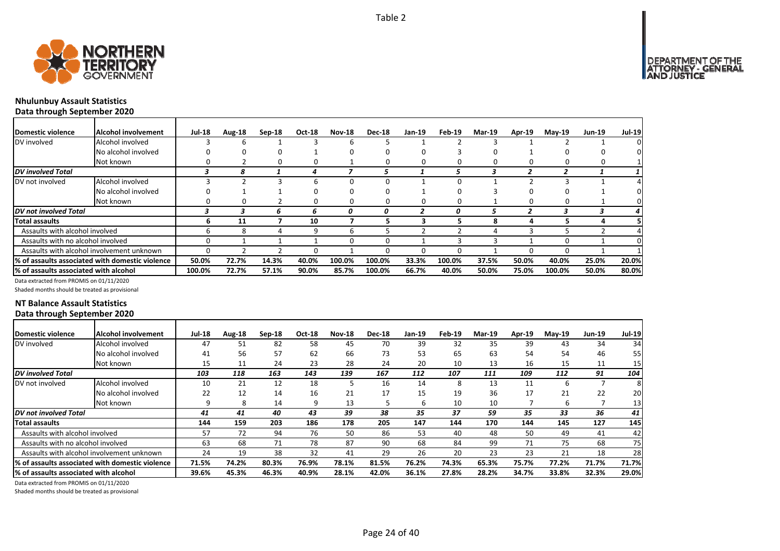

# **Nhulunbuy Assault Statistics Data through September 2020**

| <b>IDomestic violence</b>             | Alcohol involvement                             | <b>Jul-18</b> | Aug-18 | $Sep-18$ | Oct-18 | <b>Nov-18</b> | <b>Dec-18</b> | Jan-19 | Feb-19 | <b>Mar-19</b> | <b>Apr-19</b> | $May-19$ | <b>Jun-19</b> | <b>Jul-19</b> |
|---------------------------------------|-------------------------------------------------|---------------|--------|----------|--------|---------------|---------------|--------|--------|---------------|---------------|----------|---------------|---------------|
| DV involved                           | Alcohol involved                                |               | ь      |          |        | n             |               |        |        |               |               |          |               | 0             |
|                                       | No alcohol involved                             |               | o      |          |        |               |               |        |        |               |               |          |               |               |
|                                       | Not known                                       | 0             |        | 0        | 0      |               | 0             | 0      | 0      | 0             |               |          |               |               |
| <b>DV</b> involved Total              |                                                 |               | 8      |          | 4      |               | 5             |        |        |               | 2             | 2        |               |               |
| DV not involved                       | Alcohol involved                                |               |        |          |        |               |               |        |        |               |               |          |               |               |
|                                       | No alcohol involved                             |               |        |          |        |               | 0             |        |        |               |               |          |               |               |
|                                       | Not known                                       |               | 0      |          | 0      | 0             | 0             |        |        |               |               |          |               |               |
| <b>IDV</b> not involved Total         |                                                 |               |        | 6        | h      | 0             | 0             |        |        |               |               |          |               | 4             |
| Total assaults                        |                                                 | 6             | 11     |          | 10     |               | ∍             |        |        | я             | д             |          |               |               |
| Assaults with alcohol involved        |                                                 | h             | 8      |          | 9      | ь             | ר             |        |        |               |               |          |               |               |
| Assaults with no alcohol involved     |                                                 | 0             |        |          |        | 0             | 0             |        |        |               |               |          |               | 0             |
|                                       | Assaults with alcohol involvement unknown       | n             |        |          | n      |               |               |        |        |               |               |          |               |               |
|                                       | % of assaults associated with domestic violence | 50.0%         | 72.7%  | 14.3%    | 40.0%  | 100.0%        | 100.0%        | 33.3%  | 100.0% | 37.5%         | 50.0%         | 40.0%    | 25.0%         | 20.0%         |
| % of assaults associated with alcohol |                                                 | 100.0%        | 72.7%  | 57.1%    | 90.0%  | 85.7%         | 100.0%        | 66.7%  | 40.0%  | 50.0%         | 75.0%         | 100.0%   | 50.0%         | 80.0%         |

Data extracted from PROMIS on 01/11/2020

Shaded months should be treated as provisional

### **NT Balance Assault Statistics Data through September 2020**

| Domestic violence                                       | <b>Alcohol involvement</b> | <b>Jul-18</b> | Aug-18 | Sep-18 | <b>Oct-18</b> | <b>Nov-18</b> | <b>Dec-18</b> | <b>Jan-19</b> | Feb-19 | <b>Mar-19</b> | <b>Apr-19</b> | $May-19$ | <b>Jun-19</b> | <b>Jul-19</b> |
|---------------------------------------------------------|----------------------------|---------------|--------|--------|---------------|---------------|---------------|---------------|--------|---------------|---------------|----------|---------------|---------------|
| DV involved                                             | Alcohol involved           | 47            | 51     | 82     | 58            | 45            | 70            | 39            | 32     | 35            | 39            | 43       | 34            | 34            |
|                                                         | No alcohol involved        | 41            | 56     | 57     | 62            | 66            | 73            | 53            | 65     | 63            | 54            | 54       | 46            | 55            |
|                                                         | Not known                  | 15            | 11     | 24     | 23            | 28            | 24            | 20            | 10     | 13            | 16            | 15       | 11            | 15            |
| <b>DV</b> involved Total                                |                            | 103           | 118    | 163    | 143           | 139           | 167           | 112           | 107    | 111           | 109           | 112      | 91            | 104           |
| DV not involved                                         | Alcohol involved           | 10            | 21     | 12     | 18            |               | 16            | 14            |        | 13            | 11            | 6        |               | 8             |
|                                                         | No alcohol involved        | 22            | 12     | 14     | 16            | 21            | 17            | 15            | 19     | 36            | 17            | 21       | 22            | 20            |
|                                                         | Not known                  | q             | 8      | 14     |               | 13            |               | 6             | 10     | 10            |               | 6        |               | 13            |
| DV not involved Total                                   |                            | 41            | 41     | 40     | 43            | 39            | 38            | 35            | 37     | 59            | 35            | 33       | 36            | 41            |
| Total assaults                                          |                            | 144           | 159    | 203    | 186           | 178           | 205           | 147           | 144    | 170           | 144           | 145      | 127           | 145           |
| Assaults with alcohol involved                          |                            | 57            | 72     | 94     | 76            | 50            | 86            | 53            | 40     | 48            | 50            | 49       | 41            | 42            |
| Assaults with no alcohol involved                       |                            | 63            | 68     | 71     | 78            | 87            | 90            | 68            | 84     | 99            | 71            | 75       | 68            | 75            |
| Assaults with alcohol involvement unknown               |                            | 24            | 19     | 38     | 32            | 41            | 29            | 26            | 20     | 23            | 23            | 21       | 18            | 28            |
| <b>1% of assaults associated with domestic violence</b> |                            | 71.5%         | 74.2%  | 80.3%  | 76.9%         | 78.1%         | 81.5%         | 76.2%         | 74.3%  | 65.3%         | 75.7%         | 77.2%    | 71.7%         | 71.7%         |
| % of assaults associated with alcohol                   |                            | 39.6%         | 45.3%  | 46.3%  | 40.9%         | 28.1%         | 42.0%         | 36.1%         | 27.8%  | 28.2%         | 34.7%         | 33.8%    | 32.3%         | 29.0%         |

Data extracted from PROMIS on 01/11/2020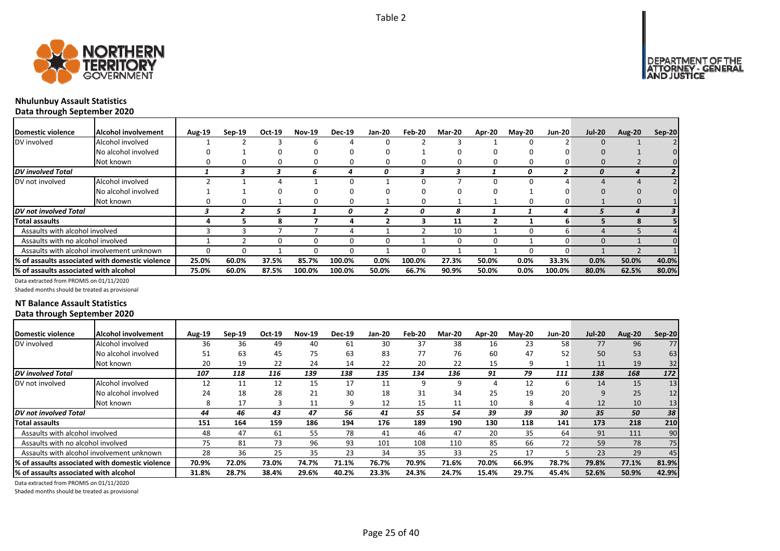



# **Nhulunbuy Assault Statistics Data through September 2020**

| Domestic violence                     | lAlcohol involvement                                    | <b>Aug-19</b> | $Sep-19$ | Oct-19 | <b>Nov-19</b> | <b>Dec-19</b> | <b>Jan-20</b> | Feb-20 | <b>Mar-20</b> | Apr-20 | $M$ ay-20 | <b>Jun-20</b> | <b>Jul-20</b> | <b>Aug-20</b> | <b>Sep-20</b> |
|---------------------------------------|---------------------------------------------------------|---------------|----------|--------|---------------|---------------|---------------|--------|---------------|--------|-----------|---------------|---------------|---------------|---------------|
| DV involved                           | Alcohol involved                                        |               |          |        |               |               |               |        |               |        |           |               |               |               |               |
|                                       | No alcohol involved                                     |               |          |        |               |               |               |        |               |        |           |               |               |               |               |
|                                       | Not known                                               |               |          |        |               |               |               |        | O             | O      |           | 0             |               |               |               |
| <b>DV</b> involved Total              |                                                         |               |          |        | h             |               | 0             |        |               |        | 0         |               | 0             |               |               |
| DV not involved                       | Alcohol involved                                        |               |          |        |               |               |               |        |               |        |           |               |               |               |               |
|                                       | No alcohol involved                                     |               |          |        |               |               |               |        |               |        |           |               |               |               |               |
|                                       | Not known                                               |               |          |        |               |               |               |        |               |        |           |               |               |               |               |
| DV not involved Total                 |                                                         |               |          |        |               | Ω             |               |        |               |        |           | 4             |               |               |               |
| Total assaults                        |                                                         |               |          |        |               |               |               |        | 11            |        |           | 6             |               |               |               |
| Assaults with alcohol involved        |                                                         |               |          |        |               |               |               |        | 10            |        |           | h             |               |               |               |
| Assaults with no alcohol involved     |                                                         |               |          |        |               |               |               |        | O             | O      |           |               |               |               |               |
|                                       | Assaults with alcohol involvement unknown               |               |          |        |               |               |               |        |               |        |           | ŋ             |               |               |               |
|                                       | <b>1% of assaults associated with domestic violence</b> | 25.0%         | 60.0%    | 37.5%  | 85.7%         | 100.0%        | $0.0\%$       | 100.0% | 27.3%         | 50.0%  | 0.0%      | 33.3%         | 0.0%          | 50.0%         | 40.0%         |
| % of assaults associated with alcohol |                                                         | 75.0%         | 60.0%    | 87.5%  | 100.0%        | 100.0%        | 50.0%         | 66.7%  | 90.9%         | 50.0%  | 0.0%      | 100.0%        | 80.0%         | 62.5%         | 80.0%         |

Data extracted from PROMIS on 01/11/2020

Shaded months should be treated as provisional

### **NT Balance Assault Statistics Data through September 2020**

| Domestic violence                     | Alcohol involvement                                     | Aug-19 | $Sep-19$ | Oct-19 | <b>Nov-19</b> | <b>Dec-19</b> | Jan-20 | Feb-20 | <b>Mar-20</b> | Apr-20 | <b>May-20</b> | <b>Jun-20</b> | <b>Jul-20</b> | Aug-20 | Sep-20 |
|---------------------------------------|---------------------------------------------------------|--------|----------|--------|---------------|---------------|--------|--------|---------------|--------|---------------|---------------|---------------|--------|--------|
| DV involved                           | Alcohol involved                                        | 36     | 36       | 49     | 40            | 61            | 30     | 37     | 38            | 16     | 23            | 58            | 77            | 96     | 77     |
|                                       | No alcohol involved                                     | 51     | 63       | 45     | 75            | 63            | 83     | 77     | 76            | 60     | 47            | 52            | 50            | 53     | 63     |
|                                       | Not known                                               | 20     | 19       | 22     | 24            | 14            | 22     | 20     | 22            | 15     | 9             |               | 11            | 19     | 32     |
| <b>DV</b> involved Total              |                                                         | 107    | 118      | 116    | 139           | 138           | 135    | 134    | 136           | 91     | 79            | 111           | 138           | 168    | 172    |
| DV not involved                       | Alcohol involved                                        | 12     | 11       | 12     | 15            | 17            | 11     | 9      | 9             |        | 12            | 6             | 14            | 15     | 13     |
|                                       | No alcohol involved                                     | 24     | 18       | 28     | 21            | 30            | 18     | 31     | 34            | 25     | 19            | 20            | 9             | 25     | 12     |
|                                       | Not known                                               | 8      | 17       |        | 11            |               | 12     | 15     | 11            | 10     | 8             |               | 12            | 10     | 13     |
| DV not involved Total                 |                                                         | 44     | 46       | 43     | 47            | 56            | 41     | 55     | 54            | 39     | 39            | 30            | 35            | 50     | 38     |
| Total assaults                        |                                                         | 151    | 164      | 159    | 186           | 194           | 176    | 189    | 190           | 130    | 118           | 141           | 173           | 218    | 210    |
| Assaults with alcohol involved        |                                                         | 48     | 47       | -61    | 55            | 78            | 41     | 46     | 47            | 20     | 35            | 64            | 91            | 111    | 90     |
| Assaults with no alcohol involved     |                                                         | 75     | 81       | 73     | 96            | 93            | 101    | 108    | 110           | 85     | 66            | 72            | 59            | 78     | 75     |
|                                       | Assaults with alcohol involvement unknown               | 28     | 36       | 25     | 35            | 23            | 34     | 35     | 33            | 25     | 17            |               | 23            | 29     | 45     |
|                                       | <b>1% of assaults associated with domestic violence</b> | 70.9%  | 72.0%    | 73.0%  | 74.7%         | 71.1%         | 76.7%  | 70.9%  | 71.6%         | 70.0%  | 66.9%         | 78.7%         | 79.8%         | 77.1%  | 81.9%  |
| % of assaults associated with alcohol |                                                         | 31.8%  | 28.7%    | 38.4%  | 29.6%         | 40.2%         | 23.3%  | 24.3%  | 24.7%         | 15.4%  | 29.7%         | 45.4%         | 52.6%         | 50.9%  | 42.9%  |

Data extracted from PROMIS on 01/11/2020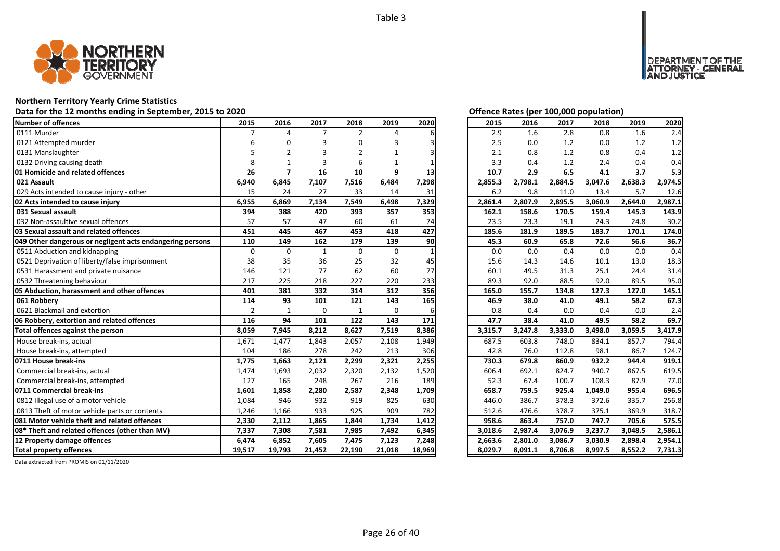

# **Northern Territory Yearly Crime Statistics**

# **Data for the 12 months ending in September, 2015 to 2020** *Offering States (CO)* **<b>***Of Exercise CO*  $\alpha$

| Number of offences                                        | 2015           | 2016           | 2017           | 2018           | 2019   | 2020   | 2015    | 2016    | 2017    | 2018    | 2019    | 2020    |
|-----------------------------------------------------------|----------------|----------------|----------------|----------------|--------|--------|---------|---------|---------|---------|---------|---------|
| 0111 Murder                                               | $\overline{7}$ | $\Delta$       | $\overline{7}$ | $\overline{2}$ | 4      |        | 2.9     | 1.6     | 2.8     | 0.8     | 1.6     | 2.4     |
| 0121 Attempted murder                                     |                | n              |                | 0              | 3      |        | 2.5     | 0.0     | 1.2     | 0.0     | 1.2     | 1.2     |
| 0131 Manslaughter                                         |                | $\overline{2}$ |                | $\overline{2}$ |        |        | 2.1     | 0.8     | 1.2     | 0.8     | 0.4     | 1.2     |
| 0132 Driving causing death                                | 8              |                |                | 6              |        |        | 3.3     | 0.4     | 1.2     | 2.4     | 0.4     | 0.4     |
| 01 Homicide and related offences                          | 26             | $\overline{7}$ | 16             | 10             | 9      | 13     | 10.7    | 2.9     | 6.5     | 4.1     | 3.7     | 5.3     |
| 021 Assault                                               | 6,940          | 6,845          | 7,107          | 7,516          | 6,484  | 7,298  | 2,855.3 | 2,798.1 | 2,884.5 | 3,047.6 | 2,638.3 | 2,974.5 |
| 029 Acts intended to cause injury - other                 | 15             | 24             | 27             | 33             | 14     | 31     | 6.2     | 9.8     | 11.0    | 13.4    | 5.7     | 12.6    |
| 02 Acts intended to cause injury                          | 6,955          | 6,869          | 7,134          | 7,549          | 6,498  | 7,329  | 2,861.4 | 2,807.9 | 2,895.5 | 3,060.9 | 2,644.0 | 2,987.1 |
| 031 Sexual assault                                        | 394            | 388            | 420            | 393            | 357    | 353    | 162.1   | 158.6   | 170.5   | 159.4   | 145.3   | 143.9   |
| 032 Non-assaultive sexual offences                        | 57             | 57             | 47             | 60             | 61     | 74     | 23.5    | 23.3    | 19.1    | 24.3    | 24.8    | 30.2    |
| 03 Sexual assault and related offences                    | 451            | 445            | 467            | 453            | 418    | 427    | 185.6   | 181.9   | 189.5   | 183.7   | 170.1   | 174.0   |
| 049 Other dangerous or negligent acts endangering persons | 110            | 149            | 162            | 179            | 139    | 90     | 45.3    | 60.9    | 65.8    | 72.6    | 56.6    | 36.7    |
| 0511 Abduction and kidnapping                             | 0              | $\Omega$       | $\mathbf{1}$   | $\mathbf 0$    | 0      |        | 0.0     | 0.0     | 0.4     | 0.0     | 0.0     | 0.4     |
| 0521 Deprivation of liberty/false imprisonment            | 38             | 35             | 36             | 25             | 32     | 45     | 15.6    | 14.3    | 14.6    | 10.1    | 13.0    | 18.3    |
| 0531 Harassment and private nuisance                      | 146            | 121            | 77             | 62             | 60     | 77     | 60.1    | 49.5    | 31.3    | 25.1    | 24.4    | 31.4    |
| 0532 Threatening behaviour                                | 217            | 225            | 218            | 227            | 220    | 233    | 89.3    | 92.0    | 88.5    | 92.0    | 89.5    | 95.0    |
| 05 Abduction, harassment and other offences               | 401            | 381            | 332            | 314            | 312    | 356    | 165.0   | 155.7   | 134.8   | 127.3   | 127.0   | 145.1   |
| 061 Robbery                                               | 114            | 93             | 101            | 121            | 143    | 165    | 46.9    | 38.0    | 41.0    | 49.1    | 58.2    | 67.3    |
| 0621 Blackmail and extortion                              | $\overline{2}$ | 1              | $\mathbf 0$    | $\mathbf 1$    | 0      | 6      | 0.8     | 0.4     | 0.0     | 0.4     | 0.0     | 2.4     |
| 06 Robbery, extortion and related offences                | 116            | 94             | 101            | 122            | 143    | 171    | 47.7    | 38.4    | 41.0    | 49.5    | 58.2    | 69.7    |
| Total offences against the person                         | 8,059          | 7,945          | 8,212          | 8,627          | 7,519  | 8,386  | 3,315.7 | 3,247.8 | 3,333.0 | 3,498.0 | 3,059.5 | 3,417.9 |
| House break-ins, actual                                   | 1,671          | 1,477          | 1,843          | 2,057          | 2,108  | 1,949  | 687.5   | 603.8   | 748.0   | 834.1   | 857.7   | 794.4   |
| House break-ins, attempted                                | 104            | 186            | 278            | 242            | 213    | 306    | 42.8    | 76.0    | 112.8   | 98.1    | 86.7    | 124.7   |
| 0711 House break-ins                                      | 1,775          | 1,663          | 2,121          | 2,299          | 2,321  | 2,255  | 730.3   | 679.8   | 860.9   | 932.2   | 944.4   | 919.1   |
| Commercial break-ins, actual                              | 1,474          | 1,693          | 2,032          | 2,320          | 2,132  | 1,520  | 606.4   | 692.1   | 824.7   | 940.7   | 867.5   | 619.5   |
| Commercial break-ins, attempted                           | 127            | 165            | 248            | 267            | 216    | 189    | 52.3    | 67.4    | 100.7   | 108.3   | 87.9    | 77.0    |
| 0711 Commercial break-ins                                 | 1,601          | 1,858          | 2,280          | 2,587          | 2,348  | 1,709  | 658.7   | 759.5   | 925.4   | 1,049.0 | 955.4   | 696.5   |
| 0812 Illegal use of a motor vehicle                       | 1,084          | 946            | 932            | 919            | 825    | 630    | 446.0   | 386.7   | 378.3   | 372.6   | 335.7   | 256.8   |
| 0813 Theft of motor vehicle parts or contents             | 1,246          | 1,166          | 933            | 925            | 909    | 782    | 512.6   | 476.6   | 378.7   | 375.1   | 369.9   | 318.7   |
| 081 Motor vehicle theft and related offences              | 2,330          | 2,112          | 1,865          | 1,844          | 1,734  | 1,412  | 958.6   | 863.4   | 757.0   | 747.7   | 705.6   | 575.5   |
| 08* Theft and related offences (other than MV)            | 7,337          | 7,308          | 7,581          | 7,985          | 7,492  | 6,345  | 3,018.6 | 2,987.4 | 3,076.9 | 3,237.7 | 3,048.5 | 2,586.1 |
| 12 Property damage offences                               | 6,474          | 6,852          | 7,605          | 7,475          | 7,123  | 7,248  | 2,663.6 | 2,801.0 | 3,086.7 | 3,030.9 | 2,898.4 | 2,954.1 |
| <b>Total property offences</b>                            | 19,517         | 19,793         | 21,452         | 22,190         | 21,018 | 18,969 | 8,029.7 | 8,091.1 | 8,706.8 | 8,997.5 | 8,552.2 | 7,731.3 |

| Offence Rates (per 100,000 population) |  |
|----------------------------------------|--|

DEPARTMENT OF THE<br>ATTORNEY - GENERAL<br>AND JUSTICE

| 2015    | 2016    | 2017    | 2018    | 2019    | 2020    |
|---------|---------|---------|---------|---------|---------|
| 2.9     | 1.6     | 2.8     | 0.8     | 1.6     | 2.4     |
| 2.5     | 0.0     | 1.2     | 0.0     | 1.2     | 1.2     |
| 2.1     | 0.8     | 1.2     | 0.8     | 0.4     | 1.2     |
| 3.3     | 0.4     | 1.2     | 2.4     | 0.4     | 0.4     |
| 10.7    | 2.9     | 6.5     | 4.1     | 3.7     | 5.3     |
| 2,855.3 | 2,798.1 | 2,884.5 | 3,047.6 | 2,638.3 | 2,974.5 |
| 6.2     | 9.8     | 11.0    | 13.4    | 5.7     | 12.6    |
| 2,861.4 | 2,807.9 | 2,895.5 | 3,060.9 | 2,644.0 | 2,987.1 |
| 162.1   | 158.6   | 170.5   | 159.4   | 145.3   | 143.9   |
| 23.5    | 23.3    | 19.1    | 24.3    | 24.8    | 30.2    |
| 185.6   | 181.9   | 189.5   | 183.7   | 170.1   | 174.0   |
| 45.3    | 60.9    | 65.8    | 72.6    | 56.6    | 36.7    |
| 0.0     | 0.0     | 0.4     | 0.0     | 0.0     | 0.4     |
| 15.6    | 14.3    | 14.6    | 10.1    | 13.0    | 18.3    |
| 60.1    | 49.5    | 31.3    | 25.1    | 24.4    | 31.4    |
| 89.3    | 92.0    | 88.5    | 92.0    | 89.5    | 95.0    |
| 165.0   | 155.7   | 134.8   | 127.3   | 127.0   | 145.1   |
| 46.9    | 38.0    | 41.0    | 49.1    | 58.2    | 67.3    |
| 0.8     | 0.4     | 0.0     | 0.4     | 0.0     | 2.4     |
| 47.7    | 38.4    | 41.0    | 49.5    | 58.2    | 69.7    |
| 3,315.7 | 3,247.8 | 3,333.0 | 3,498.0 | 3,059.5 | 3,417.9 |
| 687.5   | 603.8   | 748.0   | 834.1   | 857.7   | 794.4   |
| 42.8    | 76.0    | 112.8   | 98.1    | 86.7    | 124.7   |
| 730.3   | 679.8   | 860.9   | 932.2   | 944.4   | 919.1   |
| 606.4   | 692.1   | 824.7   | 940.7   | 867.5   | 619.5   |
| 52.3    | 67.4    | 100.7   | 108.3   | 87.9    | 77.0    |
| 658.7   | 759.5   | 925.4   | 1,049.0 | 955.4   | 696.5   |
| 446.0   | 386.7   | 378.3   | 372.6   | 335.7   | 256.8   |
| 512.6   | 476.6   | 378.7   | 375.1   | 369.9   | 318.7   |
| 958.6   | 863.4   | 757.0   | 747.7   | 705.6   | 575.5   |
| 3,018.6 | 2,987.4 | 3,076.9 | 3,237.7 | 3,048.5 | 2,586.1 |
| 2,663.6 | 2,801.0 | 3,086.7 | 3,030.9 | 2,898.4 | 2,954.1 |
| 8,029.7 | 8,091.1 | 8,706.8 | 8,997.5 | 8,552.2 | 7,731.3 |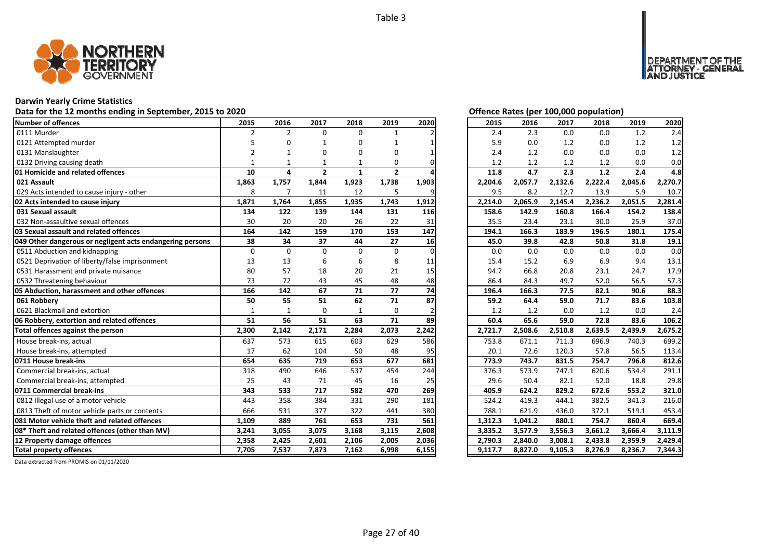

# **Darwin Yearly Crime Statistics**

# Data for the 12 months ending in September, 2015 to 2020<br> **Data for the 12 months ending in September, 2015 to 2020**

| <b>Number of offences</b>                                 | 2015           | 2016           | 2017         | 2018         | 2019           | 2020     | 2015    | 2016    | 2017    | 2018    | 2019    | 2020    |
|-----------------------------------------------------------|----------------|----------------|--------------|--------------|----------------|----------|---------|---------|---------|---------|---------|---------|
| 0111 Murder                                               | $\overline{2}$ | $\overline{2}$ | $\Omega$     | $\Omega$     | $\mathbf{1}$   |          | 2.4     | 2.3     | 0.0     | 0.0     | 1.2     | 2.4     |
| 0121 Attempted murder                                     |                |                |              | n            |                |          | 5.9     | 0.0     | 1.2     | 0.0     | 1.2     | 1.2     |
| 0131 Manslaughter                                         |                |                |              | 0            | O              |          | 2.4     | 1.2     | 0.0     | 0.0     | 0.0     | 1.2     |
| 0132 Driving causing death                                |                |                |              |              | 0              |          | 1.2     | 1.2     | 1.2     | 1.2     | 0.0     | 0.0     |
| <b>01 Homicide and related offences</b>                   | 10             | 4              | $\mathbf{2}$ | $\mathbf{1}$ | $\overline{2}$ |          | 11.8    | 4.7     | 2.3     | $1.2$   | 2.4     | 4.8     |
| 021 Assault                                               | 1,863          | 1,757          | 1,844        | 1,923        | 1,738          | 1,903    | 2,204.6 | 2,057.7 | 2,132.6 | 2,222.4 | 2,045.6 | 2,270.7 |
| 029 Acts intended to cause injury - other                 | 8              | $\overline{ }$ | 11           | 12           | 5              |          | 9.5     | 8.2     | 12.7    | 13.9    | 5.9     | 10.7    |
| 02 Acts intended to cause injury                          | 1,871          | 1,764          | 1,855        | 1,935        | 1,743          | 1,912    | 2,214.0 | 2,065.9 | 2,145.4 | 2,236.2 | 2,051.5 | 2,281.4 |
| 031 Sexual assault                                        | 134            | 122            | 139          | 144          | 131            | 116      | 158.6   | 142.9   | 160.8   | 166.4   | 154.2   | 138.4   |
| 032 Non-assaultive sexual offences                        | 30             | 20             | 20           | 26           | 22             | 31       | 35.5    | 23.4    | 23.1    | 30.0    | 25.9    | 37.0    |
| 03 Sexual assault and related offences                    | 164            | 142            | 159          | 170          | 153            | 147      | 194.1   | 166.3   | 183.9   | 196.5   | 180.1   | 175.4   |
| 049 Other dangerous or negligent acts endangering persons | 38             | 34             | 37           | 44           | 27             | 16       | 45.0    | 39.8    | 42.8    | 50.8    | 31.8    | 19.1    |
| 0511 Abduction and kidnapping                             | $\Omega$       | $\Omega$       | $\Omega$     | $\Omega$     | $\mathbf 0$    | $\Omega$ | 0.0     | 0.0     | 0.0     | 0.0     | 0.0     | 0.0     |
| 0521 Deprivation of liberty/false imprisonment            | 13             | 13             | 6            | 6            | 8              | 11       | 15.4    | 15.2    | 6.9     | 6.9     | 9.4     | 13.1    |
| 0531 Harassment and private nuisance                      | 80             | 57             | 18           | 20           | 21             | 15       | 94.7    | 66.8    | 20.8    | 23.1    | 24.7    | 17.9    |
| 0532 Threatening behaviour                                | 73             | 72             | 43           | 45           | 48             | 48       | 86.4    | 84.3    | 49.7    | 52.0    | 56.5    | 57.3    |
| 05 Abduction, harassment and other offences               | 166            | 142            | 67           | 71           | 77             | 74       | 196.4   | 166.3   | 77.5    | 82.1    | 90.6    | 88.3    |
| 061 Robberv                                               | 50             | 55             | 51           | 62           | 71             | 87       | 59.2    | 64.4    | 59.0    | 71.7    | 83.6    | 103.8   |
| 0621 Blackmail and extortion                              | $\mathbf{1}$   | $\mathbf{1}$   | $\Omega$     | $\mathbf{1}$ | $\mathbf 0$    |          | 1.2     | 1.2     | 0.0     | 1.2     | 0.0     | 2.4     |
| 06 Robbery, extortion and related offences                | 51             | 56             | 51           | 63           | 71             | 89       | 60.4    | 65.6    | 59.0    | 72.8    | 83.6    | 106.2   |
| Total offences against the person                         | 2,300          | 2,142          | 2,171        | 2,284        | 2,073          | 2,242    | 2,721.7 | 2,508.6 | 2,510.8 | 2,639.5 | 2,439.9 | 2,675.2 |
| House break-ins, actual                                   | 637            | 573            | 615          | 603          | 629            | 586      | 753.8   | 671.1   | 711.3   | 696.9   | 740.3   | 699.2   |
| House break-ins, attempted                                | 17             | 62             | 104          | 50           | 48             | 95       | 20.1    | 72.6    | 120.3   | 57.8    | 56.5    | 113.4   |
| 0711 House break-ins                                      | 654            | 635            | 719          | 653          | 677            | 681      | 773.9   | 743.7   | 831.5   | 754.7   | 796.8   | 812.6   |
| Commercial break-ins, actual                              | 318            | 490            | 646          | 537          | 454            | 244      | 376.3   | 573.9   | 747.1   | 620.6   | 534.4   | 291.1   |
| Commercial break-ins, attempted                           | 25             | 43             | 71           | 45           | 16             | 25       | 29.6    | 50.4    | 82.1    | 52.0    | 18.8    | 29.8    |
| 0711 Commercial break-ins                                 | 343            | 533            | 717          | 582          | 470            | 269      | 405.9   | 624.2   | 829.2   | 672.6   | 553.2   | 321.0   |
| 0812 Illegal use of a motor vehicle                       | 443            | 358            | 384          | 331          | 290            | 181      | 524.2   | 419.3   | 444.1   | 382.5   | 341.3   | 216.0   |
| 0813 Theft of motor vehicle parts or contents             | 666            | 531            | 377          | 322          | 441            | 380      | 788.1   | 621.9   | 436.0   | 372.1   | 519.1   | 453.4   |
| <b>1081 Motor vehicle theft and related offences</b>      | 1,109          | 889            | 761          | 653          | 731            | 561      | 1,312.3 | 1,041.2 | 880.1   | 754.7   | 860.4   | 669.4   |
| 08* Theft and related offences (other than MV)            | 3,241          | 3,055          | 3,075        | 3,168        | 3,115          | 2,608    | 3,835.2 | 3,577.9 | 3,556.3 | 3,661.2 | 3,666.4 | 3,111.9 |
| 12 Property damage offences                               | 2,358          | 2,425          | 2,601        | 2,106        | 2,005          | 2,036    | 2,790.3 | 2,840.0 | 3,008.1 | 2,433.8 | 2,359.9 | 2,429.4 |
| <b>Total property offences</b>                            | 7,705          | 7,537          | 7,873        | 7,162        | 6,998          | 6,155    | 9,117.7 | 8,827.0 | 9,105.3 | 8,276.9 | 8,236.7 | 7,344.3 |

NT OF THE<br>' - GENERAL

JSTICE

**DEPAR** 

| 2015    | 2016    | 2017    | 2018    | 2019    | 2020    |
|---------|---------|---------|---------|---------|---------|
| 2.4     | 2.3     | 0.0     | 0.0     | 1.2     | 2.4     |
| 5.9     | 0.0     | 1.2     | 0.0     | 1.2     | 1.2     |
| 2.4     | 1.2     | 0.0     | 0.0     | 0.0     | $1.2\,$ |
| 1.2     | 1.2     | 1.2     | 1.2     | 0.0     | 0.0     |
| 11.8    | 4.7     | 2.3     | 1.2     | 2.4     | 4.8     |
| 2,204.6 | 2,057.7 | 2,132.6 | 2,222.4 | 2,045.6 | 2,270.7 |
| 9.5     | 8.2     | 12.7    | 13.9    | 5.9     | 10.7    |
| 2,214.0 | 2,065.9 | 2,145.4 | 2,236.2 | 2,051.5 | 2,281.4 |
| 158.6   | 142.9   | 160.8   | 166.4   | 154.2   | 138.4   |
| 35.5    | 23.4    | 23.1    | 30.0    | 25.9    | 37.0    |
| 194.1   | 166.3   | 183.9   | 196.5   | 180.1   | 175.4   |
| 45.0    | 39.8    | 42.8    | 50.8    | 31.8    | 19.1    |
| 0.0     | 0.0     | 0.0     | 0.0     | 0.0     | 0.0     |
| 15.4    | 15.2    | 6.9     | 6.9     | 9.4     | 13.1    |
| 94.7    | 66.8    | 20.8    | 23.1    | 24.7    | 17.9    |
| 86.4    | 84.3    | 49.7    | 52.0    | 56.5    | 57.3    |
| 196.4   | 166.3   | 77.5    | 82.1    | 90.6    | 88.3    |
| 59.2    | 64.4    | 59.0    | 71.7    | 83.6    | 103.8   |
| 1.2     | 1.2     | 0.0     | 1.2     | 0.0     | 2.4     |
| 60.4    | 65.6    | 59.0    | 72.8    | 83.6    | 106.2   |
| 2,721.7 | 2,508.6 | 2,510.8 | 2,639.5 | 2,439.9 | 2,675.2 |
| 753.8   | 671.1   | 711.3   | 696.9   | 740.3   | 699.2   |
| 20.1    | 72.6    | 120.3   | 57.8    | 56.5    | 113.4   |
| 773.9   | 743.7   | 831.5   | 754.7   | 796.8   | 812.6   |
| 376.3   | 573.9   | 747.1   | 620.6   | 534.4   | 291.1   |
| 29.6    | 50.4    | 82.1    | 52.0    | 18.8    | 29.8    |
| 405.9   |         |         |         |         |         |
|         | 624.2   | 829.2   | 672.6   | 553.2   | 321.0   |
| 524.2   | 419.3   | 444.1   | 382.5   | 341.3   | 216.0   |
| 788.1   | 621.9   | 436.0   | 372.1   | 519.1   | 453.4   |
| 1,312.3 | 1,041.2 | 880.1   | 754.7   | 860.4   | 669.4   |
| 3,835.2 | 3,577.9 | 3,556.3 | 3,661.2 | 3,666.4 | 3,111.9 |
| 2,790.3 | 2,840.0 | 3,008.1 | 2,433.8 | 2,359.9 | 2,429.4 |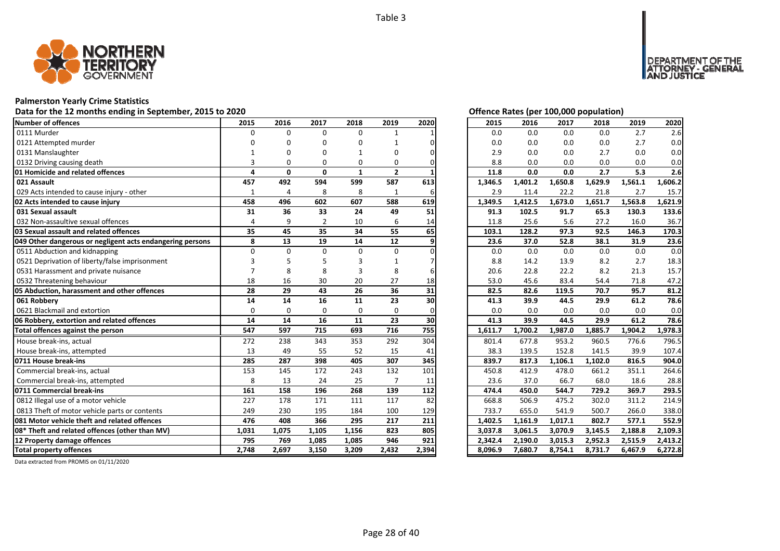

# **Palmerston Yearly Crime Statistics**

# Data for the 12 months ending in September, 2015 to 2020<br>
Data for the 12 months ending in September, 2015 to 2020

| Number of offences                                        | 2015           | 2016           | 2017           | 2018         | 2019           | 2020  | 2015    | 2016    | 2017    | 2018    | 2019    | 2020    |
|-----------------------------------------------------------|----------------|----------------|----------------|--------------|----------------|-------|---------|---------|---------|---------|---------|---------|
| 0111 Murder                                               | $\Omega$       | $\Omega$       | $\Omega$       | $\Omega$     |                |       | 0.0     | 0.0     | 0.0     | 0.0     | 2.7     | 2.6     |
| 0121 Attempted murder                                     |                |                | O              | O            |                |       | 0.0     | 0.0     | 0.0     | 0.0     | 2.7     | 0.0     |
| 0131 Manslaughter                                         |                |                |                |              | O              |       | 2.9     | 0.0     | 0.0     | 2.7     | 0.0     | 0.0     |
| 0132 Driving causing death                                |                | $\Omega$       | O              | 0            | 0              |       | 8.8     | 0.0     | 0.0     | 0.0     | 0.0     | 0.0     |
| 01 Homicide and related offences                          | 4              | $\mathbf{0}$   | $\mathbf{0}$   | $\mathbf{1}$ | $\mathbf{2}$   |       | 11.8    | 0.0     | 0.0     | 2.7     | 5.3     | 2.6     |
| 021 Assault                                               | 457            | 492            | 594            | 599          | 587            | 613   | 1,346.5 | 1,401.2 | 1,650.8 | 1,629.9 | 1,561.1 | 1,606.2 |
| 029 Acts intended to cause injury - other                 | 1              | $\overline{4}$ | 8              | 8            | 1              | 6     | 2.9     | 11.4    | 22.2    | 21.8    | 2.7     | 15.7    |
| 02 Acts intended to cause injury                          | 458            | 496            | 602            | 607          | 588            | 619   | 1,349.5 | 1,412.5 | 1,673.0 | 1,651.7 | 1,563.8 | 1,621.9 |
| 031 Sexual assault                                        | 31             | 36             | 33             | 24           | 49             | 51    | 91.3    | 102.5   | 91.7    | 65.3    | 130.3   | 133.6   |
| 032 Non-assaultive sexual offences                        | $\overline{a}$ | 9              | $\overline{2}$ | 10           | 6              | 14    | 11.8    | 25.6    | 5.6     | 27.2    | 16.0    | 36.7    |
| 03 Sexual assault and related offences                    | 35             | 45             | 35             | 34           | 55             | 65    | 103.1   | 128.2   | 97.3    | 92.5    | 146.3   | 170.3   |
| 049 Other dangerous or negligent acts endangering persons | 8              | 13             | 19             | 14           | 12             | 9     | 23.6    | 37.0    | 52.8    | 38.1    | 31.9    | 23.6    |
| 0511 Abduction and kidnapping                             | $\Omega$       | $\Omega$       | $\Omega$       | $\Omega$     | $\Omega$       |       | 0.0     | 0.0     | 0.0     | 0.0     | 0.0     | 0.0     |
| 0521 Deprivation of liberty/false imprisonment            |                |                |                |              |                |       | 8.8     | 14.2    | 13.9    | 8.2     | 2.7     | 18.3    |
| 0531 Harassment and private nuisance                      |                | 8              | 8              |              | 8              |       | 20.6    | 22.8    | 22.2    | 8.2     | 21.3    | 15.7    |
| 0532 Threatening behaviour                                | 18             | 16             | 30             | 20           | 27             | 18    | 53.0    | 45.6    | 83.4    | 54.4    | 71.8    | 47.2    |
| 05 Abduction, harassment and other offences               | 28             | 29             | 43             | 26           | 36             | 31    | 82.5    | 82.6    | 119.5   | 70.7    | 95.7    | 81.2    |
| 061 Robbery                                               | 14             | 14             | 16             | 11           | 23             | 30    | 41.3    | 39.9    | 44.5    | 29.9    | 61.2    | 78.6    |
| 0621 Blackmail and extortion                              | $\Omega$       | $\Omega$       | $\Omega$       | 0            | $\Omega$       |       | 0.0     | 0.0     | 0.0     | 0.0     | 0.0     | 0.0     |
| 06 Robbery, extortion and related offences                | 14             | 14             | 16             | 11           | 23             | 30    | 41.3    | 39.9    | 44.5    | 29.9    | 61.2    | 78.6    |
| Total offences against the person                         | 547            | 597            | 715            | 693          | 716            | 755   | 1,611.7 | 1,700.2 | 1,987.0 | 1,885.7 | 1,904.2 | 1,978.3 |
| House break-ins, actual                                   | 272            | 238            | 343            | 353          | 292            | 304   | 801.4   | 677.8   | 953.2   | 960.5   | 776.6   | 796.5   |
| House break-ins, attempted                                | 13             | 49             | 55             | 52           | 15             | 41    | 38.3    | 139.5   | 152.8   | 141.5   | 39.9    | 107.4   |
| 0711 House break-ins                                      | 285            | 287            | 398            | 405          | 307            | 345   | 839.7   | 817.3   | 1,106.1 | 1,102.0 | 816.5   | 904.0   |
| Commercial break-ins, actual                              | 153            | 145            | 172            | 243          | 132            | 101   | 450.8   | 412.9   | 478.0   | 661.2   | 351.1   | 264.6   |
| Commercial break-ins, attempted                           | 8              | 13             | 24             | 25           | $\overline{7}$ | 11    | 23.6    | 37.0    | 66.7    | 68.0    | 18.6    | 28.8    |
| 0711 Commercial break-ins                                 | 161            | 158            | 196            | 268          | 139            | 112   | 474.4   | 450.0   | 544.7   | 729.2   | 369.7   | 293.5   |
| 0812 Illegal use of a motor vehicle                       | 227            | 178            | 171            | 111          | 117            | 82    | 668.8   | 506.9   | 475.2   | 302.0   | 311.2   | 214.9   |
| 0813 Theft of motor vehicle parts or contents             | 249            | 230            | 195            | 184          | 100            | 129   | 733.7   | 655.0   | 541.9   | 500.7   | 266.0   | 338.0   |
| 081 Motor vehicle theft and related offences              | 476            | 408            | 366            | 295          | 217            | 211   | 1,402.5 | 1,161.9 | 1,017.1 | 802.7   | 577.1   | 552.9   |
| 08* Theft and related offences (other than MV)            | 1,031          | 1,075          | 1,105          | 1,156        | 823            | 805   | 3,037.8 | 3,061.5 | 3,070.9 | 3,145.5 | 2,188.8 | 2,109.3 |
| 12 Property damage offences                               | 795            | 769            | 1,085          | 1,085        | 946            | 921   | 2,342.4 | 2,190.0 | 3,015.3 | 2,952.3 | 2,515.9 | 2,413.2 |
| <b>Total property offences</b>                            | 2,748          | 2,697          | 3,150          | 3,209        | 2,432          | 2,394 | 8,096.9 | 7.680.7 | 8,754.1 | 8,731.7 | 6,467.9 | 6,272.8 |

DEPARTMENT OF THE<br>ATTORNEY - GENERAL ÜSTICE

| 2015    | 2016    | 2017    | 2018    | 2019    | 2020    |
|---------|---------|---------|---------|---------|---------|
| 0.0     | 0.0     | 0.0     | 0.0     | 2.7     | 2.6     |
| 0.0     | 0.0     | 0.0     | 0.0     | 2.7     | 0.0     |
| 2.9     | 0.0     | 0.0     | 2.7     | 0.0     | 0.0     |
| 8.8     | 0.0     | 0.0     | 0.0     | 0.0     | 0.0     |
| 11.8    | 0.0     | 0.0     | 2.7     | 5.3     | 2.6     |
| 1,346.5 | 1,401.2 | 1,650.8 | 1,629.9 | 1,561.1 | 1,606.2 |
| 2.9     | 11.4    | 22.2    | 21.8    | 2.7     | 15.7    |
| 1,349.5 | 1,412.5 | 1,673.0 | 1,651.7 | 1,563.8 | 1,621.9 |
| 91.3    | 102.5   | 91.7    | 65.3    | 130.3   | 133.6   |
| 11.8    | 25.6    | 5.6     | 27.2    | 16.0    | 36.7    |
| 103.1   | 128.2   | 97.3    | 92.5    | 146.3   | 170.3   |
| 23.6    | 37.0    | 52.8    | 38.1    | 31.9    | 23.6    |
| 0.0     | 0.0     | 0.0     | 0.0     | 0.0     | 0.0     |
| 8.8     | 14.2    | 13.9    | 8.2     | 2.7     | 18.3    |
| 20.6    | 22.8    | 22.2    | 8.2     | 21.3    | 15.7    |
| 53.0    | 45.6    | 83.4    | 54.4    | 71.8    | 47.2    |
| 82.5    | 82.6    | 119.5   | 70.7    | 95.7    | 81.2    |
| 41.3    | 39.9    | 44.5    | 29.9    | 61.2    | 78.6    |
| 0.0     | 0.0     | 0.0     | 0.0     | 0.0     | 0.0     |
| 41.3    | 39.9    | 44.5    | 29.9    | 61.2    | 78.6    |
| 1,611.7 | 1,700.2 | 1,987.0 | 1,885.7 | 1,904.2 | 1,978.3 |
| 801.4   | 677.8   | 953.2   | 960.5   | 776.6   | 796.5   |
| 38.3    | 139.5   | 152.8   | 141.5   | 39.9    | 107.4   |
| 839.7   | 817.3   | 1,106.1 | 1,102.0 | 816.5   | 904.0   |
| 450.8   | 412.9   | 478.0   | 661.2   | 351.1   | 264.6   |
| 23.6    | 37.0    | 66.7    | 68.0    | 18.6    | 28.8    |
| 474.4   | 450.0   | 544.7   | 729.2   | 369.7   | 293.5   |
| 668.8   | 506.9   | 475.2   | 302.0   | 311.2   | 214.9   |
| 733.7   | 655.0   | 541.9   | 500.7   | 266.0   | 338.0   |
| 1,402.5 | 1,161.9 | 1,017.1 | 802.7   | 577.1   | 552.9   |
| 3,037.8 | 3,061.5 | 3,070.9 | 3,145.5 | 2,188.8 | 2,109.3 |
| 2,342.4 | 2,190.0 | 3,015.3 | 2,952.3 | 2,515.9 | 2,413.2 |
| 8,096.9 | 7,680.7 | 8,754.1 | 8,731.7 | 6,467.9 | 6,272.8 |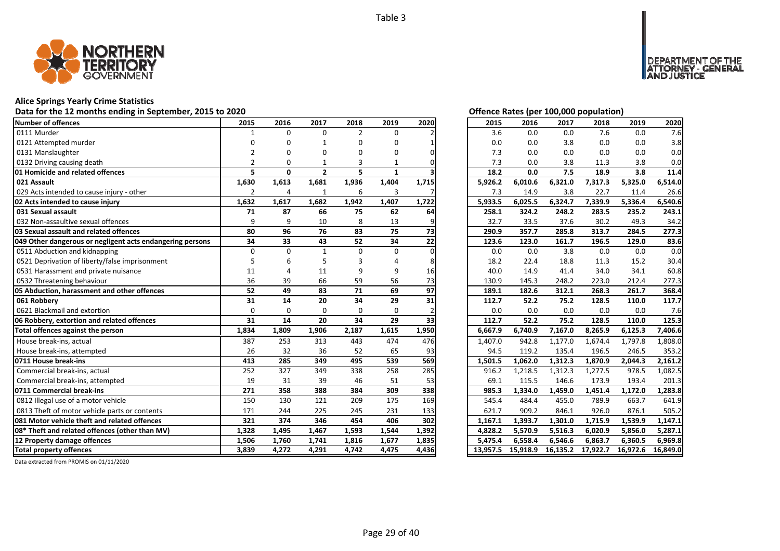

# **Alice Springs Yearly Crime Statistics**

# Data for the 12 months ending in September, 2015 to 2020<br>
Data for the 12 months ending in September, 2015 to 2020

| Number of offences                                        | 2015           | 2016         | 2017           | 2018           | 2019         | 2020  | 2015    | 2016    | 2017    | 2018    | 2019    | 2020                                   |
|-----------------------------------------------------------|----------------|--------------|----------------|----------------|--------------|-------|---------|---------|---------|---------|---------|----------------------------------------|
| 0111 Murder                                               |                | $\Omega$     | $\Omega$       | $\overline{2}$ | $\Omega$     |       | 3.6     | 0.0     | 0.0     | 7.6     | 0.0     | 7.6                                    |
| 0121 Attempted murder                                     |                | n            |                | 0              | O            |       | 0.0     | 0.0     | 3.8     | 0.0     | 0.0     | 3.8                                    |
| 0131 Manslaughter                                         |                |              | O              | O              | n            |       | 7.3     | 0.0     | 0.0     | 0.0     | 0.0     | 0.0                                    |
| 0132 Driving causing death                                | $\mathfrak{p}$ | O            |                | 3              |              |       | 7.3     | 0.0     | 3.8     | 11.3    | 3.8     | 0.0                                    |
| 01 Homicide and related offences                          | 5              | $\mathbf{0}$ | $\overline{2}$ | 5              | $\mathbf{1}$ |       | 18.2    | 0.0     | 7.5     | 18.9    | 3.8     | 11.4                                   |
| 021 Assault                                               | 1,630          | 1,613        | 1,681          | 1,936          | 1,404        | 1,715 | 5,926.2 | 6,010.6 | 6,321.0 | 7,317.3 | 5,325.0 | 6,514.0                                |
| 029 Acts intended to cause injury - other                 | $\overline{2}$ | 4            |                | 6              | 3            |       | 7.3     | 14.9    | 3.8     | 22.7    | 11.4    | 26.6                                   |
| 02 Acts intended to cause injury                          | 1,632          | 1,617        | 1,682          | 1,942          | 1,407        | 1,722 | 5,933.5 | 6,025.5 | 6,324.7 | 7,339.9 | 5,336.4 | 6,540.6                                |
| 031 Sexual assault                                        | 71             | 87           | 66             | 75             | 62           | 64    | 258.1   | 324.2   | 248.2   | 283.5   | 235.2   | 243.1                                  |
| 032 Non-assaultive sexual offences                        | 9              | 9            | 10             | 8              | 13           |       | 32.7    | 33.5    | 37.6    | 30.2    | 49.3    | 34.2                                   |
| 03 Sexual assault and related offences                    | 80             | 96           | 76             | 83             | 75           | 73    | 290.9   | 357.7   | 285.8   | 313.7   | 284.5   | 277.3                                  |
| 049 Other dangerous or negligent acts endangering persons | 34             | 33           | 43             | 52             | 34           | 22    | 123.6   | 123.0   | 161.7   | 196.5   | 129.0   | 83.6                                   |
| 0511 Abduction and kidnapping                             | $\Omega$       | $\Omega$     | $\mathbf{1}$   | $\Omega$       | $\Omega$     |       | 0.0     | 0.0     | 3.8     | 0.0     | 0.0     | 0.0                                    |
| 0521 Deprivation of liberty/false imprisonment            |                | 6            |                |                |              |       | 18.2    | 22.4    | 18.8    | 11.3    | 15.2    | 30.4                                   |
| 0531 Harassment and private nuisance                      | 11             |              | 11             | 9              | 9            | 16    | 40.0    | 14.9    | 41.4    | 34.0    | 34.1    | 60.8                                   |
| 0532 Threatening behaviour                                | 36             | 39           | 66             | 59             | 56           | 73    | 130.9   | 145.3   | 248.2   | 223.0   | 212.4   | 277.3                                  |
| 05 Abduction, harassment and other offences               | 52             | 49           | 83             | 71             | 69           | 97    | 189.1   | 182.6   | 312.1   | 268.3   | 261.7   | 368.4                                  |
| 061 Robberv                                               | 31             | 14           | 20             | 34             | 29           | 31    | 112.7   | 52.2    | 75.2    | 128.5   | 110.0   | 117.7                                  |
| 0621 Blackmail and extortion                              | $\Omega$       | $\Omega$     | $\Omega$       | $\Omega$       | $\Omega$     |       | 0.0     | 0.0     | 0.0     | 0.0     | 0.0     | 7.6                                    |
| 06 Robbery, extortion and related offences                | 31             | 14           | 20             | 34             | 29           | 33    | 112.7   | 52.2    | 75.2    | 128.5   | 110.0   | 125.3                                  |
| Total offences against the person                         | 1,834          | 1,809        | 1,906          | 2,187          | 1,615        | 1,950 | 6,667.9 | 6,740.9 | 7,167.0 | 8,265.9 | 6,125.3 | 7,406.6                                |
| House break-ins, actual                                   | 387            | 253          | 313            | 443            | 474          | 476   | 1,407.0 | 942.8   | 1,177.0 | 1,674.4 | 1,797.8 | 1,808.0                                |
| House break-ins, attempted                                | 26             | 32           | 36             | 52             | 65           | 93    | 94.5    | 119.2   | 135.4   | 196.5   | 246.5   | 353.2                                  |
| 0711 House break-ins                                      | 413            | 285          | 349            | 495            | 539          | 569   | 1,501.5 | 1,062.0 | 1,312.3 | 1,870.9 | 2,044.3 | 2,161.2                                |
| Commercial break-ins, actual                              |                |              |                |                |              |       | 916.2   |         |         | 1,277.5 | 978.5   | 1,082.5                                |
|                                                           | 252            | 327          | 349            | 338            | 258          | 285   |         | 1,218.5 | 1,312.3 |         |         |                                        |
| Commercial break-ins, attempted                           | 19             | 31           | 39             | 46             | 51           | 53    | 69.1    | 115.5   | 146.6   | 173.9   | 193.4   |                                        |
| 0711 Commercial break-ins                                 | 271            | 358          | 388            | 384            | 309          | 338   | 985.3   | 1,334.0 | 1,459.0 | 1,451.4 | 1.172.0 |                                        |
| 0812 Illegal use of a motor vehicle                       | 150            | 130          | 121            | 209            | 175          | 169   | 545.4   | 484.4   | 455.0   | 789.9   | 663.7   | 201.3<br>1.283.8<br>641.9              |
| 0813 Theft of motor vehicle parts or contents             | 171            | 244          | 225            | 245            | 231          | 133   | 621.7   | 909.2   | 846.1   | 926.0   | 876.1   |                                        |
| 081 Motor vehicle theft and related offences              | 321            | 374          | 346            | 454            | 406          | 302   | 1,167.1 | 1,393.7 | 1,301.0 | 1,715.9 | 1,539.9 |                                        |
| 08* Theft and related offences (other than MV)            | 1,328          | 1,495        | 1,467          | 1,593          | 1,544        | 1,392 | 4,828.2 | 5,570.9 | 5,516.3 | 6,020.9 | 5,856.0 |                                        |
| 12 Property damage offences                               | 1,506          | 1,760        | 1,741          | 1,816          | 1,677        | 1,835 | 5,475.4 | 6,558.4 | 6,546.6 | 6,863.7 | 6,360.5 | 505.2<br>1,147.1<br>5,287.1<br>6,969.8 |

DEPARTMENT OF THE<br>ATTORNEY - GENERAL ÜSTICE

| 2015     | 2016     | 2017     | 2018     | 2019     | 2020     |
|----------|----------|----------|----------|----------|----------|
| 3.6      | 0.0      | 0.0      | 7.6      | 0.0      | 7.6      |
| 0.0      | 0.0      | 3.8      | 0.0      | 0.0      | 3.8      |
| 7.3      | 0.0      | 0.0      | 0.0      | 0.0      | 0.0      |
| 7.3      | 0.0      | 3.8      | 11.3     | 3.8      | 0.0      |
| 18.2     | 0.0      | 7.5      | 18.9     | 3.8      | 11.4     |
| 5,926.2  | 6,010.6  | 6,321.0  | 7,317.3  | 5,325.0  | 6,514.0  |
| 7.3      | 14.9     | 3.8      | 22.7     | 11.4     | 26.6     |
| 5,933.5  | 6,025.5  | 6,324.7  | 7,339.9  | 5,336.4  | 6,540.6  |
| 258.1    | 324.2    | 248.2    | 283.5    | 235.2    | 243.1    |
| 32.7     | 33.5     | 37.6     | 30.2     | 49.3     | 34.2     |
| 290.9    | 357.7    | 285.8    | 313.7    | 284.5    | 277.3    |
| 123.6    | 123.0    | 161.7    | 196.5    | 129.0    | 83.6     |
| 0.0      | 0.0      | 3.8      | 0.0      | 0.0      | 0.0      |
| 18.2     | 22.4     | 18.8     | 11.3     | 15.2     | 30.4     |
| 40.0     | 14.9     | 41.4     | 34.0     | 34.1     | 60.8     |
| 130.9    | 145.3    | 248.2    | 223.0    | 212.4    | 277.3    |
| 189.1    | 182.6    | 312.1    | 268.3    | 261.7    | 368.4    |
| 112.7    | 52.2     | 75.2     | 128.5    | 110.0    | 117.7    |
| 0.0      | 0.0      | 0.0      | 0.0      | 0.0      | 7.6      |
| 112.7    | 52.2     | 75.2     | 128.5    | 110.0    | 125.3    |
| 6,667.9  | 6,740.9  | 7,167.0  | 8,265.9  | 6,125.3  | 7,406.6  |
| 1,407.0  | 942.8    | 1,177.0  | 1,674.4  | 1,797.8  | 1,808.0  |
| 94.5     | 119.2    | 135.4    | 196.5    | 246.5    | 353.2    |
| 1,501.5  | 1,062.0  | 1,312.3  | 1,870.9  | 2,044.3  | 2,161.2  |
| 916.2    | 1,218.5  | 1,312.3  | 1,277.5  | 978.5    | 1,082.5  |
| 69.1     | 115.5    | 146.6    | 173.9    | 193.4    | 201.3    |
| 985.3    | 1,334.0  | 1,459.0  | 1,451.4  | 1,172.0  | 1,283.8  |
| 545.4    | 484.4    | 455.0    | 789.9    | 663.7    | 641.9    |
| 621.7    | 909.2    | 846.1    | 926.0    | 876.1    | 505.2    |
| 1,167.1  | 1,393.7  | 1,301.0  | 1,715.9  | 1,539.9  | 1,147.1  |
| 4,828.2  | 5,570.9  | 5,516.3  | 6,020.9  | 5,856.0  | 5,287.1  |
| 5,475.4  | 6,558.4  | 6,546.6  | 6,863.7  | 6,360.5  | 6,969.8  |
| 13,957.5 | 15,918.9 | 16,135.2 | 17,922.7 | 16,972.6 | 16,849.0 |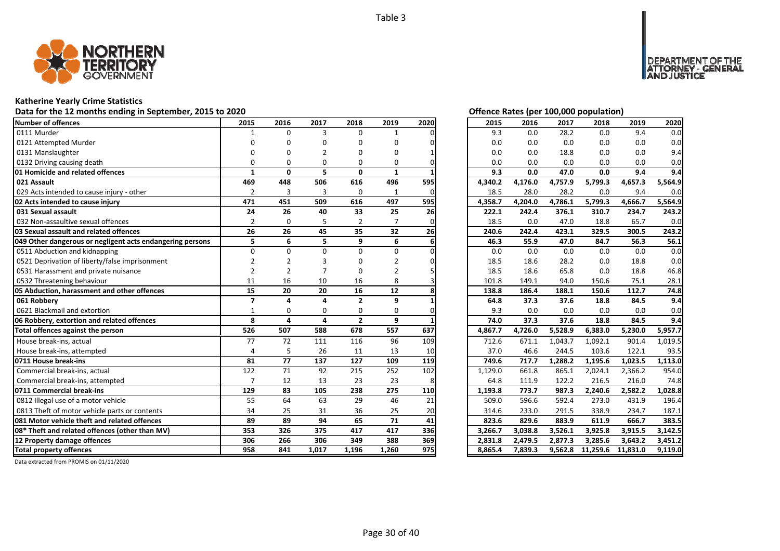

# **Katherine Yearly Crime Statistics**

# Data for the 12 months ending in September, 2015 to 2020<br>
Data for the 12 months ending in September, 2015 to 2020

| Number of offences                                        | 2015                     | 2016           | 2017     | 2018           | 2019         | 2020 | 2015    | 2016    | 2017    | 2018     | 2019     | 2020    |
|-----------------------------------------------------------|--------------------------|----------------|----------|----------------|--------------|------|---------|---------|---------|----------|----------|---------|
| 0111 Murder                                               |                          | $\Omega$       | 3        | $\Omega$       |              |      | 9.3     | 0.0     | 28.2    | 0.0      | 9.4      | 0.0     |
| 0121 Attempted Murder                                     |                          |                | n        | O              | n            |      | 0.0     | 0.0     | 0.0     | 0.0      | 0.0      | 0.0     |
| 0131 Manslaughter                                         |                          |                |          | n              | n            |      | 0.0     | 0.0     | 18.8    | 0.0      | 0.0      | 9.4     |
| 0132 Driving causing death                                |                          | O              | O        | $\Omega$       | 0            |      | 0.0     | 0.0     | 0.0     | 0.0      | 0.0      | 0.0     |
| 01 Homicide and related offences                          | 1                        | $\mathbf{0}$   | 5        | $\mathbf{0}$   | $\mathbf{1}$ |      | 9.3     | 0.0     | 47.0    | 0.0      | 9.4      | 9.4     |
| 021 Assault                                               | 469                      | 448            | 506      | 616            | 496          | 595  | 4,340.2 | 4,176.0 | 4,757.9 | 5,799.3  | 4,657.3  | 5,564.9 |
| 029 Acts intended to cause injury - other                 | $\overline{2}$           | 3              | 3        | $\mathbf 0$    | 1            | ი    | 18.5    | 28.0    | 28.2    | 0.0      | 9.4      | 0.0     |
| 02 Acts intended to cause injury                          | 471                      | 451            | 509      | 616            | 497          | 595  | 4,358.7 | 4,204.0 | 4,786.1 | 5,799.3  | 4,666.7  | 5,564.9 |
| 031 Sexual assault                                        | 24                       | 26             | 40       | 33             | 25           | 26   | 222.1   | 242.4   | 376.1   | 310.7    | 234.7    | 243.2   |
| 032 Non-assaultive sexual offences                        | $\overline{2}$           | $\Omega$       |          | $\overline{2}$ |              |      | 18.5    | 0.0     | 47.0    | 18.8     | 65.7     | 0.0     |
| 03 Sexual assault and related offences                    | 26                       | 26             | 45       | 35             | 32           | 26   | 240.6   | 242.4   | 423.1   | 329.5    | 300.5    | 243.2   |
| 049 Other dangerous or negligent acts endangering persons | 5                        | 6              | 5        | 9              | 6            |      | 46.3    | 55.9    | 47.0    | 84.7     | 56.3     | 56.1    |
| 0511 Abduction and kidnapping                             | $\Omega$                 | $\Omega$       | U        | $\Omega$       | $\Omega$     |      | 0.0     | 0.0     | 0.0     | 0.0      | 0.0      | 0.0     |
| 0521 Deprivation of liberty/false imprisonment            |                          |                |          |                |              |      | 18.5    | 18.6    | 28.2    | 0.0      | 18.8     | 0.0     |
| 0531 Harassment and private nuisance                      | $\overline{2}$           | $\overline{2}$ |          | 0              |              |      | 18.5    | 18.6    | 65.8    | 0.0      | 18.8     | 46.8    |
| 0532 Threatening behaviour                                | 11                       | 16             | 10       | 16             | 8            |      | 101.8   | 149.1   | 94.0    | 150.6    | 75.1     | 28.1    |
| 05 Abduction, harassment and other offences               | 15                       | 20             | 20       | 16             | 12           |      | 138.8   | 186.4   | 188.1   | 150.6    | 112.7    | 74.8    |
| 061 Robbery                                               | $\overline{\phantom{a}}$ | $\Delta$       | $\Delta$ | $\overline{2}$ | 9            |      | 64.8    | 37.3    | 37.6    | 18.8     | 84.5     | 9.4     |
| 0621 Blackmail and extortion                              | -1                       | O              | $\Omega$ | $\Omega$       | $\Omega$     |      | 9.3     | 0.0     | 0.0     | 0.0      | 0.0      | 0.0     |
| 06 Robbery, extortion and related offences                | 8                        | 4              | 4        | $\overline{2}$ | 9            |      | 74.0    | 37.3    | 37.6    | 18.8     | 84.5     | 9.4     |
| Total offences against the person                         | 526                      | 507            | 588      | 678            | 557          | 637  | 4,867.7 | 4,726.0 | 5,528.9 | 6,383.0  | 5,230.0  | 5,957.7 |
| House break-ins, actual                                   | 77                       | 72             | 111      | 116            | 96           | 109  | 712.6   | 671.1   | 1,043.7 | 1,092.1  | 901.4    | 1,019.5 |
| House break-ins, attempted                                | $\Delta$                 | 5              | 26       | 11             | 13           | 10   | 37.0    | 46.6    | 244.5   | 103.6    | 122.1    | 93.5    |
| 0711 House break-ins                                      | 81                       | 77             | 137      | 127            | 109          | 119  | 749.6   | 717.7   | 1,288.2 | 1,195.6  | 1,023.5  | 1,113.0 |
| Commercial break-ins, actual                              | 122                      | 71             | 92       | 215            | 252          | 102  | 1,129.0 | 661.8   | 865.1   | 2,024.1  | 2,366.2  | 954.0   |
| Commercial break-ins, attempted                           |                          | 12             | 13       | 23             | 23           | 8    | 64.8    | 111.9   | 122.2   | 216.5    | 216.0    | 74.8    |
| 0711 Commercial break-ins                                 | 129                      | 83             | 105      | 238            | 275          | 110  | 1,193.8 | 773.7   | 987.3   | 2,240.6  | 2,582.2  | 1,028.8 |
| 0812 Illegal use of a motor vehicle                       | 55                       | 64             | 63       | 29             | 46           | 21   | 509.0   | 596.6   | 592.4   | 273.0    | 431.9    | 196.4   |
| 0813 Theft of motor vehicle parts or contents             | 34                       | 25             | 31       | 36             | 25           | 20   | 314.6   | 233.0   | 291.5   | 338.9    | 234.7    | 187.1   |
| 081 Motor vehicle theft and related offences              | 89                       | 89             | 94       | 65             | 71           | 41   | 823.6   | 829.6   | 883.9   | 611.9    | 666.7    | 383.5   |
| 08* Theft and related offences (other than MV)            | 353                      | 326            | 375      | 417            | 417          | 336  | 3,266.7 | 3,038.8 | 3,526.1 | 3,925.8  | 3,915.5  | 3,142.5 |
| 12 Property damage offences                               | 306                      | 266            | 306      | 349            | 388          | 369  | 2,831.8 | 2,479.5 | 2,877.3 | 3,285.6  | 3,643.2  | 3,451.2 |
| <b>Total property offences</b>                            | 958                      | 841            | 1,017    | 1,196          | 1,260        | 975  | 8,865.4 | 7,839.3 | 9,562.8 | 11,259.6 | 11,831.0 | 9,119.0 |

I OF THE<br>GENERAL

DEPAR

ISTICE

| 2015    | 2016    | 2017    | 2018     | 2019     | 2020    |
|---------|---------|---------|----------|----------|---------|
| 9.3     | 0.0     | 28.2    | 0.0      | 9.4      | 0.0     |
| 0.0     | 0.0     | 0.0     | 0.0      | 0.0      | 0.0     |
| 0.0     | $0.0\,$ | 18.8    | 0.0      | 0.0      | 9.4     |
| 0.0     | 0.0     | 0.0     | 0.0      | 0.0      | 0.0     |
| 9.3     | 0.0     | 47.0    | 0.0      | 9.4      | 9.4     |
| 4,340.2 | 4,176.0 | 4,757.9 | 5,799.3  | 4,657.3  | 5,564.9 |
| 18.5    | 28.0    | 28.2    | 0.0      | 9.4      | 0.0     |
| 4,358.7 | 4,204.0 | 4,786.1 | 5,799.3  | 4,666.7  | 5,564.9 |
| 222.1   | 242.4   | 376.1   | 310.7    | 234.7    | 243.2   |
| 18.5    | 0.0     | 47.0    | 18.8     | 65.7     | 0.0     |
| 240.6   | 242.4   | 423.1   | 329.5    | 300.5    | 243.2   |
| 46.3    | 55.9    | 47.0    | 84.7     | 56.3     | 56.1    |
| 0.0     | 0.0     | 0.0     | 0.0      | 0.0      | 0.0     |
| 18.5    | 18.6    | 28.2    | 0.0      | 18.8     | 0.0     |
| 18.5    | 18.6    | 65.8    | 0.0      | 18.8     | 46.8    |
| 101.8   | 149.1   | 94.0    | 150.6    | 75.1     | 28.1    |
| 138.8   | 186.4   | 188.1   | 150.6    | 112.7    | 74.8    |
| 64.8    | 37.3    | 37.6    | 18.8     | 84.5     | 9.4     |
| 9.3     | 0.0     | 0.0     | 0.0      | 0.0      | 0.0     |
| 74.0    | 37.3    | 37.6    | 18.8     | 84.5     | 9.4     |
| 4,867.7 | 4,726.0 | 5,528.9 | 6,383.0  | 5,230.0  | 5,957.7 |
| 712.6   | 671.1   | 1,043.7 | 1,092.1  | 901.4    | 1,019.5 |
| 37.0    | 46.6    | 244.5   | 103.6    | 122.1    | 93.5    |
| 749.6   | 717.7   | 1,288.2 | 1,195.6  | 1,023.5  | 1,113.0 |
| 1,129.0 | 661.8   | 865.1   | 2,024.1  | 2,366.2  | 954.0   |
| 64.8    | 111.9   | 122.2   | 216.5    | 216.0    | 74.8    |
| 1,193.8 | 773.7   | 987.3   | 2,240.6  | 2,582.2  | 1,028.8 |
| 509.0   | 596.6   | 592.4   | 273.0    | 431.9    | 196.4   |
| 314.6   | 233.0   | 291.5   | 338.9    | 234.7    | 187.1   |
| 823.6   | 829.6   | 883.9   | 611.9    | 666.7    | 383.5   |
| 3,266.7 | 3,038.8 | 3,526.1 | 3,925.8  | 3,915.5  | 3,142.5 |
| 2,831.8 | 2,479.5 | 2,877.3 | 3,285.6  | 3,643.2  | 3,451.2 |
| 8,865.4 | 7,839.3 | 9,562.8 | 11,259.6 | 11,831.0 | 9,119.0 |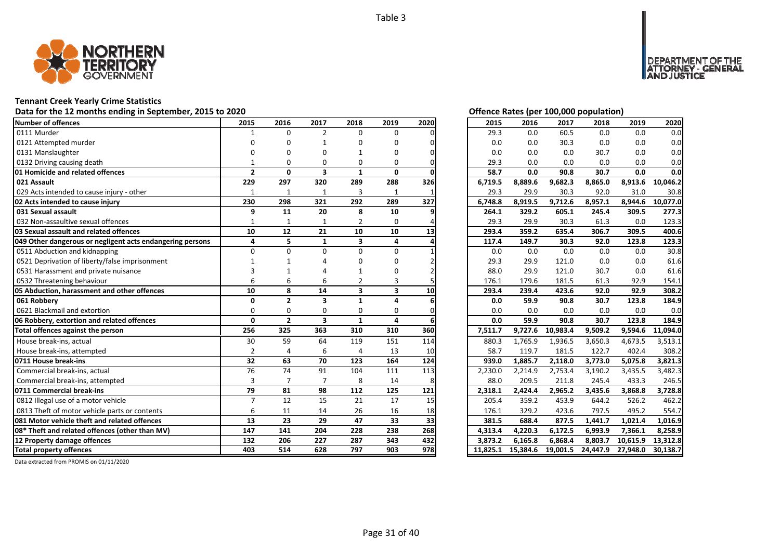

# **Tennant Creek Yearly Crime Statistics**

# Data for the 12 months ending in September, 2015 to 2020<br> **Data for the 12 months ending in September, 2015 to 2020**

| <b>Number of offences</b>                                 | 2015           | 2016           | 2017                    | 2018                    | 2019                    | 2020 | 2015     | 2016     | 2017     | 2018     | 2019     | 2020     |
|-----------------------------------------------------------|----------------|----------------|-------------------------|-------------------------|-------------------------|------|----------|----------|----------|----------|----------|----------|
| 0111 Murder                                               | $\mathbf{1}$   | $\Omega$       | $\overline{2}$          | 0                       | 0                       |      | 29.3     | 0.0      | 60.5     | 0.0      | 0.0      | 0.0      |
| 0121 Attempted murder                                     | n              | ŋ              | 1                       | n                       | O                       |      | 0.0      | 0.0      | 30.3     | 0.0      | 0.0      | 0.0      |
| 0131 Manslaughter                                         |                | ŋ              | O                       |                         | 0                       |      | 0.0      | 0.0      | 0.0      | 30.7     | 0.0      | 0.0      |
| 0132 Driving causing death                                |                | 0              | 0                       | 0                       | 0                       |      | 29.3     | 0.0      | 0.0      | 0.0      | 0.0      | 0.0      |
| 01 Homicide and related offences                          | $\overline{2}$ | $\mathbf{0}$   | $\overline{\mathbf{3}}$ | $\mathbf{1}$            | $\mathbf{0}$            |      | 58.7     | 0.0      | 90.8     | 30.7     | 0.0      | 0.0      |
| 021 Assault                                               | 229            | 297            | 320                     | 289                     | 288                     | 326  | 6,719.5  | 8,889.6  | 9,682.3  | 8,865.0  | 8,913.6  | 10,046.2 |
| 029 Acts intended to cause injury - other                 | 1              | 1              | 1                       | 3                       | 1                       |      | 29.3     | 29.9     | 30.3     | 92.0     | 31.0     | 30.8     |
| 02 Acts intended to cause injury                          | 230            | 298            | 321                     | 292                     | 289                     | 327  | 6,748.8  | 8,919.5  | 9,712.6  | 8,957.1  | 8,944.6  | 10,077.0 |
| 031 Sexual assault                                        | 9              | 11             | 20                      | 8                       | 10                      |      | 264.1    | 329.2    | 605.1    | 245.4    | 309.5    | 277.3    |
| 032 Non-assaultive sexual offences                        | -1             | 1              | $\mathbf{1}$            | $\overline{2}$          | 0                       |      | 29.3     | 29.9     | 30.3     | 61.3     | 0.0      | 123.3    |
| 03 Sexual assault and related offences                    | 10             | 12             | 21                      | 10                      | 10                      | 13   | 293.4    | 359.2    | 635.4    | 306.7    | 309.5    | 400.6    |
| 049 Other dangerous or negligent acts endangering persons | 4              | 5              | $\mathbf{1}$            | $\overline{\mathbf{3}}$ | 4                       |      | 117.4    | 149.7    | 30.3     | 92.0     | 123.8    | 123.3    |
| 0511 Abduction and kidnapping                             | $\Omega$       | $\Omega$       | $\Omega$                | $\Omega$                | 0                       |      | 0.0      | 0.0      | 0.0      | 0.0      | 0.0      | 30.8     |
| 0521 Deprivation of liberty/false imprisonment            |                |                |                         |                         | U                       |      | 29.3     | 29.9     | 121.0    | 0.0      | 0.0      | 61.6     |
| 0531 Harassment and private nuisance                      |                |                |                         |                         | 0                       |      | 88.0     | 29.9     | 121.0    | 30.7     | 0.0      | 61.6     |
| 0532 Threatening behaviour                                | 6              | 6              | 6                       |                         | 3                       |      | 176.1    | 179.6    | 181.5    | 61.3     | 92.9     | 154.1    |
| 05 Abduction, harassment and other offences               | 10             | 8              | 14                      | $\overline{\mathbf{3}}$ | $\overline{\mathbf{3}}$ | 10   | 293.4    | 239.4    | 423.6    | 92.0     | 92.9     | 308.2    |
| 061 Robbery                                               | $\Omega$       | $\overline{2}$ | 3                       | $\mathbf{1}$            | 4                       |      | 0.0      | 59.9     | 90.8     | 30.7     | 123.8    | 184.9    |
| 0621 Blackmail and extortion                              | $\Omega$       | 0              | $\mathbf 0$             | 0                       | 0                       |      | 0.0      | 0.0      | 0.0      | 0.0      | 0.0      | 0.0      |
| 06 Robbery, extortion and related offences                | $\mathbf{0}$   | $\overline{2}$ | $\overline{\mathbf{3}}$ | $\mathbf{1}$            | 4                       |      | 0.0      | 59.9     | 90.8     | 30.7     | 123.8    | 184.9    |
| Total offences against the person                         | 256            | 325            | 363                     | 310                     | 310                     | 360  | 7,511.7  | 9,727.6  | 10,983.4 | 9,509.2  | 9,594.6  | 11,094.0 |
| House break-ins, actual                                   | 30             | 59             | 64                      | 119                     | 151                     | 114  | 880.3    | 1.765.9  | 1,936.5  | 3,650.3  | 4,673.5  | 3,513.1  |
| House break-ins, attempted                                | $\overline{2}$ | $\overline{4}$ | 6                       | $\overline{a}$          | 13                      | 10   | 58.7     | 119.7    | 181.5    | 122.7    | 402.4    | 308.2    |
| 0711 House break-ins                                      | 32             | 63             | 70                      | 123                     | 164                     | 124  | 939.0    | 1,885.7  | 2,118.0  | 3,773.0  | 5,075.8  | 3.821.3  |
| Commercial break-ins, actual                              | 76             | 74             | 91                      | 104                     | 111                     | 113  | 2,230.0  | 2,214.9  | 2,753.4  | 3,190.2  | 3,435.5  | 3,482.3  |
| Commercial break-ins, attempted                           | 3              |                | $\overline{7}$          | 8                       | 14                      |      | 88.0     | 209.5    | 211.8    | 245.4    | 433.3    | 246.5    |
| 0711 Commercial break-ins                                 | 79             | 81             | 98                      | 112                     | 125                     | 121  | 2,318.1  | 2,424.4  | 2,965.2  | 3,435.6  | 3,868.8  | 3,728.8  |
| 0812 Illegal use of a motor vehicle                       | $\overline{7}$ | 12             | 15                      | 21                      | 17                      | 15   | 205.4    | 359.2    | 453.9    | 644.2    | 526.2    | 462.2    |
| 0813 Theft of motor vehicle parts or contents             | 6              | 11             | 14                      | 26                      | 16                      | 18   | 176.1    | 329.2    | 423.6    | 797.5    | 495.2    | 554.7    |
| 081 Motor vehicle theft and related offences              | 13             | 23             | 29                      | 47                      | 33                      | 33   | 381.5    | 688.4    | 877.5    | 1,441.7  | 1,021.4  | 1,016.9  |
| 08* Theft and related offences (other than MV)            | 147            | 141            | 204                     | 228                     | 238                     | 268  | 4,313.4  | 4,220.3  | 6,172.5  | 6,993.9  | 7,366.1  | 8,258.9  |
| 12 Property damage offences                               | 132            | 206            | 227                     | 287                     | 343                     | 432  | 3.873.2  | 6,165.8  | 6,868.4  | 8,803.7  | 10,615.9 | 13,312.8 |
| <b>Total property offences</b>                            | 403            | 514            | 628                     | 797                     | 903                     | 978  | 11.825.1 | 15,384.6 | 19,001.5 | 24,447.9 | 27,948.0 | 30,138.7 |

DEPARTMENT OF THE<br>ATTORNEY - GENERAL ÜSTICE

| 2015     | 2016     | 2017     | 2018     | 2019     | 2020     |
|----------|----------|----------|----------|----------|----------|
| 29.3     | 0.0      | 60.5     | 0.0      | 0.0      | 0.0      |
| 0.0      | 0.0      | 30.3     | 0.0      | 0.0      | 0.0      |
| 0.0      | 0.0      | 0.0      | 30.7     | 0.0      | 0.0      |
| 29.3     | 0.0      | 0.0      | 0.0      | 0.0      | 0.0      |
| 58.7     | 0.0      | 90.8     | 30.7     | 0.0      | 0.0      |
| 6,719.5  | 8,889.6  | 9,682.3  | 8,865.0  | 8,913.6  | 10,046.2 |
| 29.3     | 29.9     | 30.3     | 92.0     | 31.0     | 30.8     |
| 6,748.8  | 8,919.5  | 9,712.6  | 8,957.1  | 8,944.6  | 10,077.0 |
| 264.1    | 329.2    | 605.1    | 245.4    | 309.5    | 277.3    |
| 29.3     | 29.9     | 30.3     | 61.3     | 0.0      | 123.3    |
| 293.4    | 359.2    | 635.4    | 306.7    | 309.5    | 400.6    |
| 117.4    | 149.7    | 30.3     | 92.0     | 123.8    | 123.3    |
| 0.0      | 0.0      | 0.0      | 0.0      | 0.0      | 30.8     |
| 29.3     | 29.9     | 121.0    | 0.0      | 0.0      | 61.6     |
| 88.0     | 29.9     | 121.0    | 30.7     | 0.0      | 61.6     |
| 176.1    | 179.6    | 181.5    | 61.3     | 92.9     | 154.1    |
| 293.4    | 239.4    | 423.6    | 92.0     | 92.9     | 308.2    |
| 0.0      | 59.9     | 90.8     | 30.7     | 123.8    | 184.9    |
| 0.0      | 0.0      | 0.0      | 0.0      | 0.0      | 0.0      |
| 0.0      | 59.9     | 90.8     | 30.7     | 123.8    | 184.9    |
| 7,511.7  | 9,727.6  | 10,983.4 | 9,509.2  | 9,594.6  | 11,094.0 |
| 880.3    | 1,765.9  | 1,936.5  | 3,650.3  | 4,673.5  | 3,513.1  |
| 58.7     | 119.7    | 181.5    | 122.7    | 402.4    | 308.2    |
| 939.0    | 1,885.7  | 2,118.0  | 3,773.0  | 5,075.8  | 3,821.3  |
| 2,230.0  | 2,214.9  | 2,753.4  | 3,190.2  | 3,435.5  | 3,482.3  |
| 88.0     | 209.5    | 211.8    | 245.4    | 433.3    | 246.5    |
| 2,318.1  | 2,424.4  | 2,965.2  | 3,435.6  | 3,868.8  | 3,728.8  |
| 205.4    | 359.2    | 453.9    | 644.2    | 526.2    | 462.2    |
| 176.1    | 329.2    | 423.6    | 797.5    | 495.2    | 554.7    |
| 381.5    | 688.4    | 877.5    | 1,441.7  | 1,021.4  | 1,016.9  |
| 4,313.4  | 4,220.3  | 6,172.5  | 6,993.9  | 7,366.1  | 8,258.9  |
| 3,873.2  | 6,165.8  | 6,868.4  | 8,803.7  | 10,615.9 | 13,312.8 |
| 11,825.1 | 15,384.6 | 19,001.5 | 24,447.9 | 27,948.0 | 30,138.7 |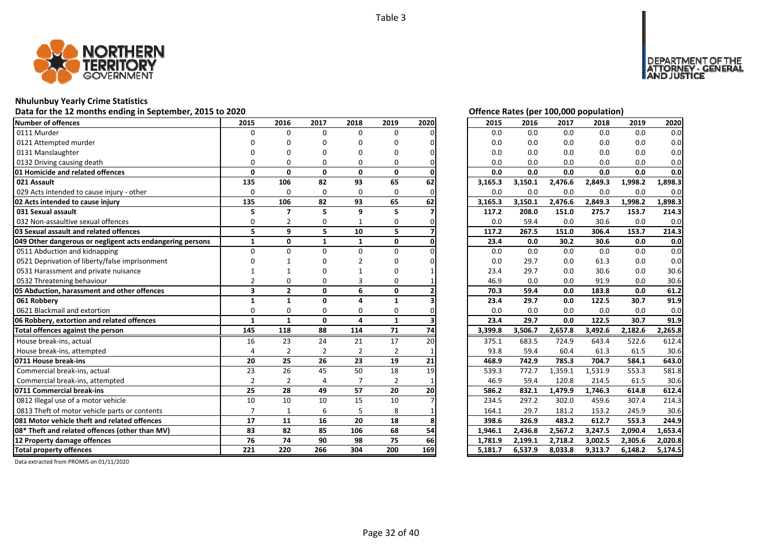

# **Nhulunbuy Yearly Crime Statistics**

# Data for the 12 months ending in September, 2015 to 2020<br>
Data for the 12 months ending in September, 2015 to 2020

| Number of offences                                        | 2015                    | 2016           | 2017           | 2018           | 2019           | 2020 | 2015    | 2016    | 2017    | 2018    | 2019    | 2020    |
|-----------------------------------------------------------|-------------------------|----------------|----------------|----------------|----------------|------|---------|---------|---------|---------|---------|---------|
| 0111 Murder                                               | $\Omega$                | $\Omega$       | $\Omega$       | $\Omega$       | $\Omega$       |      | 0.0     | 0.0     | 0.0     | 0.0     | 0.0     | 0.0     |
| 0121 Attempted murder                                     |                         |                | n              | O              | n              |      | 0.0     | 0.0     | 0.0     | 0.0     | 0.0     | 0.0     |
| 0131 Manslaughter                                         |                         |                |                |                | n              |      | 0.0     | 0.0     | 0.0     | 0.0     | 0.0     | 0.0     |
| 0132 Driving causing death                                |                         |                | O              | $\Omega$       | O              |      | 0.0     | 0.0     | 0.0     | 0.0     | 0.0     | 0.0     |
| 01 Homicide and related offences                          | $\Omega$                | $\mathbf{0}$   | $\mathbf{0}$   | $\mathbf{0}$   | 0              |      | 0.0     | 0.0     | 0.0     | 0.0     | 0.0     | 0.0     |
| 021 Assault                                               | 135                     | 106            | 82             | 93             | 65             | 62   | 3,165.3 | 3,150.1 | 2,476.6 | 2,849.3 | 1,998.2 | 1,898.3 |
| 029 Acts intended to cause injury - other                 | $\Omega$                | $\Omega$       | $\Omega$       | $\Omega$       | $\Omega$       |      | 0.0     | 0.0     | 0.0     | 0.0     | 0.0     | 0.0     |
| 02 Acts intended to cause injury                          | 135                     | 106            | 82             | 93             | 65             | 62   | 3,165.3 | 3,150.1 | 2,476.6 | 2,849.3 | 1,998.2 | 1,898.3 |
| 031 Sexual assault                                        | 5                       | 7              | 5              | 9              | 5              |      | 117.2   | 208.0   | 151.0   | 275.7   | 153.7   | 214.3   |
| 032 Non-assaultive sexual offences                        | $\Omega$                |                | 0              | 1              | 0              |      | 0.0     | 59.4    | 0.0     | 30.6    | 0.0     | 0.0     |
| 03 Sexual assault and related offences                    | 5                       | 9              | 5              | 10             | 5              |      | 117.2   | 267.5   | 151.0   | 306.4   | 153.7   | 214.3   |
| 049 Other dangerous or negligent acts endangering persons | $\mathbf{1}$            | $\mathbf{0}$   | $\mathbf{1}$   | $\mathbf{1}$   | 0              |      | 23.4    | 0.0     | 30.2    | 30.6    | 0.0     | 0.0     |
| 0511 Abduction and kidnapping                             | $\Omega$                | $\Omega$       | $\Omega$       | $\Omega$       | 0              |      | 0.0     | 0.0     | 0.0     | 0.0     | 0.0     | 0.0     |
| 0521 Deprivation of liberty/false imprisonment            |                         |                |                |                |                |      | 0.0     | 29.7    | 0.0     | 61.3    | 0.0     | 0.0     |
| 0531 Harassment and private nuisance                      |                         |                |                |                |                |      | 23.4    | 29.7    | 0.0     | 30.6    | 0.0     | 30.6    |
| 0532 Threatening behaviour                                | $\mathfrak{p}$          | O              | O              | 3              | O              |      | 46.9    | 0.0     | 0.0     | 91.9    | 0.0     | 30.6    |
| 05 Abduction, harassment and other offences               | $\overline{\mathbf{3}}$ | $\overline{2}$ | $\mathbf{0}$   | 6              | 0              |      | 70.3    | 59.4    | 0.0     | 183.8   | 0.0     | 61.2    |
| 061 Robberv                                               | 1                       | $\mathbf{1}$   | $\Omega$       |                | $\mathbf{1}$   |      | 23.4    | 29.7    | 0.0     | 122.5   | 30.7    | 91.9    |
| 0621 Blackmail and extortion                              | $\Omega$                | $\Omega$       | $\Omega$       | $\Omega$       | $\Omega$       |      | 0.0     | 0.0     | 0.0     | 0.0     | 0.0     | 0.0     |
| 06 Robbery, extortion and related offences                | $\mathbf{1}$            | $\mathbf{1}$   | $\mathbf{0}$   | 4              | $\mathbf{1}$   |      | 23.4    | 29.7    | 0.0     | 122.5   | 30.7    | 91.9    |
| Total offences against the person                         | 145                     | 118            | 88             | 114            | 71             | 74   | 3,399.8 | 3,506.7 | 2,657.8 | 3,492.6 | 2,182.6 | 2,265.8 |
| House break-ins, actual                                   | 16                      | 23             | 24             | 21             | 17             | 20   | 375.1   | 683.5   | 724.9   | 643.4   | 522.6   | 612.4   |
| House break-ins, attempted                                |                         | $\overline{2}$ | $\overline{2}$ | $\overline{2}$ | $\overline{2}$ |      | 93.8    | 59.4    | 60.4    | 61.3    | 61.5    | 30.6    |
| 0711 House break-ins                                      | 20                      | 25             | 26             | 23             | 19             | 21   | 468.9   | 742.9   | 785.3   | 704.7   | 584.1   | 643.0   |
| Commercial break-ins, actual                              | 23                      | 26             | 45             | 50             | 18             | 19   | 539.3   | 772.7   | 1,359.1 | 1,531.9 | 553.3   | 581.8   |
| Commercial break-ins, attempted                           | $\overline{2}$          | $\overline{2}$ | 4              | 7              | $\overline{2}$ |      | 46.9    | 59.4    | 120.8   | 214.5   | 61.5    | 30.6    |
| 0711 Commercial break-ins                                 | 25                      | 28             | 49             | 57             | 20             | 20   | 586.2   | 832.1   | 1,479.9 | 1.746.3 | 614.8   | 612.4   |
| 0812 Illegal use of a motor vehicle                       | 10                      | 10             | 10             | 15             | 10             |      | 234.5   | 297.2   | 302.0   | 459.6   | 307.4   | 214.3   |
| 0813 Theft of motor vehicle parts or contents             | $\overline{7}$          |                | 6              | 5              | 8              |      | 164.1   | 29.7    | 181.2   | 153.2   | 245.9   | 30.6    |
| 081 Motor vehicle theft and related offences              | 17                      | 11             | 16             | 20             | 18             |      | 398.6   | 326.9   | 483.2   | 612.7   | 553.3   | 244.9   |
| 08* Theft and related offences (other than MV)            | 83                      | 82             | 85             | 106            | 68             | 54   | 1.946.1 | 2,436.8 | 2,567.2 | 3,247.5 | 2,090.4 | 1.653.4 |
| 12 Property damage offences                               | 76                      | 74             | 90             | 98             | 75             | 66   | 1,781.9 | 2,199.1 | 2,718.2 | 3,002.5 | 2,305.6 | 2,020.8 |
| <b>Total property offences</b>                            | 221                     | 220            | 266            | 304            | 200            | 169  | 5,181.7 | 6,537.9 | 8,033.8 | 9,313.7 | 6,148.2 | 5,174.5 |

NT OF THE<br>' - GENERAL

JSTICE

DEPAR

| $\frac{0}{0}$                 | 2015    | 2016    | 2017    | 2018    | 2019    | 2020    |
|-------------------------------|---------|---------|---------|---------|---------|---------|
|                               | 0.0     | 0.0     | 0.0     | 0.0     | 0.0     | 0.0     |
| 0                             | 0.0     | 0.0     | 0.0     | 0.0     | 0.0     | 0.0     |
| 0                             | 0.0     | 0.0     | 0.0     | 0.0     | 0.0     | 0.0     |
|                               | 0.0     | 0.0     | 0.0     | 0.0     | $0.0\,$ | 0.0     |
| $\frac{0}{2}$                 | 0.0     | 0.0     | 0.0     | 0.0     | 0.0     | 0.0     |
|                               | 3,165.3 | 3,150.1 | 2,476.6 | 2,849.3 | 1,998.2 | 1,898.3 |
|                               | 0.0     | 0.0     | 0.0     | 0.0     | 0.0     | 0.0     |
| $\frac{0}{2}$                 | 3,165.3 | 3,150.1 | 2,476.6 | 2,849.3 | 1,998.2 | 1,898.3 |
|                               | 117.2   | 208.0   | 151.0   | 275.7   | 153.7   | 214.3   |
|                               | 0.0     | 59.4    | 0.0     | 30.6    | 0.0     | 0.0     |
|                               | 117.2   | 267.5   | 151.0   | 306.4   | 153.7   | 214.3   |
| $\frac{0}{7}$ $\frac{0}{0}$   | 23.4    | 0.0     | 30.2    | 30.6    | 0.0     | 0.0     |
|                               | 0.0     | 0.0     | 0.0     | 0.0     | 0.0     | 0.0     |
| 0                             | 0.0     | 29.7    | 0.0     | 61.3    | 0.0     | 0.0     |
| $\mathbf{1}$                  | 23.4    | 29.7    | 0.0     | 30.6    | 0.0     | 30.6    |
|                               | 46.9    | 0.0     | 0.0     | 91.9    | 0.0     | 30.6    |
| $\frac{1}{2}$                 | 70.3    | 59.4    | 0.0     | 183.8   | 0.0     | 61.2    |
|                               | 23.4    | 29.7    | 0.0     | 122.5   | 30.7    | 91.9    |
|                               | 0.0     | 0.0     | 0.0     | 0.0     | 0.0     | 0.0     |
|                               | 23.4    | 29.7    | 0.0     | 122.5   | 30.7    | 91.9    |
| $\frac{0}{4}$                 | 3,399.8 | 3,506.7 | 2,657.8 | 3,492.6 | 2,182.6 | 2,265.8 |
|                               | 375.1   | 683.5   | 724.9   | 643.4   | 522.6   | 612.4   |
|                               | 93.8    | 59.4    | 60.4    | 61.3    | 61.5    | 30.6    |
| $\frac{1}{9}$                 | 468.9   | 742.9   | 785.3   | 704.7   | 584.1   | 643.0   |
|                               | 539.3   | 772.7   | 1,359.1 | 1,531.9 | 553.3   | 581.8   |
|                               | 46.9    | 59.4    | 120.8   | 214.5   | 61.5    | 30.6    |
| $\frac{1}{0}$                 | 586.2   | 832.1   | 1,479.9 | 1,746.3 | 614.8   | 612.4   |
|                               | 234.5   | 297.2   | 302.0   | 459.6   | 307.4   | 214.3   |
|                               | 164.1   | 29.7    | 181.2   | 153.2   | 245.9   | 30.6    |
|                               | 398.6   | 326.9   | 483.2   | 612.7   | 553.3   | 244.9   |
|                               | 1,946.1 | 2,436.8 | 2,567.2 | 3,247.5 | 2,090.4 | 1,653.4 |
| $\frac{1}{6}$ 8 $\frac{1}{9}$ | 1,781.9 | 2,199.1 | 2,718.2 | 3,002.5 | 2,305.6 | 2,020.8 |
|                               | 5,181.7 | 6,537.9 | 8,033.8 | 9,313.7 | 6,148.2 | 5,174.5 |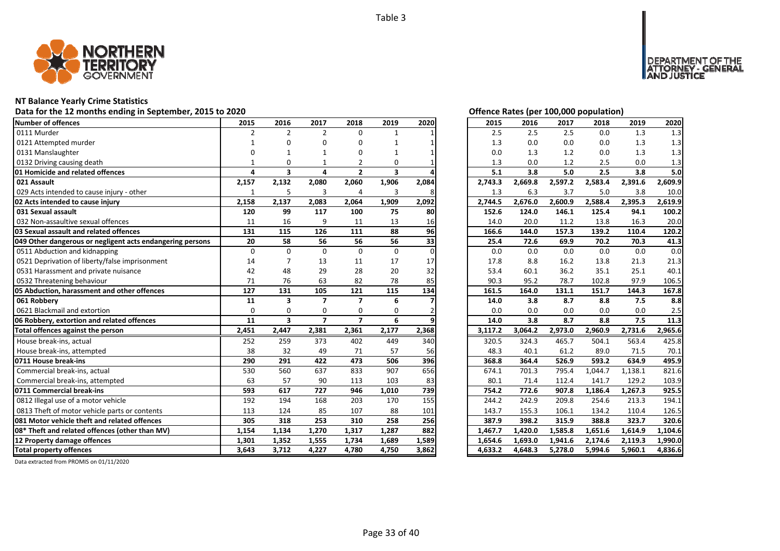

# **NT Balance Yearly Crime Statistics**

# Data for the 12 months ending in September, 2015 to 2020<br> **Data for the 12 months ending in September, 2015 to 2020**

| Number of offences                                        | 2015           | 2016                    | 2017                    | 2018           | 2019                    | 2020     | 2015    | 2016    | 2017    | 2018    | 2019    | 2020    |
|-----------------------------------------------------------|----------------|-------------------------|-------------------------|----------------|-------------------------|----------|---------|---------|---------|---------|---------|---------|
| 0111 Murder                                               | $\overline{2}$ | $\overline{2}$          | $\overline{2}$          | 0              |                         |          | 2.5     | 2.5     | 2.5     | 0.0     | 1.3     | 1.3     |
| 0121 Attempted murder                                     |                | n                       | O                       | O              |                         |          | 1.3     | 0.0     | 0.0     | 0.0     | 1.3     | 1.3     |
| 0131 Manslaughter                                         |                |                         |                         | 0              |                         |          | 0.0     | 1.3     | 1.2     | 0.0     | 1.3     | 1.3     |
| 0132 Driving causing death                                |                | $\Omega$                |                         |                | 0                       |          | 1.3     | 0.0     | 1.2     | 2.5     | 0.0     | 1.3     |
| 01 Homicide and related offences                          | $\Delta$       | $\overline{\mathbf{3}}$ | 4                       | $\overline{2}$ | $\overline{\mathbf{3}}$ |          | 5.1     | 3.8     | 5.0     | 2.5     | 3.8     | 5.0     |
| 021 Assault                                               | 2,157          | 2,132                   | 2,080                   | 2,060          | 1,906                   | 2,084    | 2,743.3 | 2,669.8 | 2,597.2 | 2,583.4 | 2,391.6 | 2,609.9 |
| 029 Acts intended to cause injury - other                 | 1              | 5                       | 3                       | 4              | 3                       | 8        | 1.3     | 6.3     | 3.7     | 5.0     | 3.8     | 10.0    |
| 02 Acts intended to cause injury                          | 2,158          | 2,137                   | 2,083                   | 2,064          | 1,909                   | 2,092    | 2,744.5 | 2,676.0 | 2,600.9 | 2,588.4 | 2,395.3 | 2,619.9 |
| 031 Sexual assault                                        | 120            | 99                      | 117                     | 100            | 75                      | 80       | 152.6   | 124.0   | 146.1   | 125.4   | 94.1    | 100.2   |
| 032 Non-assaultive sexual offences                        | 11             | 16                      | 9                       | 11             | 13                      | 16       | 14.0    | 20.0    | 11.2    | 13.8    | 16.3    | 20.0    |
| 03 Sexual assault and related offences                    | 131            | 115                     | 126                     | 111            | 88                      | 96       | 166.6   | 144.0   | 157.3   | 139.2   | 110.4   | 120.2   |
| 049 Other dangerous or negligent acts endangering persons | 20             | 58                      | 56                      | 56             | 56                      | 33       | 25.4    | 72.6    | 69.9    | 70.2    | 70.3    | 41.3    |
| 0511 Abduction and kidnapping                             | 0              | $\Omega$                | $\Omega$                | $\Omega$       | 0                       | $\Omega$ | 0.0     | 0.0     | 0.0     | 0.0     | 0.0     | 0.0     |
| 0521 Deprivation of liberty/false imprisonment            | 14             |                         | 13                      | 11             | 17                      | 17       | 17.8    | 8.8     | 16.2    | 13.8    | 21.3    | 21.3    |
| 0531 Harassment and private nuisance                      | 42             | 48                      | 29                      | 28             | 20                      | 32       | 53.4    | 60.1    | 36.2    | 35.1    | 25.1    | 40.1    |
| 0532 Threatening behaviour                                | 71             | 76                      | 63                      | 82             | 78                      | 85       | 90.3    | 95.2    | 78.7    | 102.8   | 97.9    | 106.5   |
| 05 Abduction, harassment and other offences               | 127            | 131                     | 105                     | 121            | 115                     | 134      | 161.5   | 164.0   | 131.1   | 151.7   | 144.3   | 167.8   |
| 061 Robbery                                               | 11             | $\overline{\mathbf{3}}$ | $\overline{\mathbf{z}}$ | $\overline{7}$ | 6                       |          | 14.0    | 3.8     | 8.7     | 8.8     | 7.5     | 8.8     |
| 0621 Blackmail and extortion                              | $\Omega$       | $\Omega$                | 0                       | 0              | 0                       |          | 0.0     | 0.0     | 0.0     | 0.0     | 0.0     | 2.5     |
| 06 Robbery, extortion and related offences                | 11             | $\overline{\mathbf{3}}$ | $\overline{ }$          | $\overline{ }$ | 6                       |          | 14.0    | 3.8     | 8.7     | 8.8     | 7.5     | 11.3    |
| Total offences against the person                         | 2,451          | 2,447                   | 2,381                   | 2,361          | 2,177                   | 2,368    | 3,117.2 | 3,064.2 | 2,973.0 | 2,960.9 | 2,731.6 | 2,965.6 |
| House break-ins, actual                                   | 252            | 259                     | 373                     | 402            | 449                     | 340      | 320.5   | 324.3   | 465.7   | 504.1   | 563.4   | 425.8   |
| House break-ins, attempted                                | 38             | 32                      | 49                      | 71             | 57                      | 56       | 48.3    | 40.1    | 61.2    | 89.0    | 71.5    | 70.1    |
| 0711 House break-ins                                      | 290            | 291                     | 422                     | 473            | 506                     | 396      | 368.8   | 364.4   | 526.9   | 593.2   | 634.9   | 495.9   |
| Commercial break-ins, actual                              | 530            | 560                     | 637                     | 833            | 907                     | 656      | 674.1   | 701.3   | 795.4   | 1,044.7 | 1,138.1 | 821.6   |
| Commercial break-ins, attempted                           | 63             | 57                      | 90                      | 113            | 103                     | 83       | 80.1    | 71.4    | 112.4   | 141.7   | 129.2   | 103.9   |
| 0711 Commercial break-ins                                 | 593            | 617                     | 727                     | 946            | 1,010                   | 739      | 754.2   | 772.6   | 907.8   | 1,186.4 | 1,267.3 | 925.5   |
| 0812 Illegal use of a motor vehicle                       | 192            | 194                     | 168                     | 203            | 170                     | 155      | 244.2   | 242.9   | 209.8   | 254.6   | 213.3   | 194.1   |
| 0813 Theft of motor vehicle parts or contents             | 113            | 124                     | 85                      | 107            | 88                      | 101      | 143.7   | 155.3   | 106.1   | 134.2   | 110.4   | 126.5   |
| 081 Motor vehicle theft and related offences              | 305            | 318                     | 253                     | 310            | 258                     | 256      | 387.9   | 398.2   | 315.9   | 388.8   | 323.7   | 320.6   |
| 08* Theft and related offences (other than MV)            | 1,154          | 1,134                   | 1,270                   | 1,317          | 1,287                   | 882      | 1,467.7 | 1,420.0 | 1,585.8 | 1,651.6 | 1,614.9 | 1,104.6 |
| 12 Property damage offences                               | 1,301          | 1,352                   | 1,555                   | 1,734          | 1,689                   | 1,589    | 1,654.6 | 1,693.0 | 1,941.6 | 2,174.6 | 2,119.3 | 1,990.0 |
| <b>Total property offences</b>                            | 3.643          | 3,712                   | 4,227                   | 4,780          | 4,750                   | 3,862    | 4,633.2 | 4,648.3 | 5,278.0 | 5,994.6 | 5,960.1 | 4,836.6 |

DEPARTMENT OF THE<br>ATTORNEY - GENERAL<br>AND JUSTICE

| 2015    | 2016    | 2017    | 2018    | 2019    | 2020    |
|---------|---------|---------|---------|---------|---------|
| 2.5     | 2.5     | 2.5     | 0.0     | 1.3     | 1.3     |
| 1.3     | 0.0     | 0.0     | 0.0     | 1.3     | 1.3     |
| 0.0     | 1.3     | 1.2     | 0.0     | 1.3     | 1.3     |
| 1.3     | 0.0     | 1.2     | 2.5     | 0.0     | 1.3     |
| 5.1     | 3.8     | 5.0     | 2.5     | 3.8     | 5.0     |
| 2,743.3 | 2,669.8 | 2,597.2 | 2,583.4 | 2,391.6 | 2,609.9 |
| 1.3     | 6.3     | 3.7     | 5.0     | 3.8     | 10.0    |
| 2,744.5 | 2,676.0 | 2,600.9 | 2,588.4 | 2,395.3 | 2,619.9 |
| 152.6   | 124.0   | 146.1   | 125.4   | 94.1    | 100.2   |
| 14.0    | 20.0    | 11.2    | 13.8    | 16.3    | 20.0    |
| 166.6   | 144.0   | 157.3   | 139.2   | 110.4   | 120.2   |
| 25.4    | 72.6    | 69.9    | 70.2    | 70.3    | 41.3    |
| 0.0     | 0.0     | 0.0     | 0.0     | 0.0     | 0.0     |
| 17.8    | 8.8     | 16.2    | 13.8    | 21.3    | 21.3    |
| 53.4    | 60.1    | 36.2    | 35.1    | 25.1    | 40.1    |
| 90.3    | 95.2    | 78.7    | 102.8   | 97.9    | 106.5   |
| 161.5   | 164.0   | 131.1   | 151.7   | 144.3   | 167.8   |
| 14.0    | 3.8     | 8.7     | 8.8     | 7.5     | 8.8     |
| 0.0     | 0.0     | 0.0     | 0.0     | 0.0     | 2.5     |
| 14.0    | 3.8     | 8.7     | 8.8     | 7.5     | 11.3    |
| 3,117.2 | 3,064.2 | 2,973.0 | 2,960.9 | 2,731.6 | 2,965.6 |
| 320.5   | 324.3   | 465.7   | 504.1   | 563.4   | 425.8   |
| 48.3    | 40.1    | 61.2    | 89.0    | 71.5    | 70.1    |
| 368.8   | 364.4   | 526.9   | 593.2   | 634.9   | 495.9   |
| 674.1   | 701.3   | 795.4   | 1,044.7 | 1,138.1 | 821.6   |
| 80.1    | 71.4    | 112.4   | 141.7   | 129.2   | 103.9   |
| 754.2   | 772.6   | 907.8   | 1,186.4 | 1,267.3 | 925.5   |
| 244.2   | 242.9   | 209.8   | 254.6   | 213.3   | 194.1   |
| 143.7   | 155.3   | 106.1   | 134.2   | 110.4   | 126.5   |
| 387.9   | 398.2   | 315.9   | 388.8   | 323.7   | 320.6   |
| 1,467.7 | 1,420.0 | 1,585.8 | 1,651.6 | 1,614.9 | 1,104.6 |
| 1,654.6 | 1,693.0 | 1,941.6 | 2,174.6 | 2,119.3 | 1,990.0 |
| 4,633.2 | 4,648.3 | 5,278.0 | 5,994.6 | 5,960.1 | 4,836.6 |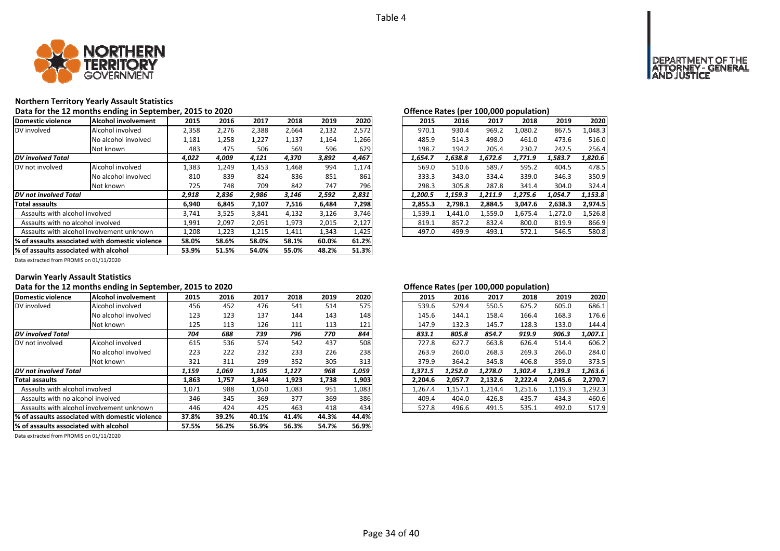

## **Northern Territory Yearly Assault Statistics**

**Data for the 12 months ending in September, 2015 to 2020 Offence Rates (per 100,000 population)**

| Domestic violence                      | Alcohol involvement                             | 2015  | 2016  | 2017  | 2018  | 2019  | 2020  | 2015    | 2016    | 2017    | 2018    | 2019    | 2020    |
|----------------------------------------|-------------------------------------------------|-------|-------|-------|-------|-------|-------|---------|---------|---------|---------|---------|---------|
| DV involved                            | Alcohol involved                                | 2,358 | 2,276 | 2,388 | 2,664 | 2,132 | 2,572 | 970.1   | 930.4   | 969.2   | 1,080.2 | 867.5   | 1,048.3 |
|                                        | No alcohol involved                             | 1,181 | 1,258 | 1,227 | 1,137 | 1,164 | 1,266 | 485.9   | 514.3   | 498.0   | 461.0   | 473.6   | 516.0   |
|                                        | Not known                                       | 483   | 475   | 506   | 569   | 596   | 629   | 198.7   | 194.2   | 205.4   | 230.7   | 242.5   | 256.4   |
| <b>DV</b> involved Total               |                                                 | 4,022 | 4,009 | 4,121 | 4,370 | 3,892 | 4,467 | 1,654.7 | 1,638.8 | 1,672.6 | 1,771.9 | 1,583.7 | 1,820.6 |
| DV not involved                        | Alcohol involved                                | 1,383 | 1,249 | 1,453 | 1,468 | 994   | 1,174 | 569.0   | 510.6   | 589.7   | 595.2   | 404.5   | 478.5   |
|                                        | No alcohol involved                             | 810   | 839   | 824   | 836   | 851   | 861   | 333.3   | 343.0   | 334.4   | 339.0   | 346.3   | 350.9   |
|                                        | Not known                                       | 725   | 748   | 709   | 842   | 747   | 796   | 298.3   | 305.8   | 287.8   | 341.4   | 304.0   | 324.4   |
| <b>DV</b> not involved Total           |                                                 | 2,918 | 2,836 | 2,986 | 3,146 | 2,592 | 2,831 | 1,200.5 | 1,159.3 | 1,211.9 | 1,275.6 | 1,054.7 | 1,153.8 |
| <b>Total assaults</b>                  |                                                 | 6,940 | 6,845 | 7,107 | 7,516 | 6,484 | 7,298 | 2,855.3 | 2,798.1 | 2,884.5 | 3,047.6 | 2,638.3 | 2,974.5 |
| Assaults with alcohol involved         |                                                 | 3,741 | 3,525 | 3,841 | 4,132 | 3,126 | 3,746 | 1,539.1 | 1.441.0 | 1.559.0 | 1.675.4 | 1,272.0 | 1,526.8 |
| Assaults with no alcohol involved      |                                                 | 1,991 | 2,097 | 2,051 | 1,973 | 2,015 | 2,127 | 819.1   | 857.2   | 832.4   | 800.0   | 819.9   | 866.9   |
|                                        | Assaults with alcohol involvement unknown       | 1,208 | 1,223 | 1,215 | 1,411 | 1,343 | 1,425 | 497.0   | 499.9   | 493.1   | 572.1   | 546.5   | 580.8   |
|                                        | % of assaults associated with domestic violence | 58.0% | 58.6% | 58.0% | 58.1% | 60.0% | 61.2% |         |         |         |         |         |         |
| 1% of assaults associated with alcohol |                                                 | 53.9% | 51.5% | 54.0% | 55.0% | 48.2% | 51.3% |         |         |         |         |         |         |

| ישווטווטט וועגנט נפטו |         |         |         |                     |
|-----------------------|---------|---------|---------|---------------------|
| 2016                  | 2017    | 2018    | 2019    | 2020                |
| 930.4                 | 969.2   | 1,080.2 | 867.5   | 1,048.3             |
| 514.3                 | 498.0   | 461.0   | 473.6   | 516.0               |
| 194.2                 | 205.4   | 230.7   | 242.5   | 256.4               |
| 1.638.8               | 1,672.6 | 1,771.9 | 1,583.7 | 1.820.6             |
| 510.6                 | 589.7   | 595.2   | 404.5   | 478.5               |
| 343.0                 | 334.4   | 339.0   | 346.3   | 350.9               |
| 305.8                 | 287.8   | 341.4   | 304.0   | 324.4               |
| 1.159.3               | 1.211.9 | 1,275.6 | 1.054.7 | 1.153.8             |
| 2.798.1               | 2.884.5 | 3.047.6 | 2,638.3 | 2.974.5             |
| 1,441.0               | 1,559.0 | 1,675.4 | 1,272.0 | 1,526.8             |
| 857.2                 | 832.4   | 800.0   | 819.9   | 866.9               |
| 499.9                 | 493.1   | 572.1   | 546.5   | 580.8               |
|                       |         |         |         | 100,000 population, |

Data extracted from PROMIS on 01/11/2020

#### **Darwin Yearly Assault Statistics**

# Data for the 12 months ending in September, 2015 to 2020<br>**Data for the 12 months ending in September, 2015 to 2020**

| Domestic violence                     | Alcohol involvement                             | 2015  | 2016  | 2017  | 2018  | 2019  | 2020  | 2015    | 2016    | 2017    | 2018    | 2019    | 2020    |
|---------------------------------------|-------------------------------------------------|-------|-------|-------|-------|-------|-------|---------|---------|---------|---------|---------|---------|
| DV involved                           | Alcohol involved                                | 456   | 452   | 476   | 541   | 514   | 575   | 539.6   | 529.4   | 550.5   | 625.2   | 605.0   | 686.1   |
|                                       | No alcohol involved                             | 123   | 123   | 137   | 144   | 143   | 148   | 145.6   | 144.1   | 158.4   | 166.4   | 168.3   | 176.6   |
|                                       | Not known                                       | 125   | 113   | 126   | 111   | 113   | 121   | 147.9   | 132.3   | 145.7   | 128.3   | 133.0   | 144.4   |
| <b>DV</b> involved Total              |                                                 | 704   | 688   | 739   | 796   | 770   | 844   | 833.1   | 805.8   | 854.7   | 919.9   | 906.3   | 1,007.1 |
| IDV not involved                      | Alcohol involved                                | 615   | 536   | 574   | 542   | 437   | 508   | 727.8   | 627.7   | 663.8   | 626.4   | 514.4   | 606.2   |
|                                       | No alcohol involved                             | 223   | 222   | 232   | 233   | 226   | 238   | 263.9   | 260.0   | 268.3   | 269.3   | 266.0   | 284.0   |
|                                       | Not known                                       | 321   | 311   | 299   | 352   | 305   | 313   | 379.9   | 364.2   | 345.8   | 406.8   | 359.0   | 373.5   |
| <b>DV</b> not involved Total          |                                                 | 1,159 | 1,069 | 1,105 | 1,127 | 968   | 1,059 | 1,371.5 | 1,252.0 | 1,278.0 | 1,302.4 | 1,139.3 | 1,263.6 |
| <b>Total assaults</b>                 |                                                 | 1,863 | 1,757 | 1,844 | 1,923 | 1,738 | 1,903 | 2.204.6 | 2,057.7 | 2,132.6 | 2,222.4 | 2.045.6 | 2,270.7 |
| Assaults with alcohol involved        |                                                 | 1,071 | 988   | 1,050 | 1,083 | 951   | 1,083 | 1,267.4 | 1,157.1 | 1,214.4 | 1,251.6 | 1,119.3 | 1,292.3 |
| Assaults with no alcohol involved     |                                                 | 346   | 345   | 369   | 377   | 369   | 386   | 409.4   | 404.0   | 426.8   | 435.7   | 434.3   | 460.6   |
|                                       | Assaults with alcohol involvement unknown       | 446   | 424   | 425   | 463   | 418   | 434   | 527.8   | 496.6   | 491.5   | 535.1   | 492.0   | 517.9   |
|                                       | % of assaults associated with domestic violence | 37.8% | 39.2% | 40.1% | 41.4% | 44.3% | 44.4% |         |         |         |         |         |         |
| % of assaults associated with alcohol |                                                 | 57.5% | 56.2% | 56.9% | 56.3% | 54.7% | 56.9% |         |         |         |         |         |         |

| 2015    | 2016    | 2017    | 2018    | 2019    | 2020    |
|---------|---------|---------|---------|---------|---------|
| 539.6   | 529.4   | 550.5   | 625.2   | 605.0   | 686.1   |
| 145.6   | 144.1   | 158.4   | 166.4   | 168.3   | 176.6   |
| 147.9   | 132.3   | 145.7   | 128.3   | 133.0   | 144.4   |
| 833.1   | 805.8   | 854.7   | 919.9   | 906.3   | 1.007.1 |
| 727.8   | 627.7   | 663.8   | 626.4   | 514.4   | 606.2   |
| 263.9   | 260.0   | 268.3   | 269.3   | 266.0   | 284.0   |
| 379.9   | 364.2   | 345.8   | 406.8   | 359.0   | 373.5   |
| 1.371.5 | 1.252.0 | 1.278.0 | 1.302.4 | 1.139.3 | 1.263.6 |
| 2.204.6 | 2,057.7 | 2,132.6 | 2,222.4 | 2,045.6 | 2,270.7 |
| 1,267.4 | 1,157.1 | 1.214.4 | 1,251.6 | 1,119.3 | 1,292.3 |
| 409.4   | 404.0   | 426.8   | 435.7   | 434.3   | 460.6   |
| 527.8   | 496.6   | 491.5   | 535.1   | 492.0   | 517.9   |
|         |         |         |         |         |         |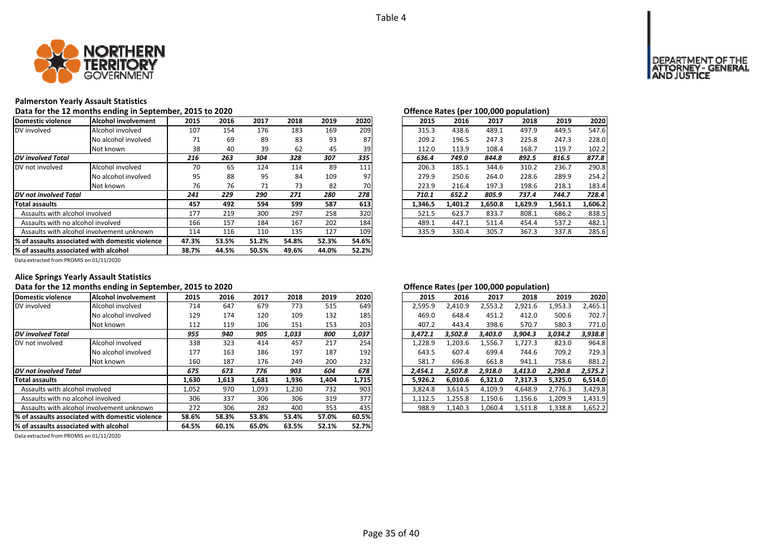

#### **Palmerston Yearly Assault Statistics**

Data for the 12 months ending in September, 2015 to 2020<br> **Data for the 12 months ending in September, 2015 to 2020** 

| Domestic violence                     | Alcohol involvement                              | 2015  | 2016  | 2017  | 2018  | 2019  | 2020  | 2015    | 2016    | 2017    | 2018    | 2019    | 2020    |
|---------------------------------------|--------------------------------------------------|-------|-------|-------|-------|-------|-------|---------|---------|---------|---------|---------|---------|
| DV involved                           | Alcohol involved                                 | 107   | 154   | 176   | 183   | 169   | 209   | 315.3   | 438.6   | 489.1   | 497.9   | 449.5   | 547.6   |
|                                       | No alcohol involved                              | 71    | 69    | 89    | 83    | 93    | 87    | 209.2   | 196.5   | 247.3   | 225.8   | 247.3   | 228.0   |
|                                       | Not known                                        | 38    | 40    | 39    | 62    | 45    | 39    | 112.0   | 113.9   | 108.4   | 168.7   | 119.7   | 102.2   |
| <b>DV</b> involved Total              |                                                  | 216   | 263   | 304   | 328   | 307   | 335   | 636.4   | 749.0   | 844.8   | 892.5   | 816.5   | 877.8   |
| DV not involved                       | Alcohol involved                                 | 70    | 65    | 124   | 114   | 89    | 111   | 206.3   | 185.1   | 344.6   | 310.2   | 236.7   | 290.8   |
|                                       | No alcohol involved                              | 95    | 88    | 95    | 84    | 109   | 97    | 279.9   | 250.6   | 264.0   | 228.6   | 289.9   | 254.2   |
|                                       | Not known                                        | 76    | 76    | 71    | 73    | 82    | 70    | 223.9   | 216.4   | 197.3   | 198.6   | 218.1   | 183.4   |
| <b>DV</b> not involved Total          |                                                  | 241   | 229   | 290   | 271   | 280   | 278   | 710.1   | 652.2   | 805.9   | 737.4   | 744.7   | 728.4   |
| <b>Total assaults</b>                 |                                                  | 457   | 492   | 594   | 599   | 587   | 613   | 1.346.5 | 1.401.2 | 1.650.8 | 1.629.9 | 1.561.1 | 1.606.2 |
| Assaults with alcohol involved        |                                                  | 177   | 219   | 300   | 297   | 258   | 320   | 521.5   | 623.7   | 833.7   | 808.1   | 686.2   | 838.5   |
| Assaults with no alcohol involved     |                                                  | 166   | 157   | 184   | 167   | 202   | 184   | 489.1   | 447.1   | 511.4   | 454.4   | 537.2   | 482.1   |
|                                       | Assaults with alcohol involvement unknown        |       | 116   | 110   | 135   | 127   | 109   | 335.9   | 330.4   | 305.7   | 367.3   | 337.8   | 285.6   |
|                                       | 1% of assaults associated with domestic violence | 47.3% | 53.5% | 51.2% | 54.8% | 52.3% | 54.6% |         |         |         |         |         |         |
| % of assaults associated with alcohol |                                                  | 38.7% | 44.5% | 50.5% | 49.6% | 44.0% | 52.2% |         |         |         |         |         |         |

| .5           | 2016 | 2017 | 2018 | 2019 | 2020 |
|--------------|------|------|------|------|------|
| 17           | 154  | 176  | 183  | 169  | 209  |
| $^{\prime}1$ | 69   | 89   | 83   | 93   | 87   |
| 18           | 40   | 39   | 62   | 45   | 39   |
| 6            | 263  | 304  | 328  | 307  | 335  |
| ٥٬           | 65   | 124  | 114  | 89   | 111  |
| 15           | 88   | 95   | 84   | 109  | 97   |
| '6           | 76   | 71   | 73   | 82   | 70I  |
|              | 229  | 290  | 271  | 280  | 278  |
| 7            | 492  | 594  | 599  | 587  | 613  |
| 7            | 219  | 300  | 297  | 258  | 320  |
| 56           | 157  | 184  | 167  | 202  | 184  |
| .4           | 116  | 110  | 135  | 127  | 109  |
|              |      |      |      |      |      |

Data extracted from PROMIS on 01/11/2020

# **Alice Springs Yearly Assault Statistics**

## Data for the 12 months ending in September, 2015 to 2020<br> **Data for the 12 months ending in September, 2015 to 2020**

| Domestic violence                     | Alcohol involvement                              | 2015  | 2016  | 2017  | 2018  | 2019  | 2020  | 2015    | 2016    | 2017    | 2018    | 2019    | 2020    |
|---------------------------------------|--------------------------------------------------|-------|-------|-------|-------|-------|-------|---------|---------|---------|---------|---------|---------|
| DV involved                           | Alcohol involved                                 | 714   | 647   | 679   | 773   | 515   | 649   | 2,595.9 | 2.410.9 | 2,553.2 | 2,921.6 | 1,953.3 | 2,465.1 |
|                                       | No alcohol involved                              | 129   | 174   | 120   | 109   | 132   | 185   | 469.0   | 648.4   | 451.2   | 412.0   | 500.6   | 702.7   |
|                                       | Not known                                        | 112   | 119   | 106   | 151   | 153   | 203   | 407.2   | 443.4   | 398.6   | 570.7   | 580.3   | 771.0   |
| <b>DV</b> involved Total              |                                                  | 955   | 940   | 905   | 1,033 | 800   | 1,037 | 3,472.1 | 3,502.8 | 3.403.0 | 3,904.3 | 3,034.2 | 3,938.8 |
| DV not involved                       | Alcohol involved                                 | 338   | 323   | 414   | 457   | 217   | 254   | 1,228.9 | 1,203.6 | 1,556.7 | 1,727.3 | 823.0   | 964.8   |
|                                       | No alcohol involved                              | 177   | 163   | 186   | 197   | 187   | 192   | 643.5   | 607.4   | 699.4   | 744.6   | 709.2   | 729.3   |
|                                       | Not known                                        | 160   | 187   | 176   | 249   | 200   | 232   | 581.7   | 696.8   | 661.8   | 941.1   | 758.6   | 881.2   |
| DV not involved Total                 |                                                  | 675   | 673   | 776   | 903   | 604   | 678   | 2,454.1 | 2,507.8 | 2,918.0 | 3,413.0 | 2,290.8 | 2,575.2 |
| <b>Total assaults</b>                 |                                                  | 1,630 | 1,613 | 1,681 | 1,936 | 1,404 | 1,715 | 5,926.2 | 6,010.6 | 6,321.0 | 7,317.3 | 5,325.0 | 6,514.0 |
| Assaults with alcohol involved        |                                                  | 1,052 | 970   | 1,093 | 1,230 | 732   | 903   | 3,824.8 | 3.614.5 | 4,109.9 | 4,648.9 | 2,776.3 | 3,429.8 |
| Assaults with no alcohol involved     |                                                  | 306   | 337   | 306   | 306   | 319   | 377   | 1,112.5 | 1,255.8 | 1,150.6 | 1,156.6 | 1,209.9 | 1,431.9 |
|                                       | Assaults with alcohol involvement unknown        | 272   | 306   | 282   | 400   | 353   | 435   | 988.9   | 1,140.3 | 1,060.4 | 1,511.8 | 1,338.8 | 1,652.2 |
|                                       | 1% of assaults associated with domestic violence | 58.6% | 58.3% | 53.8% | 53.4% | 57.0% | 60.5% |         |         |         |         |         |         |
| % of assaults associated with alcohol |                                                  | 64.5% | 60.1% | 65.0% | 63.5% | 52.1% | 52.7% |         |         |         |         |         |         |

| 2015    | 2016    | 2017    | 2018    | 2019    | 2020    |
|---------|---------|---------|---------|---------|---------|
| 2,595.9 | 2,410.9 | 2,553.2 | 2,921.6 | 1,953.3 | 2,465.1 |
| 469.0   | 648.4   | 451.2   | 412.0   | 500.6   | 702.7   |
| 407.2   | 443.4   | 398.6   | 570.7   | 580.3   | 771.0   |
| 3.472.1 | 3.502.8 | 3.403.0 | 3.904.3 | 3,034.2 | 3,938.8 |
| 1,228.9 | 1,203.6 | 1,556.7 | 1,727.3 | 823.0   | 964.8   |
| 643.5   | 607.4   | 699.4   | 744.6   | 709.2   | 729.3   |
| 581.7   | 696.8   | 661.8   | 941.1   | 758.6   | 881.2   |
| 2.454.1 | 2,507.8 | 2,918.0 | 3,413.0 | 2,290.8 | 2,575.2 |
| 5.926.2 | 6.010.6 | 6.321.0 | 7.317.3 | 5.325.0 | 6,514.0 |
| 3,824.8 | 3,614.5 | 4,109.9 | 4.648.9 | 2,776.3 | 3,429.8 |
| 1,112.5 | 1,255.8 | 1,150.6 | 1,156.6 | 1,209.9 | 1,431.9 |
| 988.9   | 1,140.3 | 1,060.4 | 1,511.8 | 1,338.8 | 1,652.2 |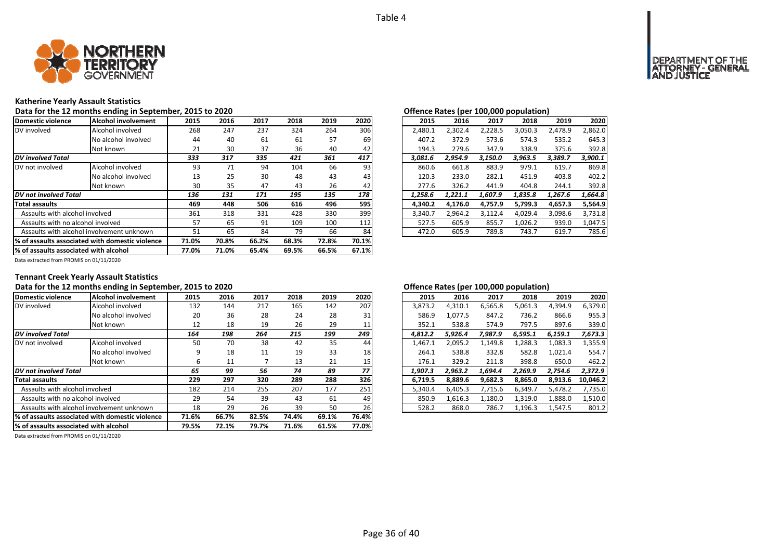

#### **Katherine Yearly Assault Statistics**

Data for the 12 months ending in September, 2015 to 2020<br>**Data for the 12 months ending in September, 2015 to 2020** 

| Domestic violence                     | lAlcohol involvement                             | 2015  | 2016  | 2017  | 2018  | 2019  | 2020  | 2015    | 2016    | 2017    | 2018    | 2019    | 2020    |
|---------------------------------------|--------------------------------------------------|-------|-------|-------|-------|-------|-------|---------|---------|---------|---------|---------|---------|
| DV involved                           | Alcohol involved                                 | 268   | 247   | 237   | 324   | 264   | 306   | 2.480.1 | 2,302.4 | 2,228.5 | 3,050.3 | 2,478.9 | 2.862.0 |
|                                       | No alcohol involved                              | 44    | 40    | 61    | 61    | 57    | 69    | 407.2   | 372.9   | 573.6   | 574.3   | 535.2   | 645.3   |
|                                       | Not known                                        | 21    | 30    | 37    | 36    | 40    | 42    | 194.3   | 279.6   | 347.9   | 338.9   | 375.6   | 392.8   |
| <b>DV</b> involved Total              |                                                  | 333   | 317   | 335   | 421   | 361   | 417   | 3.081.6 | 2.954.9 | 3.150.0 | 3.963.5 | 3,389.7 | 3,900.1 |
| DV not involved                       | Alcohol involved                                 | 93    | 71    | 94    | 104   | 66    | 93    | 860.6   | 661.8   | 883.9   | 979.1   | 619.7   | 869.8   |
|                                       | No alcohol involved                              | 13    | 25    | 30    | 48    | 43    | 43    | 120.3   | 233.0   | 282.1   | 451.9   | 403.8   | 402.2   |
|                                       | Not known                                        | 30    | 35    | 47    | 43    | 26    | 42    | 277.6   | 326.2   | 441.9   | 404.8   | 244.1   | 392.8   |
| DV not involved Total                 |                                                  | 136   | 131   | 171   | 195   | 135   | 178   | 1.258.6 | 1.221.1 | 1.607.9 | 1.835.8 | 1,267.6 | 1.664.8 |
| <b>Total assaults</b>                 |                                                  | 469   | 448   | 506   | 616   | 496   | 595   | 4.340.2 | 4.176.0 | 4.757.9 | 5,799.3 | 4.657.3 | 5,564.9 |
| Assaults with alcohol involved        |                                                  | 361   | 318   | 331   | 428   | 330   | 399   | 3,340.7 | 2,964.2 | 3,112.4 | 4,029.4 | 3,098.6 | 3,731.8 |
| Assaults with no alcohol involved     |                                                  | 57    | 65    | 91    | 109   | 100   | 112   | 527.5   | 605.9   | 855.7   | 1,026.2 | 939.0   | 1,047.5 |
|                                       | Assaults with alcohol involvement unknown        | 51    | 65    | 84    | 79    | 66    | 84    | 472.0   | 605.9   | 789.8   | 743.7   | 619.7   | 785.6   |
|                                       | 1% of assaults associated with domestic violence | 71.0% | 70.8% | 66.2% | 68.3% | 72.8% | 70.1% |         |         |         |         |         |         |
| % of assaults associated with alcohol |                                                  | 77.0% | 71.0% | 65.4% | 69.5% | 66.5% | 67.1% |         |         |         |         |         |         |

|              | ---- |      |      |      |                 | <u>enchec natas (per zeejeed popaiation)</u> |         |         |         |         |         |
|--------------|------|------|------|------|-----------------|----------------------------------------------|---------|---------|---------|---------|---------|
| .5           | 2016 | 2017 | 2018 | 2019 | 2020            | 2015                                         | 2016    | 2017    | 2018    | 2019    | 2020    |
| 58           | 247  | 237  | 324  | 264  | 306             | 2.480.1                                      | 2.302.4 | 2,228.5 | 3.050.3 | 2.478.9 | 2.862.0 |
| 14           | 40   | 61   | 61   | 57   | 69              | 407.2                                        | 372.9   | 573.6   | 574.3   | 535.2   | 645.3   |
| !1           | 30   | 37   | 36   | 40   | 42              | 194.3                                        | 279.6   | 347.9   | 338.9   | 375.6   | 392.8   |
| 3            | 317  | 335  | 421  | 361  | 417             | 3.081.6                                      | 2.954.9 | 3.150.0 | 3.963.5 | 3.389.7 | 3.900.1 |
| 13           | 71   | 94   | 104  | 66   | 93              | 860.6                                        | 661.8   | 883.9   | 979.1   | 619.7   | 869.8   |
| .3           | 25   | 30   | 48   | 43   | 43 <sub>l</sub> | 120.3                                        | 233.0   | 282.1   | 451.9   | 403.8   | 402.2   |
| ١Ο           | 35   | 47   | 43   | 26   | 42              | 277.6                                        | 326.2   | 441.9   | 404.8   | 244.1   | 392.8   |
| 6            | 131  | 171  | 195  | 135  | 178             | 1.258.6                                      | 1.221.1 | 1.607.9 | 1.835.8 | 1.267.6 | 1.664.8 |
| 9۱           | 448  | 506  | 616  | 496  | 595             | 4.340.2                                      | 4.176.0 | 4.757.9 | 5.799.3 | 4,657.3 | 5,564.9 |
| i1           | 318  | 331  | 428  | 330  | 399             | 3.340.7                                      | 2.964.2 | 3.112.4 | 4.029.4 | 3.098.6 | 3.731.8 |
|              | 65   | 91   | 109  | 100  | 112             | 527.5                                        | 605.9   | 855.7   | 1.026.2 | 939.0   | 1.047.5 |
| $\mathbf{1}$ | 65   | 84   | 79   | 66   | 84              | 472.0                                        | 605.9   | 789.8   | 743.7   | 619.7   | 785.6   |
|              |      |      |      |      |                 |                                              |         |         |         |         |         |

Data extracted from PROMIS on 01/11/2020

# **Tennant Creek Yearly Assault Statistics**

## Data for the 12 months ending in September, 2015 to 2020<br> **Data for the 12 months ending in September, 2015 to 2020**

| Domestic violence                     | Alcohol involvement                             | 2015  | 2016  | 2017  | 2018  | 2019  | 2020  | 2015    | 2016    | 2017    | 2018    | 2019    | 2020     |
|---------------------------------------|-------------------------------------------------|-------|-------|-------|-------|-------|-------|---------|---------|---------|---------|---------|----------|
| DV involved                           | Alcohol involved                                | 132   | 144   | 217   | 165   | 142   | 207   | 3,873.2 | 4.310.1 | 6,565.8 | 5,061.3 | 4,394.9 | 6,379.0  |
|                                       | No alcohol involved                             | 20    | 36    | 28    | 24    | 28    | 31    | 586.9   | 1.077.5 | 847.2   | 736.2   | 866.6   | 955.3    |
|                                       | Not known                                       | 12    | 18    | 19    | 26    | 29    | 11    | 352.1   | 538.8   | 574.9   | 797.5   | 897.6   | 339.0    |
| <b>DV</b> involved Total              |                                                 | 164   | 198   | 264   | 215   | 199   | 249   | 4.812.2 | 5.926.4 | 7.987.9 | 6.595.1 | 6,159.1 | 7,673.3  |
| DV not involved                       | Alcohol involved                                | 50    | 70    | 38    | 42    | 35    | 44    | 1,467.1 | 2,095.2 | 1,149.8 | 1,288.3 | 1,083.3 | 1,355.9  |
|                                       | No alcohol involved                             | q     | 18    | 11    | 19    | 33    | 18    | 264.1   | 538.8   | 332.8   | 582.8   | 1,021.4 | 554.7    |
|                                       | Not known                                       | ь     | 11    |       | 13    | 21    | 15    | 176.1   | 329.2   | 211.8   | 398.8   | 650.0   | 462.2    |
| <b>DV</b> not involved Total          |                                                 | 65    | 99    | 56    | 74    | 89    | 77    | 1,907.3 | 2.963.2 | 1,694.4 | 2,269.9 | 2,754.6 | 2,372.9  |
| <b>Total assaults</b>                 |                                                 | 229   | 297   | 320   | 289   | 288   | 326   | 6.719.5 | 8,889.6 | 9,682.3 | 8,865.0 | 8.913.6 | 10.046.2 |
| Assaults with alcohol involved        |                                                 | 182   | 214   | 255   | 207   | 177   | 251   | 5,340.4 | 6.405.3 | 7,715.6 | 6,349.7 | 5,478.2 | 7,735.0  |
| Assaults with no alcohol involved     |                                                 | 29    | 54    | 39    | 43    | 61    | 49    | 850.9   | 1,616.3 | 1,180.0 | 1,319.0 | 1,888.0 | 1,510.0  |
|                                       | Assaults with alcohol involvement unknown       | 18    | 29    | 26    | 39    | 50    | 26    | 528.2   | 868.0   | 786.7   | 1,196.3 | 1,547.5 | 801.2    |
|                                       | % of assaults associated with domestic violence | 71.6% | 66.7% | 82.5% | 74.4% | 69.1% | 76.4% |         |         |         |         |         |          |
| % of assaults associated with alcohol |                                                 | 79.5% | 72.1% | 79.7% | 71.6% | 61.5% | 77.0% |         |         |         |         |         |          |

| 2016    | 2017    | 2018    | 2019    | 2020     |
|---------|---------|---------|---------|----------|
| 4,310.1 | 6,565.8 | 5,061.3 | 4,394.9 | 6,379.0  |
| 1.077.5 | 847.2   | 736.2   | 866.6   | 955.3    |
| 538.8   | 574.9   | 797.5   | 897.6   | 339.0    |
| 5,926.4 | 7,987.9 | 6,595.1 | 6,159.1 | 7,673.3  |
| 2,095.2 | 1,149.8 | 1,288.3 | 1,083.3 | 1,355.9  |
| 538.8   | 332.8   | 582.8   | 1,021.4 | 554.7    |
| 329.2   | 211.8   | 398.8   | 650.0   | 462.2    |
| 2,963.2 | 1.694.4 | 2,269.9 | 2,754.6 | 2,372.9  |
| 8,889.6 | 9,682.3 | 8,865.0 | 8,913.6 | 10,046.2 |
| 6,405.3 | 7,715.6 | 6,349.7 | 5,478.2 | 7,735.0  |
| 1,616.3 | 1,180.0 | 1,319.0 | 1,888.0 | 1,510.0  |
| 868.0   | 786.7   | 1,196.3 | 1,547.5 | 801.2    |
|         |         |         |         |          |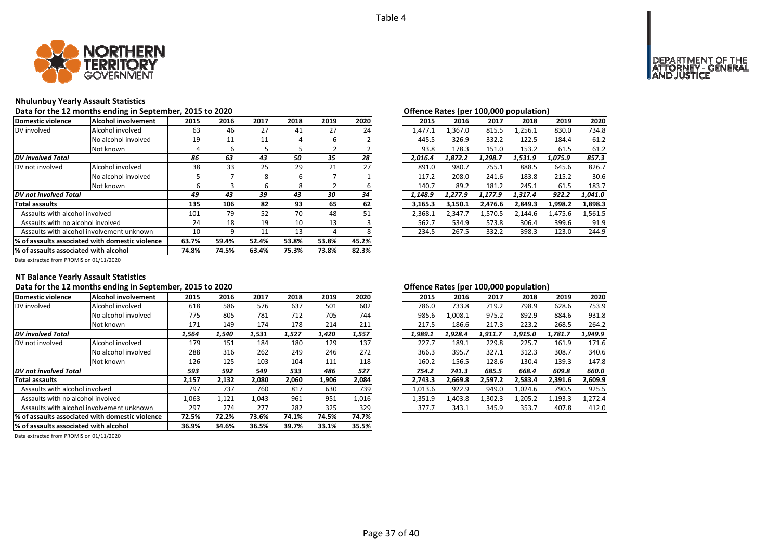

#### **Nhulunbuy Yearly Assault Statistics**

#### **Data for the 12 months ending in September, 2015 to 2020 Offence Rates (per 100,000 population)**

| Domestic violence                                | Alcohol involvement | 2015  | 2016  | 2017  | 2018  | 2019  | 2020  | 2015    | 2016    | 2017    | 2018    | 2019    | 2020    |
|--------------------------------------------------|---------------------|-------|-------|-------|-------|-------|-------|---------|---------|---------|---------|---------|---------|
| DV involved                                      | Alcohol involved    | 63    | 46    | 27    | 41    | 27    | 24    | 1,477.1 | L.367.0 | 815.5   | 1,256.1 | 830.0   | 734.8   |
|                                                  | No alcohol involved | 19    | 11    | 11    | 4     | 6     |       | 445.5   | 326.9   | 332.2   | 122.5   | 184.4   | 61.2    |
|                                                  | Not known           | 4     | b     |       |       |       |       | 93.8    | 178.3   | 151.0   | 153.2   | 61.5    | 61.2    |
| <b>DV</b> involved Total                         |                     | 86    | 63    | 43    | 50    | 35    | 28    | 2.016.4 | 1.872.2 | 1,298.7 | 1,531.9 | 1,075.9 | 857.3   |
| DV not involved                                  | Alcohol involved    | 38    | 33    | 25    | 29    | 21    | 27    | 891.0   | 980.7   | 755.1   | 888.5   | 645.6   | 826.7   |
|                                                  | No alcohol involved |       |       | 8     | 6     |       |       | 117.2   | 208.0   | 241.6   | 183.8   | 215.2   | 30.6    |
|                                                  | Not known           | b     | З     | ь     | 8     |       |       | 140.7   | 89.2    | 181.2   | 245.1   | 61.5    | 183.7   |
| <b>DV</b> not involved Total                     |                     | 49    | 43    | 39    | 43    | 30    | 34    | 1,148.9 | 1.277.9 | 1.177.9 | 1.317.4 | 922.2   | 1,041.0 |
| Total assaults                                   |                     | 135   | 106   | 82    | 93    | 65    | 62    | 3.165.3 | 3,150.1 | 2.476.6 | 2,849.3 | 1,998.2 | 1,898.3 |
| Assaults with alcohol involved                   |                     | 101   | 79    | 52    | 70    | 48    | 51    | 2,368.1 | 2,347.7 | 1.570.5 | 2,144.6 | 1,475.6 | 1,561.5 |
| Assaults with no alcohol involved                |                     | 24    | 18    | 19    | 10    | 13    |       | 562.7   | 534.9   | 573.8   | 306.4   | 399.6   | 91.9    |
| Assaults with alcohol involvement unknown        |                     | 10    | 9     | 11    | 13    | 4     |       | 234.5   | 267.5   | 332.2   | 398.3   | 123.0   | 244.9   |
| 1% of assaults associated with domestic violence |                     | 63.7% | 59.4% | 52.4% | 53.8% | 53.8% | 45.2% |         |         |         |         |         |         |
| % of assaults associated with alcohol            |                     | 74.8% | 74.5% | 63.4% | 75.3% | 73.8% | 82.3% |         |         |         |         |         |         |

| 2016 | 2017 | 2018 | 2019 | 2020 | 2015    | 2016    | 2017    | 2018    | 2019    | 2020    |
|------|------|------|------|------|---------|---------|---------|---------|---------|---------|
| 46   | 27   | 41   | 27   | 24   | 1,477.1 | 1,367.0 | 815.5   | 1,256.1 | 830.0   | 734.8   |
| 11   | 11   | 4    | 6    |      | 445.5   | 326.9   | 332.2   | 122.5   | 184.4   | 61.2    |
| 6    | 5    | 5    |      |      | 93.8    | 178.3   | 151.0   | 153.2   | 61.5    | 61.2    |
| 63   | 43   | 50   | 35   | 28   | 2.016.4 | 1.872.2 | 1.298.7 | 1,531.9 | 1.075.9 | 857.3   |
| 33   | 25   | 29   | 21   | 27   | 891.0   | 980.7   | 755.1   | 888.5   | 645.6   | 826.7   |
|      | 8    | 6    |      |      | 117.2   | 208.0   | 241.6   | 183.8   | 215.2   | 30.6    |
| 3    | 6    | 8    |      | 6    | 140.7   | 89.2    | 181.2   | 245.1   | 61.5    | 183.7   |
| 43   | 39   | 43   | 30   | 34   | 1.148.9 | 1.277.9 | 1.177.9 | 1.317.4 | 922.2   | 1.041.0 |
| 106  | 82   | 93   | 65   | 62   | 3.165.3 | 3,150.1 | 2,476.6 | 2,849.3 | 1,998.2 | 1,898.3 |
| 79   | 52   | 70   | 48   | 51   | 2.368.1 | 2.347.7 | 1.570.5 | 2.144.6 | 1.475.6 | 1,561.5 |
| 18   | 19   | 10   | 13   |      | 562.7   | 534.9   | 573.8   | 306.4   | 399.6   | 91.9    |
| 9    | 11   | 13   | 4    |      | 234.5   | 267.5   | 332.2   | 398.3   | 123.0   | 244.9   |
|      |      |      |      |      |         |         |         |         |         |         |
|      |      |      |      |      |         |         |         |         |         |         |

Data extracted from PROMIS on 01/11/2020

### **NT Balance Yearly Assault Statistics**

# Data for the 12 months ending in September, 2015 to 2020<br>**Data for the 12 months ending in September, 2015 to 2020**

| Domestic violence                         | Alcohol involvement                             | 2015  | 2016  | 2017  | 2018  | 2019  | 2020  | 2015    | 2016    | 2017    | 2018    | 2019    | 2020    |
|-------------------------------------------|-------------------------------------------------|-------|-------|-------|-------|-------|-------|---------|---------|---------|---------|---------|---------|
| DV involved                               | Alcohol involved                                | 618   | 586   | 576   | 637   | 501   | 602   | 786.0   | 733.8   | 719.2   | 798.9   | 628.6   | 753.9   |
|                                           | No alcohol involved                             | 775   | 805   | 781   | 712   | 705   | 744   | 985.6   | 1.008.1 | 975.2   | 892.9   | 884.6   | 931.8   |
|                                           | Not known                                       | 171   | 149   | 174   | 178   | 214   | 211   | 217.5   | 186.6   | 217.3   | 223.2   | 268.5   | 264.2   |
| <b>DV</b> involved Total                  |                                                 | 1,564 | 1,540 | 1,531 | 1,527 | 1,420 | 1,557 | 1,989.1 | 1,928.4 | 1,911.7 | 1,915.0 | 1,781.7 | 1,949.9 |
| DV not involved                           | Alcohol involved                                | 179   | 151   | 184   | 180   | 129   | 137   | 227.7   | 189.1   | 229.8   | 225.7   | 161.9   | 171.6   |
|                                           | No alcohol involved                             | 288   | 316   | 262   | 249   | 246   | 272   | 366.3   | 395.7   | 327.1   | 312.3   | 308.7   | 340.6   |
|                                           | Not known                                       | 126   | 125   | 103   | 104   | 111   | 118   | 160.2   | 156.5   | 128.6   | 130.4   | 139.3   | 147.8   |
| DV not involved Total                     |                                                 | 593   | 592   | 549   | 533   | 486   | 527   | 754.2   | 741.3   | 685.5   | 668.4   | 609.8   | 660.0   |
| <b>Total assaults</b>                     |                                                 | 2,157 | 2,132 | 2,080 | 2,060 | 1,906 | 2,084 | 2,743.3 | 2,669.8 | 2,597.2 | 2,583.4 | 2,391.6 | 2,609.9 |
| Assaults with alcohol involved            |                                                 | 797   | 737   | 760   | 817   | 630   | 739   | 1,013.6 | 922.9   | 949.0   | 1,024.6 | 790.5   | 925.5   |
| Assaults with no alcohol involved         |                                                 | 1,063 | 1,121 | 1,043 | 961   | 951   | 1,016 | 1,351.9 | 1,403.8 | 1,302.3 | 1,205.2 | 1,193.3 | 1,272.4 |
| Assaults with alcohol involvement unknown |                                                 | 297   | 274   | 277   | 282   | 325   | 329   | 377.7   | 343.1   | 345.9   | 353.7   | 407.8   | 412.0   |
|                                           | % of assaults associated with domestic violence |       | 72.2% | 73.6% | 74.1% | 74.5% | 74.7% |         |         |         |         |         |         |
| % of assaults associated with alcohol     |                                                 | 36.9% | 34.6% | 36.5% | 39.7% | 33.1% | 35.5% |         |         |         |         |         |         |

| 2016    | 2017    | 2018    | 2019    | 2020    |
|---------|---------|---------|---------|---------|
| 733.8   | 719.2   | 798.9   | 628.6   | 753.9   |
| 1.008.1 | 975.2   | 892.9   | 884.6   | 931.8   |
| 186.6   | 217.3   | 223.2   | 268.5   | 264.2   |
| 1.928.4 | 1,911.7 | 1,915.0 | 1,781.7 | 1.949.9 |
| 189.1   | 229.8   | 225.7   | 161.9   | 171.6   |
| 395.7   | 327.1   | 312.3   | 308.7   | 340.6   |
| 156.5   | 128.6   | 130.4   | 139.3   | 147.8   |
| 741.3   | 685.5   | 668.4   | 609.8   | 660.0   |
| 2,669.8 | 2,597.2 | 2,583.4 | 2,391.6 | 2,609.9 |
| 922.9   | 949.0   | 1.024.6 | 790.5   | 925.5   |
| 1,403.8 | 1,302.3 | 1,205.2 | 1,193.3 | 1,272.4 |
| 343.1   | 345.9   | 353.7   | 407.8   | 412.0   |
|         |         |         |         |         |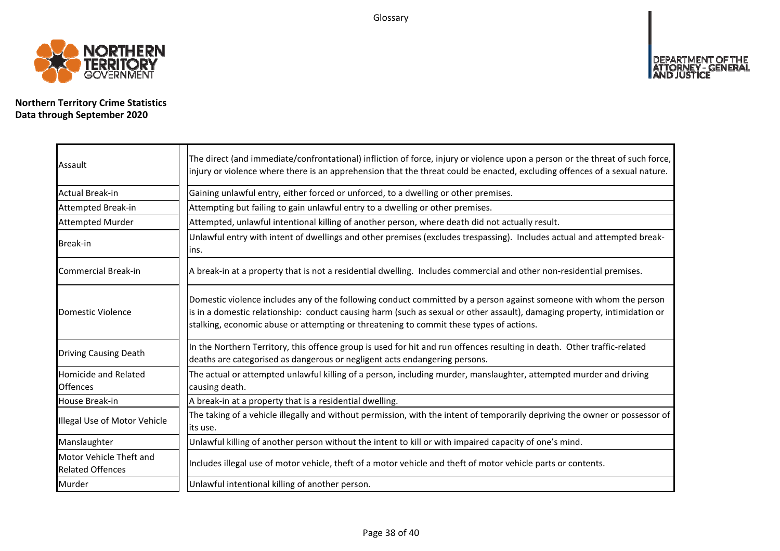Glossary



**Northern Territory Crime Statistics Data through September 2020**

| Assault                                            | The direct (and immediate/confrontational) infliction of force, injury or violence upon a person or the threat of such force,<br>injury or violence where there is an apprehension that the threat could be enacted, excluding offences of a sexual nature.                                                                                |
|----------------------------------------------------|--------------------------------------------------------------------------------------------------------------------------------------------------------------------------------------------------------------------------------------------------------------------------------------------------------------------------------------------|
| Actual Break-in                                    | Gaining unlawful entry, either forced or unforced, to a dwelling or other premises.                                                                                                                                                                                                                                                        |
| Attempted Break-in                                 | Attempting but failing to gain unlawful entry to a dwelling or other premises.                                                                                                                                                                                                                                                             |
| <b>Attempted Murder</b>                            | Attempted, unlawful intentional killing of another person, where death did not actually result.                                                                                                                                                                                                                                            |
| <b>Break-in</b>                                    | Unlawful entry with intent of dwellings and other premises (excludes trespassing). Includes actual and attempted break-<br>ins.                                                                                                                                                                                                            |
| <b>Commercial Break-in</b>                         | A break-in at a property that is not a residential dwelling. Includes commercial and other non-residential premises.                                                                                                                                                                                                                       |
| Domestic Violence                                  | Domestic violence includes any of the following conduct committed by a person against someone with whom the person<br>is in a domestic relationship: conduct causing harm (such as sexual or other assault), damaging property, intimidation or<br>stalking, economic abuse or attempting or threatening to commit these types of actions. |
| <b>Driving Causing Death</b>                       | In the Northern Territory, this offence group is used for hit and run offences resulting in death. Other traffic-related<br>deaths are categorised as dangerous or negligent acts endangering persons.                                                                                                                                     |
| Homicide and Related<br><b>Offences</b>            | The actual or attempted unlawful killing of a person, including murder, manslaughter, attempted murder and driving<br>causing death.                                                                                                                                                                                                       |
| House Break-in                                     | A break-in at a property that is a residential dwelling.                                                                                                                                                                                                                                                                                   |
| Illegal Use of Motor Vehicle                       | The taking of a vehicle illegally and without permission, with the intent of temporarily depriving the owner or possessor of<br>its use.                                                                                                                                                                                                   |
| Manslaughter                                       | Unlawful killing of another person without the intent to kill or with impaired capacity of one's mind.                                                                                                                                                                                                                                     |
| Motor Vehicle Theft and<br><b>Related Offences</b> | Includes illegal use of motor vehicle, theft of a motor vehicle and theft of motor vehicle parts or contents.                                                                                                                                                                                                                              |
| Murder                                             | Unlawful intentional killing of another person.                                                                                                                                                                                                                                                                                            |

DEPARTMENT OF THE<br>ATTORNEY - GENERAL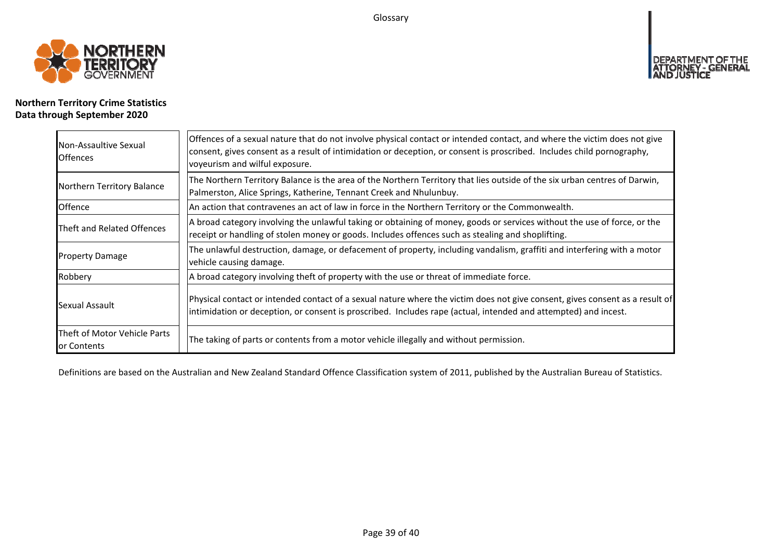Glossary



# **Northern Territory Crime Statistics Data through September 2020**

| Non-Assaultive Sexual<br><b>Offences</b>    | Offences of a sexual nature that do not involve physical contact or intended contact, and where the victim does not give<br>consent, gives consent as a result of intimidation or deception, or consent is proscribed. Includes child pornography,<br>voyeurism and wilful exposure. |
|---------------------------------------------|--------------------------------------------------------------------------------------------------------------------------------------------------------------------------------------------------------------------------------------------------------------------------------------|
| Northern Territory Balance                  | The Northern Territory Balance is the area of the Northern Territory that lies outside of the six urban centres of Darwin,<br>Palmerston, Alice Springs, Katherine, Tennant Creek and Nhulunbuy.                                                                                     |
| Offence                                     | An action that contravenes an act of law in force in the Northern Territory or the Commonwealth.                                                                                                                                                                                     |
| Theft and Related Offences                  | A broad category involving the unlawful taking or obtaining of money, goods or services without the use of force, or the<br>receipt or handling of stolen money or goods. Includes offences such as stealing and shoplifting.                                                        |
| <b>Property Damage</b>                      | The unlawful destruction, damage, or defacement of property, including vandalism, graffiti and interfering with a motor<br>vehicle causing damage.                                                                                                                                   |
| Robbery                                     | A broad category involving theft of property with the use or threat of immediate force.                                                                                                                                                                                              |
| Sexual Assault                              | Physical contact or intended contact of a sexual nature where the victim does not give consent, gives consent as a result of<br>intimidation or deception, or consent is proscribed. Includes rape (actual, intended and attempted) and incest.                                      |
| Theft of Motor Vehicle Parts<br>or Contents | The taking of parts or contents from a motor vehicle illegally and without permission.                                                                                                                                                                                               |

Definitions are based on the Australian and New Zealand Standard Offence Classification system of 2011, published by the Australian Bureau of Statistics.

**DEPART** 

<u>T OF THE</u>